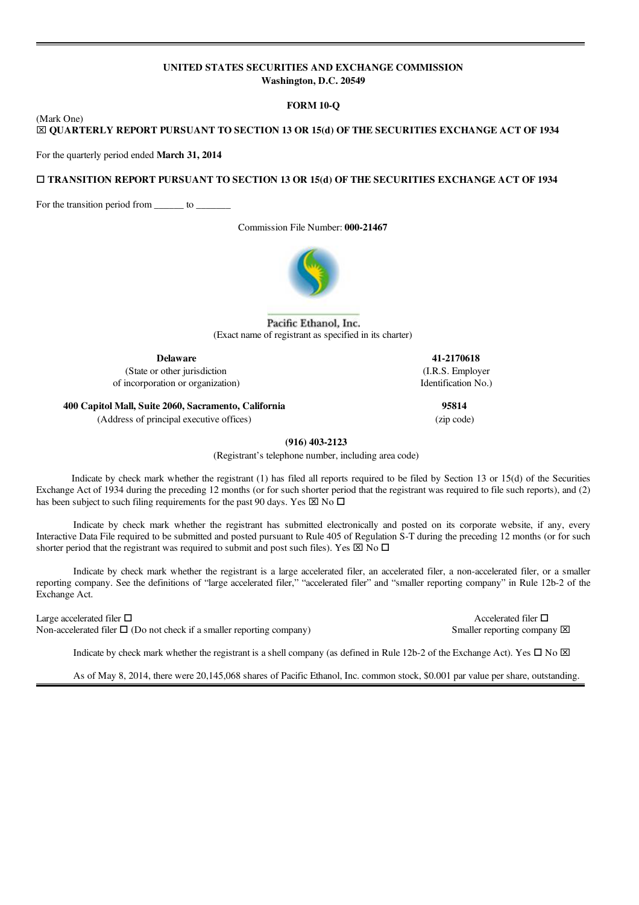## UNITED STATES SECURITIES AND EXCHANGE COMMISSION Washington, D.C. 20549

## FORM 10-Q

(Mark One)

x QUARTERLY REPORT PURSUANT TO SECTION 13 OR 15(d) OF THE SECURITIES EXCHANGE ACT OF 1934

For the quarterly period ended March 31, 2014

## o TRANSITION REPORT PURSUANT TO SECTION 13 OR 15(d) OF THE SECURITIES EXCHANGE ACT OF 1934

For the transition period from \_\_\_\_\_\_ to \_\_\_\_\_\_\_

Commission File Number: 000-21467



Pacific Ethanol, Inc. (Exact name of registrant as specified in its charter)

Delaware (State or other jurisdiction of incorporation or organization)

400 Capitol Mall, Suite 2060, Sacramento, California

(Address of principal executive offices)

(916) 403-2123

(Registrant's telephone number, including area code)

Indicate by check mark whether the registrant (1) has filed all reports required to be filed by Section 13 or 15(d) of the Securities Exchange Act of 1934 during the preceding 12 months (or for such shorter period that the registrant was required to file such reports), and (2) has been subject to such filing requirements for the past 90 days. Yes  $\boxtimes$  No  $\square$ 

Indicate by check mark whether the registrant has submitted electronically and posted on its corporate website, if any, every Interactive Data File required to be submitted and posted pursuant to Rule 405 of Regulation S-T during the preceding 12 months (or for such shorter period that the registrant was required to submit and post such files). Yes  $\boxtimes$  No  $\square$ 

Indicate by check mark whether the registrant is a large accelerated filer, an accelerated filer, a non-accelerated filer, or a smaller reporting company. See the definitions of "large accelerated filer," "accelerated filer" and "smaller reporting company" in Rule 12b-2 of the Exchange Act.

Large accelerated filer  $\Box$  Accelerated filer  $\Box$ Non-accelerated filer  $\square$  (Do not check if a smaller reporting company) Smaller reporting company  $\square$ 

Indicate by check mark whether the registrant is a shell company (as defined in Rule 12b-2 of the Exchange Act). Yes  $\Box$  No  $\boxtimes$ 

As of May 8, 2014, there were 20,145,068 shares of Pacific Ethanol, Inc. common stock, \$0.001 par value per share, outstanding.

41-2170618 (I.R.S. Employer Identification No.)

> 95814 (zip code)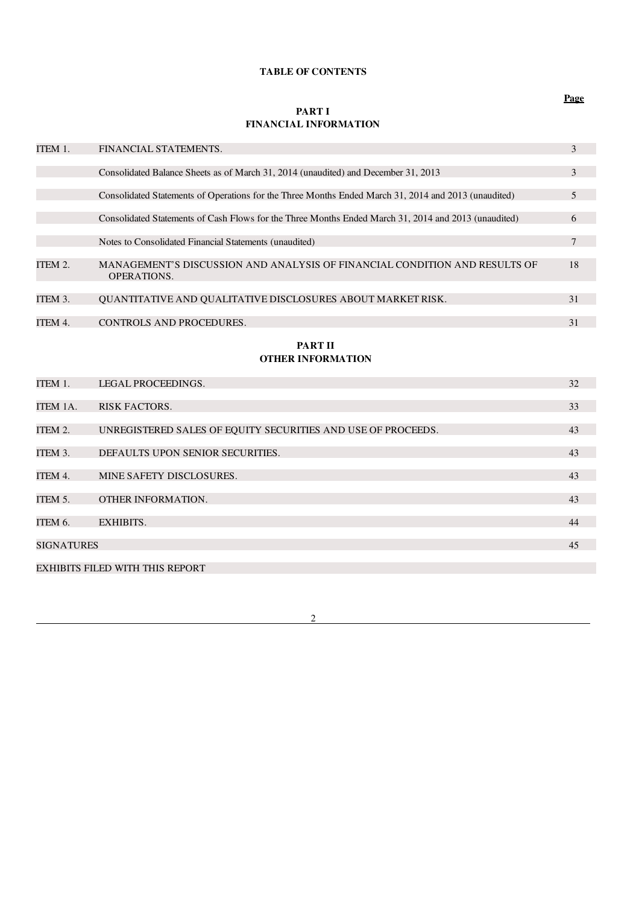# TABLE OF CONTENTS

# PART I FINANCIAL INFORMATION

Page

| ITEM 1.           | FINANCIAL STATEMENTS.                                                                                | 3               |
|-------------------|------------------------------------------------------------------------------------------------------|-----------------|
|                   | Consolidated Balance Sheets as of March 31, 2014 (unaudited) and December 31, 2013                   | 3               |
|                   | Consolidated Statements of Operations for the Three Months Ended March 31, 2014 and 2013 (unaudited) | $5\overline{)}$ |
|                   | Consolidated Statements of Cash Flows for the Three Months Ended March 31, 2014 and 2013 (unaudited) | 6               |
|                   | Notes to Consolidated Financial Statements (unaudited)                                               | $\overline{7}$  |
| ITEM 2.           | MANAGEMENT'S DISCUSSION AND ANALYSIS OF FINANCIAL CONDITION AND RESULTS OF<br>OPERATIONS.            | 18              |
| ITEM 3.           | QUANTITATIVE AND QUALITATIVE DISCLOSURES ABOUT MARKET RISK.                                          | 31              |
| ITEM 4.           | CONTROLS AND PROCEDURES.                                                                             | 31              |
|                   | <b>PART II</b><br><b>OTHER INFORMATION</b>                                                           |                 |
| ITEM 1.           | LEGAL PROCEEDINGS.                                                                                   | 32              |
| ITEM 1A.          | <b>RISK FACTORS.</b>                                                                                 | 33              |
| ITEM 2.           | UNREGISTERED SALES OF EQUITY SECURITIES AND USE OF PROCEEDS.                                         | 43              |
| ITEM 3.           | DEFAULTS UPON SENIOR SECURITIES.                                                                     | 43              |
| ITEM 4.           | MINE SAFETY DISCLOSURES.                                                                             | 43              |
| ITEM 5.           | OTHER INFORMATION.                                                                                   | 43              |
| ITEM 6.           | EXHIBITS.                                                                                            | 44              |
| <b>SIGNATURES</b> |                                                                                                      | 45              |
|                   | <b>EXHIBITS FILED WITH THIS REPORT</b>                                                               |                 |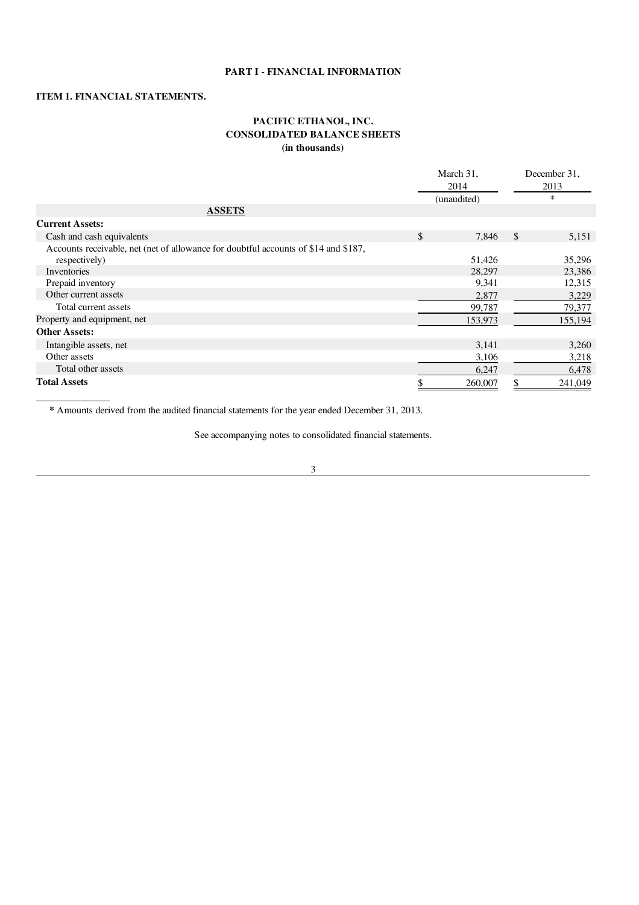## PART I - FINANCIAL INFORMATION

# ITEM 1. FINANCIAL STATEMENTS.

 $\overline{\phantom{a}}$  , where  $\overline{\phantom{a}}$ 

## PACIFIC ETHANOL, INC. CONSOLIDATED BALANCE SHEETS (in thousands)

|                                                                                                      | March 31,<br>2014<br>(unaudited) |         |              | December 31,<br>2013 |
|------------------------------------------------------------------------------------------------------|----------------------------------|---------|--------------|----------------------|
|                                                                                                      |                                  |         |              | *                    |
| <b>ASSETS</b>                                                                                        |                                  |         |              |                      |
| <b>Current Assets:</b>                                                                               |                                  |         |              |                      |
| Cash and cash equivalents                                                                            | \$                               | 7,846   | $\mathbb{S}$ | 5,151                |
| Accounts receivable, net (net of allowance for doubtful accounts of \$14 and \$187,<br>respectively) |                                  | 51,426  |              | 35,296               |
| <b>Inventories</b>                                                                                   |                                  | 28.297  |              | 23,386               |
| Prepaid inventory                                                                                    |                                  | 9,341   |              | 12,315               |
| Other current assets                                                                                 |                                  | 2,877   |              | 3,229                |
| Total current assets                                                                                 |                                  | 99,787  |              | 79,377               |
| Property and equipment, net                                                                          |                                  | 153,973 |              | 155,194              |
| <b>Other Assets:</b>                                                                                 |                                  |         |              |                      |
| Intangible assets, net                                                                               |                                  | 3,141   |              | 3,260                |
| Other assets                                                                                         |                                  | 3,106   |              | 3,218                |
| Total other assets                                                                                   |                                  | 6,247   |              | 6,478                |
| <b>Total Assets</b>                                                                                  |                                  | 260,007 |              | 241,049              |

\* Amounts derived from the audited financial statements for the year ended December 31, 2013.

See accompanying notes to consolidated financial statements.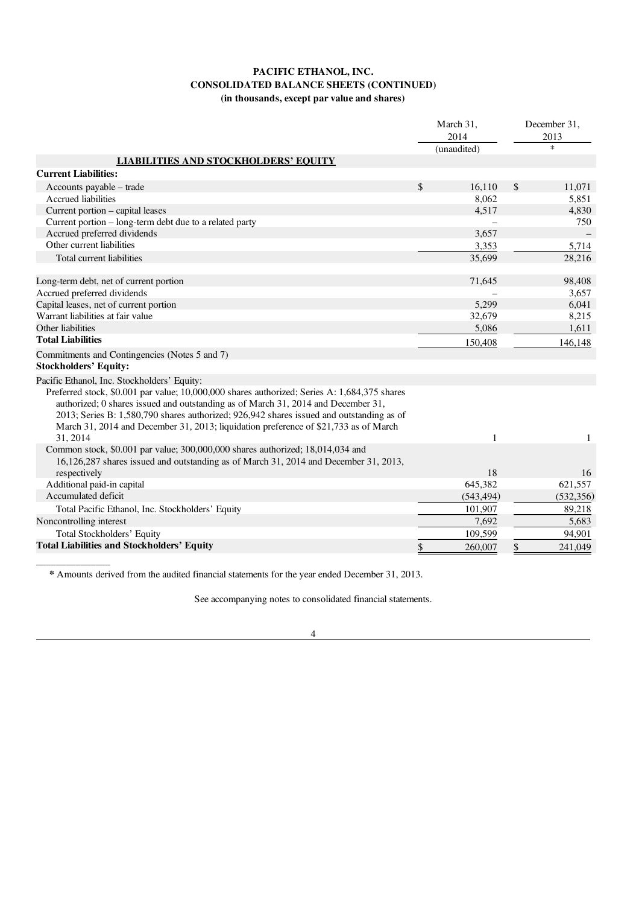# PACIFIC ETHANOL, INC. CONSOLIDATED BALANCE SHEETS (CONTINUED) (in thousands, except par value and shares)

|                                                                                                                                                                                                                                                                                                                                                                       | March 31,      | December 31,   |
|-----------------------------------------------------------------------------------------------------------------------------------------------------------------------------------------------------------------------------------------------------------------------------------------------------------------------------------------------------------------------|----------------|----------------|
|                                                                                                                                                                                                                                                                                                                                                                       | 2014           | 2013<br>$\ast$ |
| <b>LIABILITIES AND STOCKHOLDERS' EQUITY</b>                                                                                                                                                                                                                                                                                                                           | (unaudited)    |                |
| <b>Current Liabilities:</b>                                                                                                                                                                                                                                                                                                                                           |                |                |
|                                                                                                                                                                                                                                                                                                                                                                       |                |                |
| Accounts payable – trade                                                                                                                                                                                                                                                                                                                                              | \$<br>16,110   | \$<br>11,071   |
| <b>Accrued liabilities</b>                                                                                                                                                                                                                                                                                                                                            | 8.062<br>4,517 | 5,851<br>4,830 |
| Current portion – capital leases<br>Current portion – long-term debt due to a related party                                                                                                                                                                                                                                                                           |                | 750            |
| Accrued preferred dividends                                                                                                                                                                                                                                                                                                                                           |                |                |
| Other current liabilities                                                                                                                                                                                                                                                                                                                                             | 3,657          |                |
|                                                                                                                                                                                                                                                                                                                                                                       | 3,353          | 5,714          |
| Total current liabilities                                                                                                                                                                                                                                                                                                                                             | 35,699         | 28,216         |
| Long-term debt, net of current portion                                                                                                                                                                                                                                                                                                                                | 71,645         | 98,408         |
| Accrued preferred dividends                                                                                                                                                                                                                                                                                                                                           |                | 3,657          |
| Capital leases, net of current portion                                                                                                                                                                                                                                                                                                                                | 5,299          | 6,041          |
| Warrant liabilities at fair value                                                                                                                                                                                                                                                                                                                                     | 32,679         | 8,215          |
| Other liabilities                                                                                                                                                                                                                                                                                                                                                     | 5,086          | 1,611          |
| <b>Total Liabilities</b>                                                                                                                                                                                                                                                                                                                                              | 150,408        | 146,148        |
| Commitments and Contingencies (Notes 5 and 7)                                                                                                                                                                                                                                                                                                                         |                |                |
| <b>Stockholders' Equity:</b>                                                                                                                                                                                                                                                                                                                                          |                |                |
| Pacific Ethanol, Inc. Stockholders' Equity:                                                                                                                                                                                                                                                                                                                           |                |                |
| Preferred stock, \$0.001 par value; 10,000,000 shares authorized; Series A: 1,684,375 shares<br>authorized; 0 shares issued and outstanding as of March 31, 2014 and December 31,<br>2013; Series B: 1,580,790 shares authorized; 926,942 shares issued and outstanding as of<br>March 31, 2014 and December 31, 2013; liquidation preference of \$21,733 as of March |                |                |
| 31, 2014                                                                                                                                                                                                                                                                                                                                                              | 1              | 1              |
| Common stock, \$0.001 par value; 300,000,000 shares authorized; 18,014,034 and<br>16,126,287 shares issued and outstanding as of March 31, 2014 and December 31, 2013,                                                                                                                                                                                                |                |                |
| respectively                                                                                                                                                                                                                                                                                                                                                          | 18             | 16             |
| Additional paid-in capital                                                                                                                                                                                                                                                                                                                                            | 645,382        | 621,557        |
| Accumulated deficit                                                                                                                                                                                                                                                                                                                                                   | (543, 494)     | (532, 356)     |
| Total Pacific Ethanol, Inc. Stockholders' Equity                                                                                                                                                                                                                                                                                                                      | 101,907        | 89,218         |
| Noncontrolling interest                                                                                                                                                                                                                                                                                                                                               | 7,692          | 5,683          |
| Total Stockholders' Equity                                                                                                                                                                                                                                                                                                                                            | 109,599        | 94,901         |
| <b>Total Liabilities and Stockholders' Equity</b>                                                                                                                                                                                                                                                                                                                     | \$<br>260,007  | \$<br>241,049  |

\* Amounts derived from the audited financial statements for the year ended December 31, 2013.

 $\overline{\phantom{a}}$  , we can also the contract of  $\overline{\phantom{a}}$ 

See accompanying notes to consolidated financial statements.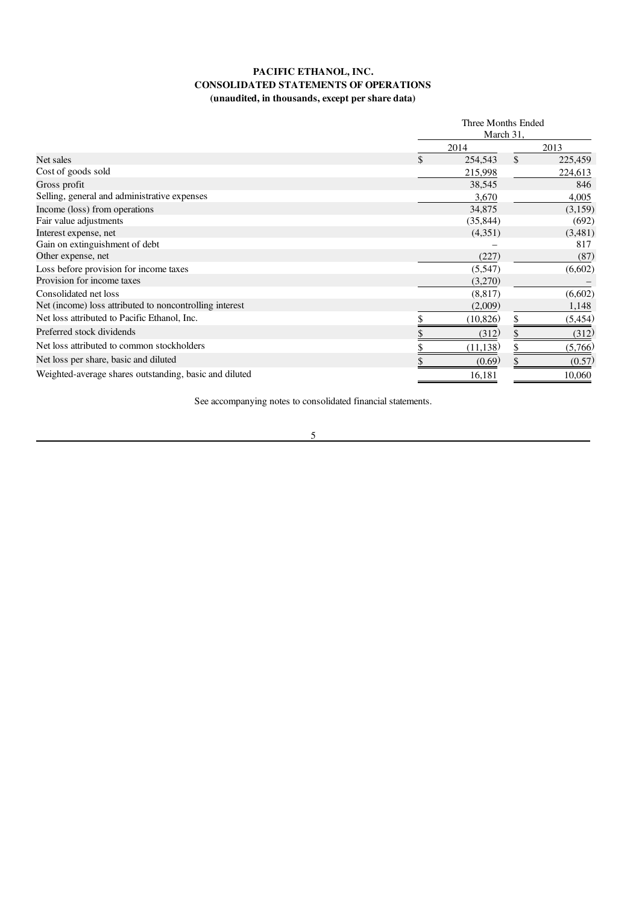# PACIFIC ETHANOL, INC. CONSOLIDATED STATEMENTS OF OPERATIONS (unaudited, in thousands, except per share data)

|                                                         |           | Three Months Ended<br>March 31, |
|---------------------------------------------------------|-----------|---------------------------------|
|                                                         | 2014      | 2013                            |
| Net sales                                               | 254,543   | \$<br>225,459                   |
| Cost of goods sold                                      | 215,998   | 224,613                         |
| Gross profit                                            | 38,545    | 846                             |
| Selling, general and administrative expenses            | 3,670     | 4,005                           |
| Income (loss) from operations                           | 34,875    | (3,159)                         |
| Fair value adjustments                                  | (35, 844) | (692)                           |
| Interest expense, net                                   | (4,351)   | (3,481)                         |
| Gain on extinguishment of debt                          |           | 817                             |
| Other expense, net                                      | (227)     | (87)                            |
| Loss before provision for income taxes                  | (5,547)   | (6,602)                         |
| Provision for income taxes                              | (3,270)   |                                 |
| Consolidated net loss                                   | (8, 817)  | (6,602)                         |
| Net (income) loss attributed to noncontrolling interest | (2,009)   | 1,148                           |
| Net loss attributed to Pacific Ethanol, Inc.            | (10, 826) | (5,454)                         |
| Preferred stock dividends                               | (312)     | (312)                           |
| Net loss attributed to common stockholders              | (11, 138) | (5,766)                         |
| Net loss per share, basic and diluted                   | (0.69)    | (0.57)                          |
| Weighted-average shares outstanding, basic and diluted  | 16,181    | 10,060                          |

See accompanying notes to consolidated financial statements.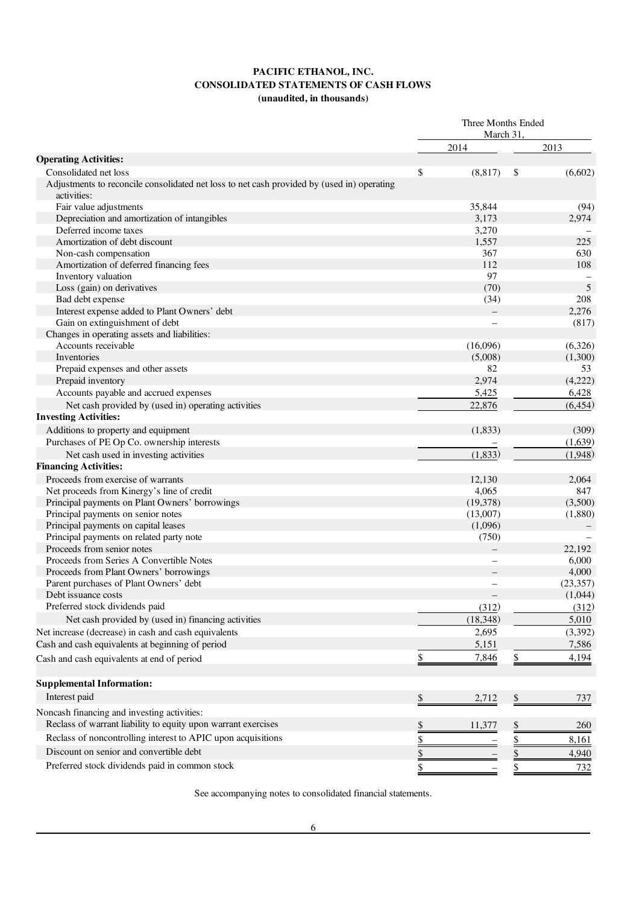# PACIFIC ETHANOL, INC. CONSOLIDATED STATEMENTS OF CASH FLOWS (unaudited, in thousands)

|                                                                                                           |               | Three Months Ended<br>March 31. |                          |           |
|-----------------------------------------------------------------------------------------------------------|---------------|---------------------------------|--------------------------|-----------|
|                                                                                                           |               | 2014                            |                          | 2013      |
| <b>Operating Activities:</b>                                                                              |               |                                 |                          |           |
| Consolidated net loss                                                                                     | \$            | (8, 817)                        | \$                       | (6,602)   |
| Adjustments to reconcile consolidated net loss to net cash provided by (used in) operating<br>activities: |               |                                 |                          |           |
| Fair value adjustments                                                                                    |               | 35,844                          |                          | (94)      |
| Depreciation and amortization of intangibles                                                              |               | 3,173                           |                          | 2,974     |
| Deferred income taxes                                                                                     |               | 3,270                           |                          |           |
| Amortization of debt discount                                                                             |               | 1,557                           |                          | 225       |
| Non-cash compensation                                                                                     |               | 367                             |                          | 630       |
| Amortization of deferred financing fees                                                                   |               | 112                             |                          | 108       |
| Inventory valuation                                                                                       |               | 97                              |                          |           |
| Loss (gain) on derivatives                                                                                |               | (70)                            |                          | 5         |
| Bad debt expense                                                                                          |               | (34)                            |                          | 208       |
| Interest expense added to Plant Owners' debt                                                              |               |                                 |                          | 2,276     |
| Gain on extinguishment of debt                                                                            |               |                                 |                          | (817)     |
| Changes in operating assets and liabilities:                                                              |               |                                 |                          |           |
| Accounts receivable                                                                                       |               | (16,096)                        |                          | (6,326)   |
| Inventories                                                                                               |               | (5,008)                         |                          | (1,300)   |
| Prepaid expenses and other assets                                                                         |               | 82                              |                          | 53        |
| Prepaid inventory                                                                                         |               | 2,974                           |                          | (4,222)   |
| Accounts payable and accrued expenses                                                                     |               | 5,425                           |                          | 6,428     |
| Net cash provided by (used in) operating activities                                                       |               | 22,876                          |                          | (6, 454)  |
| <b>Investing Activities:</b>                                                                              |               |                                 |                          |           |
| Additions to property and equipment                                                                       |               | (1, 833)                        |                          | (309)     |
| Purchases of PE Op Co. ownership interests                                                                |               |                                 |                          | (1,639)   |
| Net cash used in investing activities                                                                     |               | (1, 833)                        |                          | (1,948)   |
| <b>Financing Activities:</b>                                                                              |               |                                 |                          |           |
| Proceeds from exercise of warrants                                                                        |               | 12,130                          |                          | 2,064     |
| Net proceeds from Kinergy's line of credit                                                                |               | 4,065                           |                          | 847       |
| Principal payments on Plant Owners' borrowings                                                            |               | (19,378)                        |                          | (3,500)   |
| Principal payments on senior notes                                                                        |               | (13,007)                        |                          | (1,880)   |
| Principal payments on capital leases                                                                      |               | (1,096)                         |                          |           |
| Principal payments on related party note                                                                  |               | (750)                           |                          |           |
| Proceeds from senior notes                                                                                |               |                                 |                          | 22,192    |
| Proceeds from Series A Convertible Notes                                                                  |               |                                 |                          | 6,000     |
| Proceeds from Plant Owners' borrowings                                                                    |               |                                 |                          | 4,000     |
| Parent purchases of Plant Owners' debt                                                                    |               | $\overline{\phantom{0}}$        |                          | (23, 357) |
| Debt issuance costs                                                                                       |               |                                 |                          | (1,044)   |
| Preferred stock dividends paid                                                                            |               | (312)                           |                          | (312)     |
| Net cash provided by (used in) financing activities                                                       |               | (18, 348)                       |                          | 5,010     |
| Net increase (decrease) in cash and cash equivalents                                                      |               | 2,695                           |                          | (3,392)   |
| Cash and cash equivalents at beginning of period                                                          |               | 5,151                           |                          | 7,586     |
| Cash and cash equivalents at end of period                                                                | $\frac{1}{2}$ | 7,846                           | \$                       | 4,194     |
| <b>Supplemental Information:</b>                                                                          |               |                                 |                          |           |
| Interest paid                                                                                             | $\frac{1}{2}$ | 2,712                           | $\overline{\mathcal{E}}$ | 737       |
|                                                                                                           |               |                                 |                          |           |
| Noncash financing and investing activities:                                                               |               |                                 |                          |           |
| Reclass of warrant liability to equity upon warrant exercises                                             | \$            | 11,377                          | \$                       | 260       |
| Reclass of noncontrolling interest to APIC upon acquisitions                                              | \$            |                                 | \$                       | 8,161     |
| Discount on senior and convertible debt                                                                   | \$            |                                 | \$                       | 4,940     |
| Preferred stock dividends paid in common stock                                                            | \$            |                                 | \$                       | 732       |

See accompanying notes to consolidated financial statements.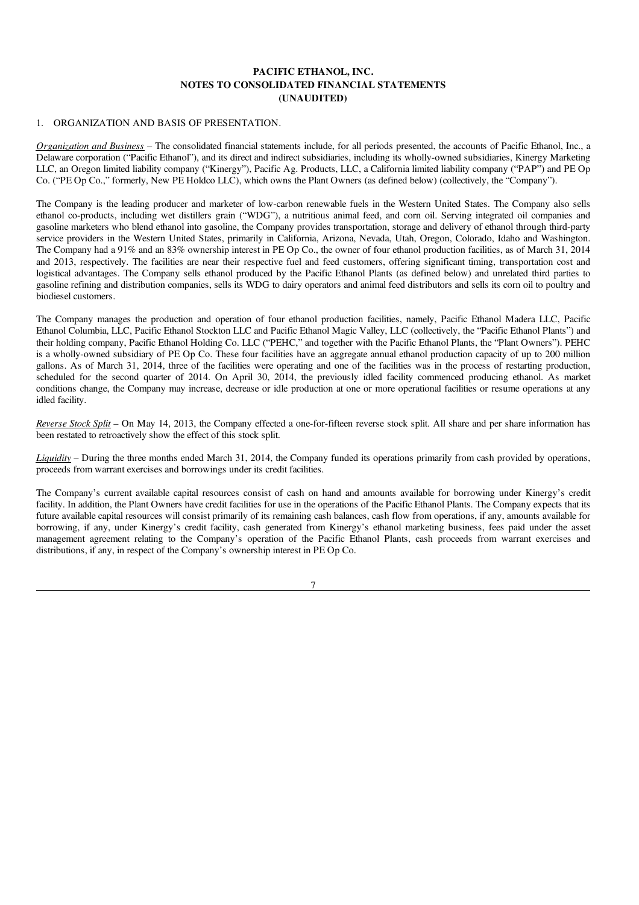## PACIFIC ETHANOL, INC. NOTES TO CONSOLIDATED FINANCIAL STATEMENTS (UNAUDITED)

### 1. ORGANIZATION AND BASIS OF PRESENTATION.

*Organization and Business* – The consolidated financial statements include, for all periods presented, the accounts of Pacific Ethanol, Inc., a Delaware corporation ("Pacific Ethanol"), and its direct and indirect subsidiaries, including its wholly-owned subsidiaries, Kinergy Marketing LLC, an Oregon limited liability company ("Kinergy"), Pacific Ag. Products, LLC, a California limited liability company ("PAP") and PE Op Co. ("PE Op Co.," formerly, New PE Holdco LLC), which owns the Plant Owners (as defined below) (collectively, the "Company").

The Company is the leading producer and marketer of low-carbon renewable fuels in the Western United States. The Company also sells ethanol co-products, including wet distillers grain ("WDG"), a nutritious animal feed, and corn oil. Serving integrated oil companies and gasoline marketers who blend ethanol into gasoline, the Company provides transportation, storage and delivery of ethanol through third-party service providers in the Western United States, primarily in California, Arizona, Nevada, Utah, Oregon, Colorado, Idaho and Washington. The Company had a 91% and an 83% ownership interest in PE Op Co., the owner of four ethanol production facilities, as of March 31, 2014 and 2013, respectively. The facilities are near their respective fuel and feed customers, offering significant timing, transportation cost and logistical advantages. The Company sells ethanol produced by the Pacific Ethanol Plants (as defined below) and unrelated third parties to gasoline refining and distribution companies, sells its WDG to dairy operators and animal feed distributors and sells its corn oil to poultry and biodiesel customers.

The Company manages the production and operation of four ethanol production facilities, namely, Pacific Ethanol Madera LLC, Pacific Ethanol Columbia, LLC, Pacific Ethanol Stockton LLC and Pacific Ethanol Magic Valley, LLC (collectively, the "Pacific Ethanol Plants") and their holding company, Pacific Ethanol Holding Co. LLC ("PEHC," and together with the Pacific Ethanol Plants, the "Plant Owners"). PEHC is a wholly-owned subsidiary of PE Op Co. These four facilities have an aggregate annual ethanol production capacity of up to 200 million gallons. As of March 31, 2014, three of the facilities were operating and one of the facilities was in the process of restarting production, scheduled for the second quarter of 2014. On April 30, 2014, the previously idled facility commenced producing ethanol. As market conditions change, the Company may increase, decrease or idle production at one or more operational facilities or resume operations at any idled facility.

*Reverse Stock Split* – On May 14, 2013, the Company effected a one-for-fifteen reverse stock split. All share and per share information has been restated to retroactively show the effect of this stock split.

*Liquidity* – During the three months ended March 31, 2014, the Company funded its operations primarily from cash provided by operations, proceeds from warrant exercises and borrowings under its credit facilities.

The Company's current available capital resources consist of cash on hand and amounts available for borrowing under Kinergy's credit facility. In addition, the Plant Owners have credit facilities for use in the operations of the Pacific Ethanol Plants. The Company expects that its future available capital resources will consist primarily of its remaining cash balances, cash flow from operations, if any, amounts available for borrowing, if any, under Kinergy's credit facility, cash generated from Kinergy's ethanol marketing business, fees paid under the asset management agreement relating to the Company's operation of the Pacific Ethanol Plants, cash proceeds from warrant exercises and distributions, if any, in respect of the Company's ownership interest in PE Op Co.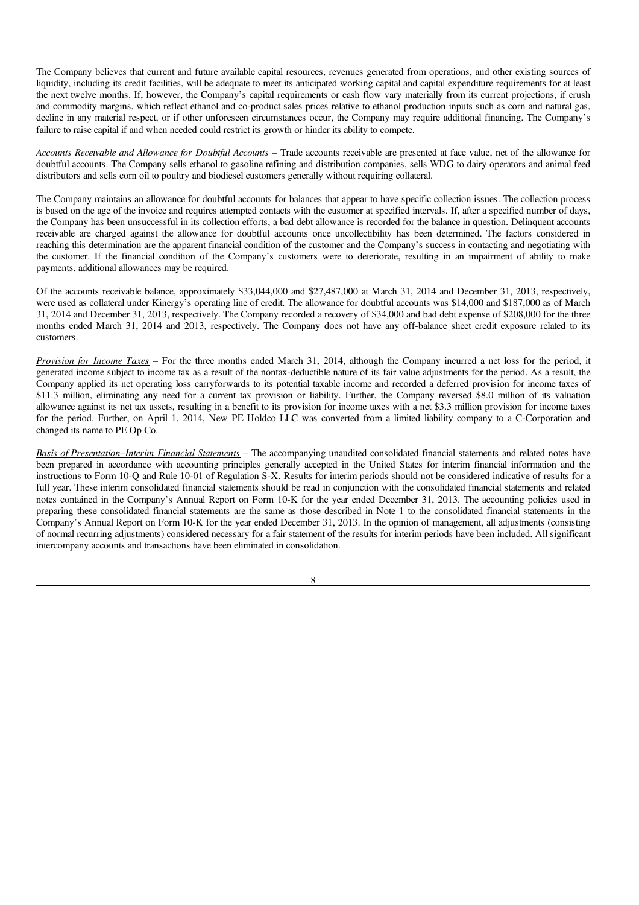The Company believes that current and future available capital resources, revenues generated from operations, and other existing sources of liquidity, including its credit facilities, will be adequate to meet its anticipated working capital and capital expenditure requirements for at least the next twelve months. If, however, the Company's capital requirements or cash flow vary materially from its current projections, if crush and commodity margins, which reflect ethanol and co-product sales prices relative to ethanol production inputs such as corn and natural gas, decline in any material respect, or if other unforeseen circumstances occur, the Company may require additional financing. The Company's failure to raise capital if and when needed could restrict its growth or hinder its ability to compete.

*Accounts Receivable and Allowance for Doubtful Accounts* – Trade accounts receivable are presented at face value, net of the allowance for doubtful accounts. The Company sells ethanol to gasoline refining and distribution companies, sells WDG to dairy operators and animal feed distributors and sells corn oil to poultry and biodiesel customers generally without requiring collateral.

The Company maintains an allowance for doubtful accounts for balances that appear to have specific collection issues. The collection process is based on the age of the invoice and requires attempted contacts with the customer at specified intervals. If, after a specified number of days, the Company has been unsuccessful in its collection efforts, a bad debt allowance is recorded for the balance in question. Delinquent accounts receivable are charged against the allowance for doubtful accounts once uncollectibility has been determined. The factors considered in reaching this determination are the apparent financial condition of the customer and the Company's success in contacting and negotiating with the customer. If the financial condition of the Company's customers were to deteriorate, resulting in an impairment of ability to make payments, additional allowances may be required.

Of the accounts receivable balance, approximately \$33,044,000 and \$27,487,000 at March 31, 2014 and December 31, 2013, respectively, were used as collateral under Kinergy's operating line of credit. The allowance for doubtful accounts was \$14,000 and \$187,000 as of March 31, 2014 and December 31, 2013, respectively. The Company recorded a recovery of \$34,000 and bad debt expense of \$208,000 for the three months ended March 31, 2014 and 2013, respectively. The Company does not have any off-balance sheet credit exposure related to its customers.

*Provision for Income Taxes* – For the three months ended March 31, 2014, although the Company incurred a net loss for the period, it generated income subject to income tax as a result of the nontax-deductible nature of its fair value adjustments for the period. As a result, the Company applied its net operating loss carryforwards to its potential taxable income and recorded a deferred provision for income taxes of \$11.3 million, eliminating any need for a current tax provision or liability. Further, the Company reversed \$8.0 million of its valuation allowance against its net tax assets, resulting in a benefit to its provision for income taxes with a net \$3.3 million provision for income taxes for the period. Further, on April 1, 2014, New PE Holdco LLC was converted from a limited liability company to a C-Corporation and changed its name to PE Op Co.

*Basis of Presentation*–*Interim Financial Statements* – The accompanying unaudited consolidated financial statements and related notes have been prepared in accordance with accounting principles generally accepted in the United States for interim financial information and the instructions to Form 10-Q and Rule 10-01 of Regulation S-X. Results for interim periods should not be considered indicative of results for a full year. These interim consolidated financial statements should be read in conjunction with the consolidated financial statements and related notes contained in the Company's Annual Report on Form 10-K for the year ended December 31, 2013. The accounting policies used in preparing these consolidated financial statements are the same as those described in Note 1 to the consolidated financial statements in the Company's Annual Report on Form 10-K for the year ended December 31, 2013. In the opinion of management, all adjustments (consisting of normal recurring adjustments) considered necessary for a fair statement of the results for interim periods have been included. All significant intercompany accounts and transactions have been eliminated in consolidation.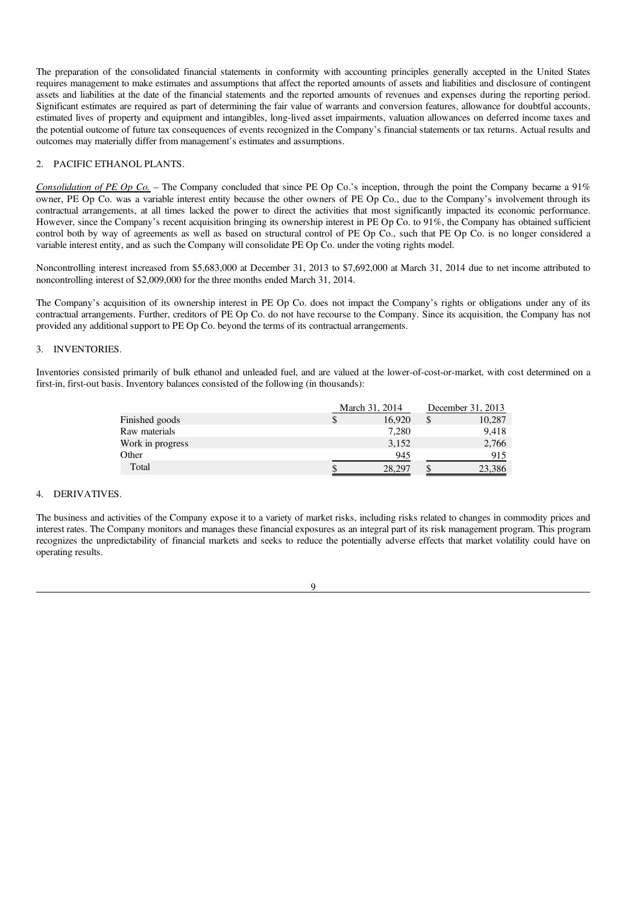The preparation of the consolidated financial statements in conformity with accounting principles generally accepted in the United States requires management to make estimates and assumptions that affect the reported amounts of assets and liabilities and disclosure of contingent assets and liabilities at the date of the financial statements and the reported amounts of revenues and expenses during the reporting period. Significant estimates are required as part of determining the fair value of warrants and conversion features, allowance for doubtful accounts, estimated lives of property and equipment and intangibles, long-lived asset impairments, valuation allowances on deferred income taxes and the potential outcome of future tax consequences of events recognized in the Company's financial statements or tax returns. Actual results and outcomes may materially differ from management's estimates and assumptions.

### 2. PACIFIC ETHANOL PLANTS.

*Consolidation of PE Op Co.* – The Company concluded that since PE Op Co.'s inception, through the point the Company became a 91% owner, PE Op Co. was a variable interest entity because the other owners of PE Op Co., due to the Company's involvement through its contractual arrangements, at all times lacked the power to direct the activities that most significantly impacted its economic performance. However, since the Company's recent acquisition bringing its ownership interest in PE Op Co. to 91%, the Company has obtained sufficient control both by way of agreements as well as based on structural control of PE Op Co., such that PE Op Co. is no longer considered a variable interest entity, and as such the Company will consolidate PE Op Co. under the voting rights model.

Noncontrolling interest increased from \$5,683,000 at December 31, 2013 to \$7,692,000 at March 31, 2014 due to net income attributed to noncontrolling interest of \$2,009,000 for the three months ended March 31, 2014.

The Company's acquisition of its ownership interest in PE Op Co. does not impact the Company's rights or obligations under any of its contractual arrangements. Further, creditors of PE Op Co. do not have recourse to the Company. Since its acquisition, the Company has not provided any additional support to PE Op Co. beyond the terms of its contractual arrangements.

### 3. INVENTORIES.

Inventories consisted primarily of bulk ethanol and unleaded fuel, and are valued at the lower-of-cost-or-market, with cost determined on a first-in, first-out basis. Inventory balances consisted of the following (in thousands):

|                  | March 31, 2014 | December 31, 2013 |
|------------------|----------------|-------------------|
| Finished goods   | 16,920         | \$<br>10,287      |
| Raw materials    | 7,280          | 9,418             |
| Work in progress | 3,152          | 2,766             |
| Other            | 945            | 915               |
| Total            | 28,297         | 23,386            |

### 4. DERIVATIVES.

The business and activities of the Company expose it to a variety of market risks, including risks related to changes in commodity prices and interest rates. The Company monitors and manages these financial exposures as an integral part of its risk management program. This program recognizes the unpredictability of financial markets and seeks to reduce the potentially adverse effects that market volatility could have on operating results.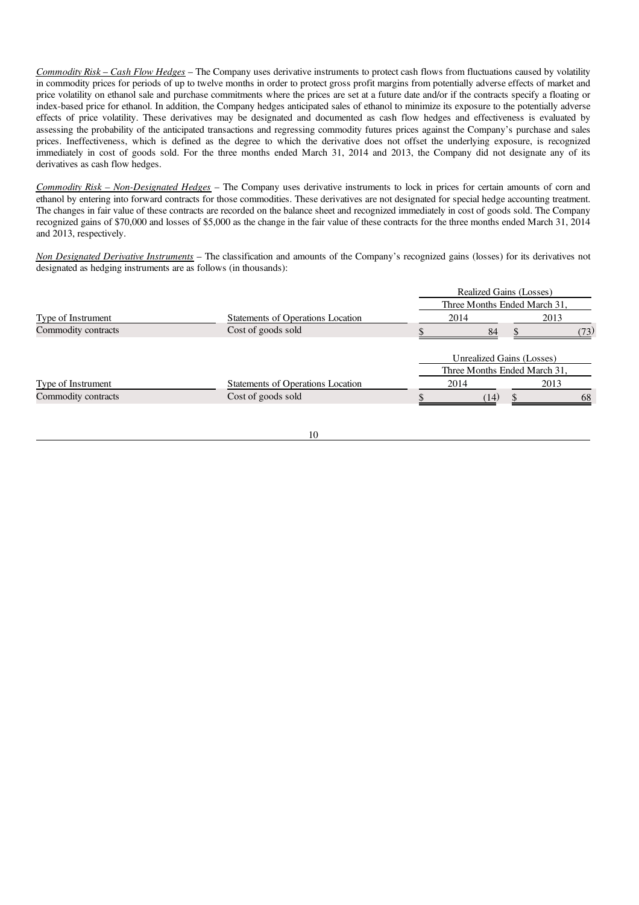*Commodity Risk* – *Cash Flow Hedges* – The Company uses derivative instruments to protect cash flows from fluctuations caused by volatility in commodity prices for periods of up to twelve months in order to protect gross profit margins from potentially adverse effects of market and price volatility on ethanol sale and purchase commitments where the prices are set at a future date and/or if the contracts specify a floating or index-based price for ethanol. In addition, the Company hedges anticipated sales of ethanol to minimize its exposure to the potentially adverse effects of price volatility. These derivatives may be designated and documented as cash flow hedges and effectiveness is evaluated by assessing the probability of the anticipated transactions and regressing commodity futures prices against the Company's purchase and sales prices. Ineffectiveness, which is defined as the degree to which the derivative does not offset the underlying exposure, is recognized immediately in cost of goods sold. For the three months ended March 31, 2014 and 2013, the Company did not designate any of its derivatives as cash flow hedges.

*Commodity Risk – Non-Designated Hedges* – The Company uses derivative instruments to lock in prices for certain amounts of corn and ethanol by entering into forward contracts for those commodities. These derivatives are not designated for special hedge accounting treatment. The changes in fair value of these contracts are recorded on the balance sheet and recognized immediately in cost of goods sold. The Company recognized gains of \$70,000 and losses of \$5,000 as the change in the fair value of these contracts for the three months ended March 31, 2014 and 2013, respectively.

*Non Designated Derivative Instruments* – The classification and amounts of the Company's recognized gains (losses) for its derivatives not designated as hedging instruments are as follows (in thousands):

|                     |                                   | Realized Gains (Losses) |                                                           |  |      |  |  |  |
|---------------------|-----------------------------------|-------------------------|-----------------------------------------------------------|--|------|--|--|--|
|                     |                                   |                         | Three Months Ended March 31,                              |  |      |  |  |  |
| Type of Instrument  | Statements of Operations Location |                         | 2014                                                      |  | 2013 |  |  |  |
| Commodity contracts | Cost of goods sold                |                         | 84                                                        |  | 73)  |  |  |  |
|                     |                                   |                         | Unrealized Gains (Losses)<br>Three Months Ended March 31, |  |      |  |  |  |
| Type of Instrument  | Statements of Operations Location |                         | 2014                                                      |  | 2013 |  |  |  |
| Commodity contracts | Cost of goods sold                |                         | (14)                                                      |  | 68   |  |  |  |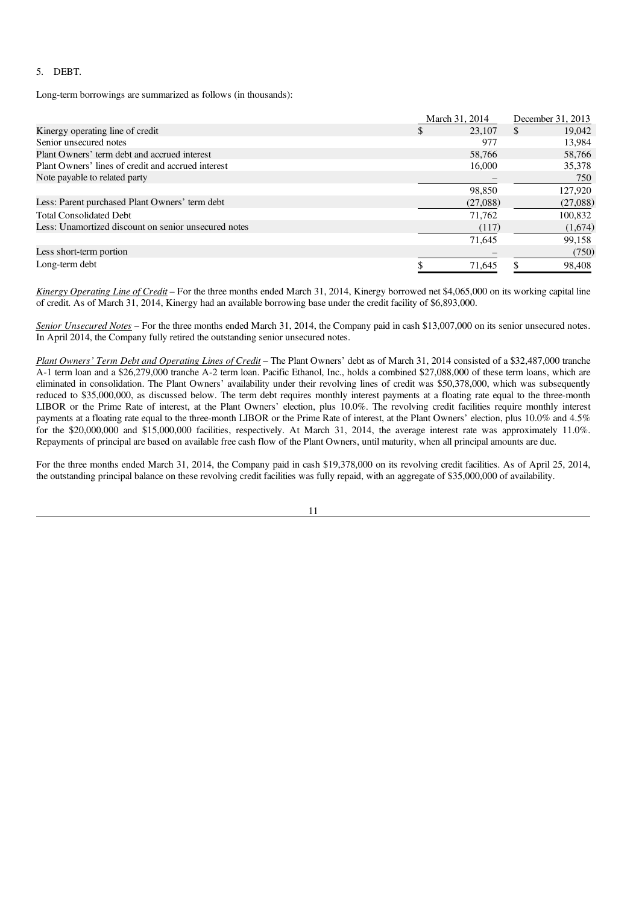## 5. DEBT.

Long-term borrowings are summarized as follows (in thousands):

|                                                      | March 31, 2014 |          |     | December 31, 2013 |
|------------------------------------------------------|----------------|----------|-----|-------------------|
| Kinergy operating line of credit                     |                | 23,107   | \$. | 19,042            |
| Senior unsecured notes                               |                | 977      |     | 13,984            |
| Plant Owners' term debt and accrued interest         |                | 58,766   |     | 58,766            |
| Plant Owners' lines of credit and accrued interest   |                | 16,000   |     | 35,378            |
| Note payable to related party                        |                |          |     | 750               |
|                                                      |                | 98,850   |     | 127,920           |
| Less: Parent purchased Plant Owners' term debt       |                | (27,088) |     | (27,088)          |
| <b>Total Consolidated Debt</b>                       |                | 71,762   |     | 100,832           |
| Less: Unamortized discount on senior unsecured notes |                | (117)    |     | (1,674)           |
|                                                      |                | 71.645   |     | 99,158            |
| Less short-term portion                              |                |          |     | (750)             |
| Long-term debt                                       |                | 71.645   |     | 98,408            |

*Kinergy Operating Line of Credit* – For the three months ended March 31, 2014, Kinergy borrowed net \$4,065,000 on its working capital line of credit. As of March 31, 2014, Kinergy had an available borrowing base under the credit facility of \$6,893,000.

*Senior Unsecured Notes* – For the three months ended March 31, 2014, the Company paid in cash \$13,007,000 on its senior unsecured notes. In April 2014, the Company fully retired the outstanding senior unsecured notes.

*Plant Owners' Term Debt and Operating Lines of Credit* – The Plant Owners' debt as of March 31, 2014 consisted of a \$32,487,000 tranche A-1 term loan and a \$26,279,000 tranche A-2 term loan. Pacific Ethanol, Inc., holds a combined \$27,088,000 of these term loans, which are eliminated in consolidation. The Plant Owners' availability under their revolving lines of credit was \$50,378,000, which was subsequently reduced to \$35,000,000, as discussed below. The term debt requires monthly interest payments at a floating rate equal to the three-month LIBOR or the Prime Rate of interest, at the Plant Owners' election, plus 10.0%. The revolving credit facilities require monthly interest payments at a floating rate equal to the three-month LIBOR or the Prime Rate of interest, at the Plant Owners' election, plus 10.0% and 4.5% for the \$20,000,000 and \$15,000,000 facilities, respectively. At March 31, 2014, the average interest rate was approximately 11.0%. Repayments of principal are based on available free cash flow of the Plant Owners, until maturity, when all principal amounts are due.

For the three months ended March 31, 2014, the Company paid in cash \$19,378,000 on its revolving credit facilities. As of April 25, 2014, the outstanding principal balance on these revolving credit facilities was fully repaid, with an aggregate of \$35,000,000 of availability.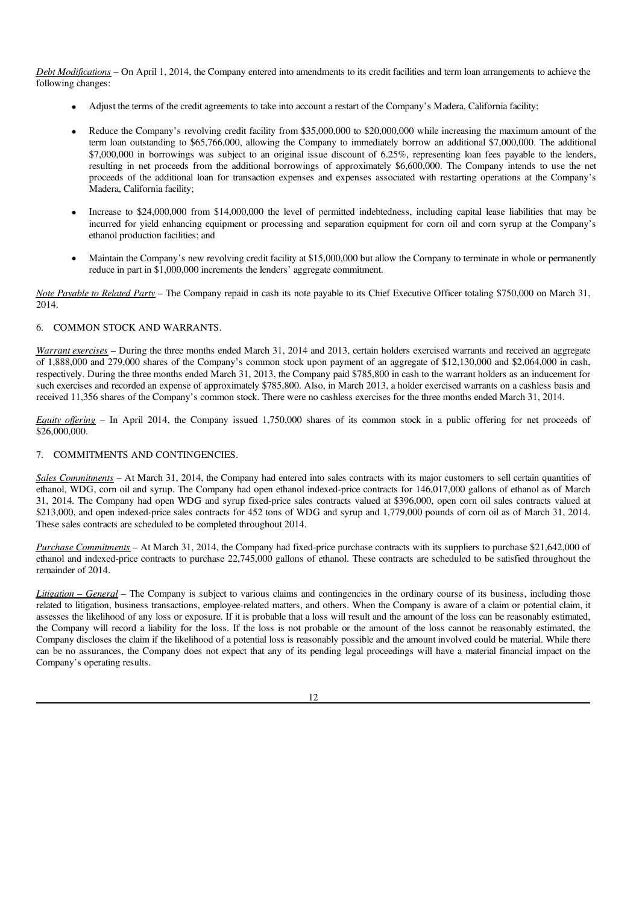*Debt Modifications* – On April 1, 2014, the Company entered into amendments to its credit facilities and term loan arrangements to achieve the following changes:

- Adjust the terms of the credit agreements to take into account a restart of the Company's Madera, California facility;
- Reduce the Company's revolving credit facility from \$35,000,000 to \$20,000,000 while increasing the maximum amount of the term loan outstanding to \$65,766,000, allowing the Company to immediately borrow an additional \$7,000,000. The additional \$7,000,000 in borrowings was subject to an original issue discount of 6.25%, representing loan fees payable to the lenders, resulting in net proceeds from the additional borrowings of approximately \$6,600,000. The Company intends to use the net proceeds of the additional loan for transaction expenses and expenses associated with restarting operations at the Company's Madera, California facility;
- Increase to \$24,000,000 from \$14,000,000 the level of permitted indebtedness, including capital lease liabilities that may be incurred for yield enhancing equipment or processing and separation equipment for corn oil and corn syrup at the Company's ethanol production facilities; and
- Maintain the Company's new revolving credit facility at \$15,000,000 but allow the Company to terminate in whole or permanently reduce in part in \$1,000,000 increments the lenders' aggregate commitment.

*Note Payable to Related Party* – The Company repaid in cash its note payable to its Chief Executive Officer totaling \$750,000 on March 31, 2014.

## 6. COMMON STOCK AND WARRANTS.

*Warrant exercises* – During the three months ended March 31, 2014 and 2013, certain holders exercised warrants and received an aggregate of 1,888,000 and 279,000 shares of the Company's common stock upon payment of an aggregate of \$12,130,000 and \$2,064,000 in cash, respectively. During the three months ended March 31, 2013, the Company paid \$785,800 in cash to the warrant holders as an inducement for such exercises and recorded an expense of approximately \$785,800. Also, in March 2013, a holder exercised warrants on a cashless basis and received 11,356 shares of the Company's common stock. There were no cashless exercises for the three months ended March 31, 2014.

*Equity offering* – In April 2014, the Company issued 1,750,000 shares of its common stock in a public offering for net proceeds of \$26,000,000.

## 7. COMMITMENTS AND CONTINGENCIES.

*Sales Commitments* – At March 31, 2014, the Company had entered into sales contracts with its major customers to sell certain quantities of ethanol, WDG, corn oil and syrup. The Company had open ethanol indexed-price contracts for 146,017,000 gallons of ethanol as of March 31, 2014. The Company had open WDG and syrup fixed-price sales contracts valued at \$396,000, open corn oil sales contracts valued at \$213,000, and open indexed-price sales contracts for 452 tons of WDG and syrup and 1,779,000 pounds of corn oil as of March 31, 2014. These sales contracts are scheduled to be completed throughout 2014.

*Purchase Commitments* – At March 31, 2014, the Company had fixed-price purchase contracts with its suppliers to purchase \$21,642,000 of ethanol and indexed-price contracts to purchase 22,745,000 gallons of ethanol. These contracts are scheduled to be satisfied throughout the remainder of 2014.

*Litigation* – *General* – The Company is subject to various claims and contingencies in the ordinary course of its business, including those related to litigation, business transactions, employee-related matters, and others. When the Company is aware of a claim or potential claim, it assesses the likelihood of any loss or exposure. If it is probable that a loss will result and the amount of the loss can be reasonably estimated, the Company will record a liability for the loss. If the loss is not probable or the amount of the loss cannot be reasonably estimated, the Company discloses the claim if the likelihood of a potential loss is reasonably possible and the amount involved could be material. While there can be no assurances, the Company does not expect that any of its pending legal proceedings will have a material financial impact on the Company's operating results.

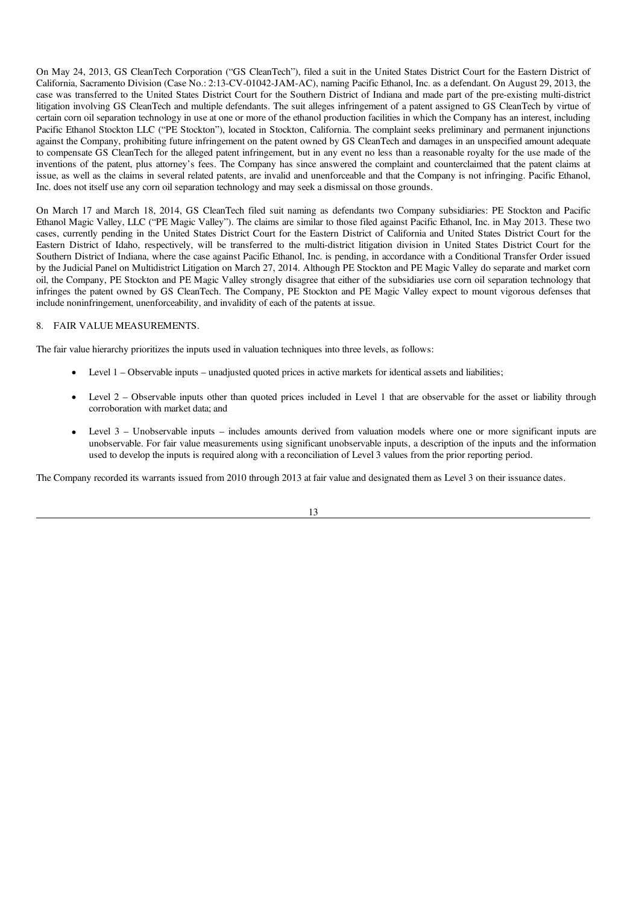On May 24, 2013, GS CleanTech Corporation ("GS CleanTech"), filed a suit in the United States District Court for the Eastern District of California, Sacramento Division (Case No.: 2:13-CV-01042-JAM-AC), naming Pacific Ethanol, Inc. as a defendant. On August 29, 2013, the case was transferred to the United States District Court for the Southern District of Indiana and made part of the pre-existing multi-district litigation involving GS CleanTech and multiple defendants. The suit alleges infringement of a patent assigned to GS CleanTech by virtue of certain corn oil separation technology in use at one or more of the ethanol production facilities in which the Company has an interest, including Pacific Ethanol Stockton LLC ("PE Stockton"), located in Stockton, California. The complaint seeks preliminary and permanent injunctions against the Company, prohibiting future infringement on the patent owned by GS CleanTech and damages in an unspecified amount adequate to compensate GS CleanTech for the alleged patent infringement, but in any event no less than a reasonable royalty for the use made of the inventions of the patent, plus attorney's fees. The Company has since answered the complaint and counterclaimed that the patent claims at issue, as well as the claims in several related patents, are invalid and unenforceable and that the Company is not infringing. Pacific Ethanol, Inc. does not itself use any corn oil separation technology and may seek a dismissal on those grounds.

On March 17 and March 18, 2014, GS CleanTech filed suit naming as defendants two Company subsidiaries: PE Stockton and Pacific Ethanol Magic Valley, LLC ("PE Magic Valley"). The claims are similar to those filed against Pacific Ethanol, Inc. in May 2013. These two cases, currently pending in the United States District Court for the Eastern District of California and United States District Court for the Eastern District of Idaho, respectively, will be transferred to the multi-district litigation division in United States District Court for the Southern District of Indiana, where the case against Pacific Ethanol, Inc. is pending, in accordance with a Conditional Transfer Order issued by the Judicial Panel on Multidistrict Litigation on March 27, 2014. Although PE Stockton and PE Magic Valley do separate and market corn oil, the Company, PE Stockton and PE Magic Valley strongly disagree that either of the subsidiaries use corn oil separation technology that infringes the patent owned by GS CleanTech. The Company, PE Stockton and PE Magic Valley expect to mount vigorous defenses that include noninfringement, unenforceability, and invalidity of each of the patents at issue.

## 8. FAIR VALUE MEASUREMENTS.

The fair value hierarchy prioritizes the inputs used in valuation techniques into three levels, as follows:

- Level 1 Observable inputs unadjusted quoted prices in active markets for identical assets and liabilities;
- Level 2 Observable inputs other than quoted prices included in Level 1 that are observable for the asset or liability through corroboration with market data; and
- Level 3 Unobservable inputs includes amounts derived from valuation models where one or more significant inputs are unobservable. For fair value measurements using significant unobservable inputs, a description of the inputs and the information used to develop the inputs is required along with a reconciliation of Level 3 values from the prior reporting period.

The Company recorded its warrants issued from 2010 through 2013 at fair value and designated them as Level 3 on their issuance dates.

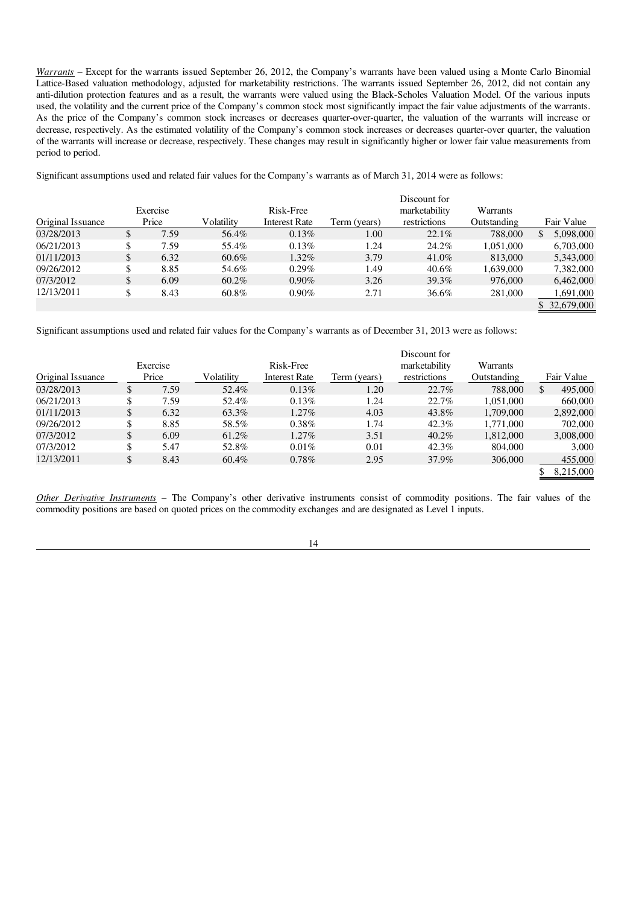*Warrants* – Except for the warrants issued September 26, 2012, the Company's warrants have been valued using a Monte Carlo Binomial Lattice-Based valuation methodology, adjusted for marketability restrictions. The warrants issued September 26, 2012, did not contain any anti-dilution protection features and as a result, the warrants were valued using the Black-Scholes Valuation Model. Of the various inputs used, the volatility and the current price of the Company's common stock most significantly impact the fair value adjustments of the warrants. As the price of the Company's common stock increases or decreases quarter-over-quarter, the valuation of the warrants will increase or decrease, respectively. As the estimated volatility of the Company's common stock increases or decreases quarter-over quarter, the valuation of the warrants will increase or decrease, respectively. These changes may result in significantly higher or lower fair value measurements from period to period.

Significant assumptions used and related fair values for the Company's warrants as of March 31, 2014 were as follows:

|                   |            |            |               |              | Discount for  |             |               |
|-------------------|------------|------------|---------------|--------------|---------------|-------------|---------------|
|                   | Exercise   |            | Risk-Free     |              | marketability | Warrants    |               |
| Original Issuance | Price      | Volatilitv | Interest Rate | Term (years) | restrictions  | Outstanding | Fair Value    |
| 03/28/2013        | \$<br>7.59 | 56.4%      | $0.13\%$      | 1.00         | 22.1%         | 788,000     | 5.098,000     |
| 06/21/2013        | \$<br>7.59 | 55.4%      | $0.13\%$      | 1.24         | 24.2%         | 1,051,000   | 6,703,000     |
| 01/11/2013        | \$<br>6.32 | 60.6%      | $1.32\%$      | 3.79         | 41.0%         | 813,000     | 5,343,000     |
| 09/26/2012        | \$<br>8.85 | 54.6%      | $0.29\%$      | 1.49         | $40.6\%$      | 1,639,000   | 7,382,000     |
| 07/3/2012         | \$<br>6.09 | 60.2%      | $0.90\%$      | 3.26         | 39.3%         | 976,000     | 6,462,000     |
| 12/13/2011        | \$<br>8.43 | 60.8%      | $0.90\%$      | 2.71         | 36.6%         | 281,000     | 1,691,000     |
|                   |            |            |               |              |               |             | \$ 32,679,000 |

Significant assumptions used and related fair values for the Company's warrants as of December 31, 2013 were as follows:

|                   |            |            |               |              | Discount for  |                 |               |
|-------------------|------------|------------|---------------|--------------|---------------|-----------------|---------------|
|                   | Exercise   |            | Risk-Free     |              | marketability | <b>Warrants</b> |               |
| Original Issuance | Price      | Volatility | Interest Rate | Term (years) | restrictions  | Outstanding     | Fair Value    |
| 03/28/2013        | \$<br>7.59 | 52.4%      | $0.13\%$      | 1.20         | 22.7%         | 788,000         | \$<br>495,000 |
| 06/21/2013        | \$<br>7.59 | 52.4%      | 0.13%         | 1.24         | $22.7\%$      | 1.051.000       | 660,000       |
| 01/11/2013        | \$<br>6.32 | 63.3%      | $1.27\%$      | 4.03         | 43.8%         | 1.709.000       | 2,892,000     |
| 09/26/2012        | \$<br>8.85 | 58.5%      | $0.38\%$      | 1.74         | 42.3%         | 1,771,000       | 702,000       |
| 07/3/2012         | \$<br>6.09 | 61.2%      | $1.27\%$      | 3.51         | $40.2\%$      | 1.812.000       | 3,008,000     |
| 07/3/2012         | \$<br>5.47 | 52.8%      | $0.01\%$      | 0.01         | 42.3%         | 804,000         | 3,000         |
| 12/13/2011        | \$<br>8.43 | 60.4%      | $0.78\%$      | 2.95         | 37.9%         | 306,000         | 455,000       |
|                   |            |            |               |              |               |                 | 8.215.000     |

*Other Derivative Instruments* – The Company's other derivative instruments consist of commodity positions. The fair values of the commodity positions are based on quoted prices on the commodity exchanges and are designated as Level 1 inputs.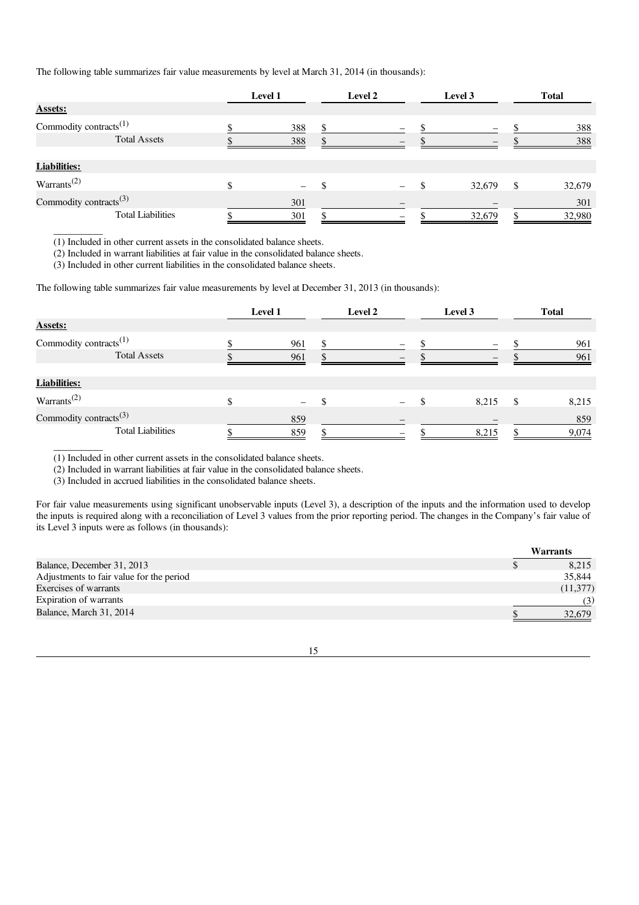The following table summarizes fair value measurements by level at March 31, 2014 (in thousands):

|                                                           | Level 1    | <b>Level 2</b> | Level 3 |   | <b>Total</b> |
|-----------------------------------------------------------|------------|----------------|---------|---|--------------|
| Assets:                                                   |            |                |         |   |              |
| Commodity contracts <sup>(1)</sup><br><b>Total Assets</b> | 388<br>388 |                |         |   | 388<br>388   |
| <b>Liabilities:</b>                                       |            |                |         |   |              |
| Warrants <sup>(2)</sup>                                   |            |                | 32,679  | S | 32,679       |
| Commodity contracts <sup>(3)</sup>                        | 301        |                |         |   | 301          |
| <b>Total Liabilities</b>                                  | 301        |                | 32,679  |   | 32,980       |

(1) Included in other current assets in the consolidated balance sheets.

\_\_\_\_\_\_\_\_\_\_

\_\_\_\_\_\_\_\_\_\_

(2) Included in warrant liabilities at fair value in the consolidated balance sheets.

(3) Included in other current liabilities in the consolidated balance sheets.

The following table summarizes fair value measurements by level at December 31, 2013 (in thousands):

|                                    | Level 1 | Level 3<br><b>Level 2</b> |  |       |  | <b>Total</b> |
|------------------------------------|---------|---------------------------|--|-------|--|--------------|
| Assets:                            |         |                           |  |       |  |              |
| Commodity contracts <sup>(1)</sup> | 961     |                           |  |       |  | 961          |
| <b>Total Assets</b>                | 961     |                           |  |       |  | 961          |
| <b>Liabilities:</b>                |         |                           |  |       |  |              |
|                                    |         |                           |  |       |  |              |
| Warrants <sup>(2)</sup>            |         |                           |  | 8,215 |  | 8,215        |
| Commodity contracts <sup>(3)</sup> | 859     |                           |  |       |  | 859          |
| <b>Total Liabilities</b>           | 859     |                           |  | 8.215 |  | 9,074        |

(1) Included in other current assets in the consolidated balance sheets.

(2) Included in warrant liabilities at fair value in the consolidated balance sheets.

(3) Included in accrued liabilities in the consolidated balance sheets.

For fair value measurements using significant unobservable inputs (Level 3), a description of the inputs and the information used to develop the inputs is required along with a reconciliation of Level 3 values from the prior reporting period. The changes in the Company's fair value of its Level 3 inputs were as follows (in thousands):

|                                          | Warrants  |
|------------------------------------------|-----------|
| Balance, December 31, 2013               | 8,215     |
| Adjustments to fair value for the period | 35,844    |
| Exercises of warrants                    | (11, 377) |
| Expiration of warrants                   | (3)       |
| Balance, March 31, 2014                  | 32,679    |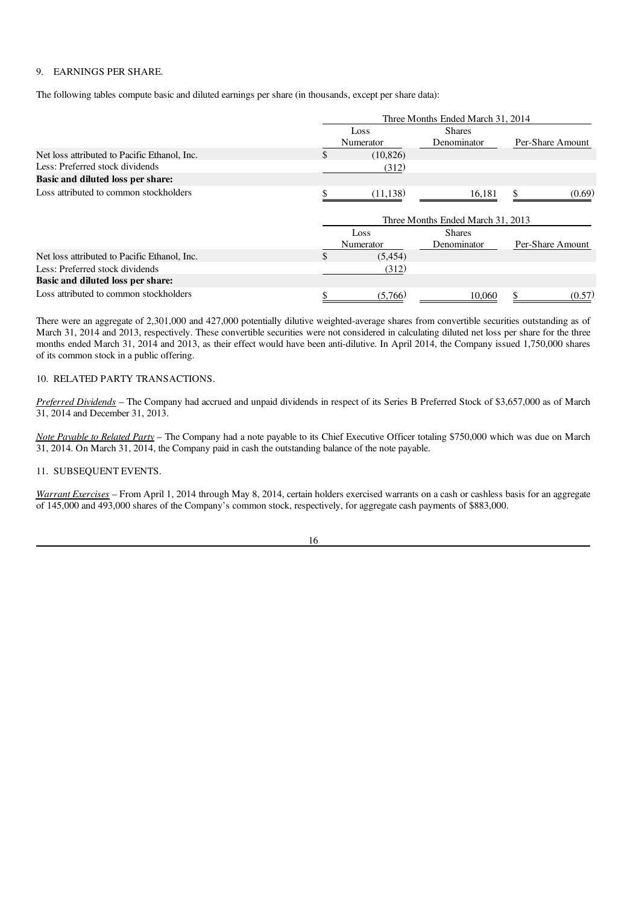## 9. EARNINGS PER SHARE.

The following tables compute basic and diluted earnings per share (in thousands, except per share data):

|                                              |    |                   | Three Months Ended March 31, 2014 |                  |                  |
|----------------------------------------------|----|-------------------|-----------------------------------|------------------|------------------|
|                                              |    | Loss<br>Numerator | <b>Shares</b><br>Denominator      | Per-Share Amount |                  |
| Net loss attributed to Pacific Ethanol, Inc. |    | (10, 826)         |                                   |                  |                  |
| Less: Preferred stock dividends              |    | (312)             |                                   |                  |                  |
| Basic and diluted loss per share:            |    |                   |                                   |                  |                  |
| Loss attributed to common stockholders       |    | (11, 138)         | 16,181                            |                  | (0.69)           |
|                                              |    |                   | Three Months Ended March 31, 2013 |                  |                  |
|                                              |    | Loss              | <b>Shares</b>                     |                  |                  |
|                                              |    | Numerator         | Denominator                       |                  | Per-Share Amount |
| Net loss attributed to Pacific Ethanol, Inc. | \$ | (5,454)           |                                   |                  |                  |
| Less: Preferred stock dividends              |    | (312)             |                                   |                  |                  |
| Basic and diluted loss per share:            |    |                   |                                   |                  |                  |
| Loss attributed to common stockholders       |    | (5,766)           | 10,060                            |                  | (0.57)           |

There were an aggregate of 2,301,000 and 427,000 potentially dilutive weighted-average shares from convertible securities outstanding as of March 31, 2014 and 2013, respectively. These convertible securities were not considered in calculating diluted net loss per share for the three months ended March 31, 2014 and 2013, as their effect would have been anti-dilutive. In April 2014, the Company issued 1,750,000 shares of its common stock in a public offering.

## 10. RELATED PARTY TRANSACTIONS.

*Preferred Dividends* – The Company had accrued and unpaid dividends in respect of its Series B Preferred Stock of \$3,657,000 as of March 31, 2014 and December 31, 2013.

*Note Payable to Related Party* – The Company had a note payable to its Chief Executive Officer totaling \$750,000 which was due on March 31, 2014. On March 31, 2014, the Company paid in cash the outstanding balance of the note payable.

## 11. SUBSEQUENT EVENTS.

*Warrant Exercises* – From April 1, 2014 through May 8, 2014, certain holders exercised warrants on a cash or cashless basis for an aggregate of 145,000 and 493,000 shares of the Company's common stock, respectively, for aggregate cash payments of \$883,000.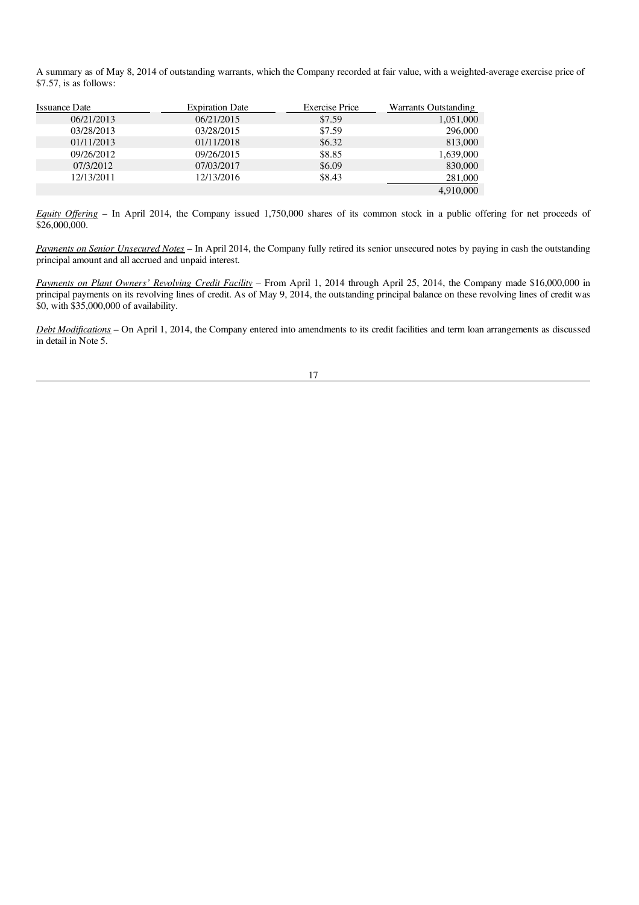A summary as of May 8, 2014 of outstanding warrants, which the Company recorded at fair value, with a weighted-average exercise price of \$7.57, is as follows:

| <b>Issuance Date</b> | <b>Expiration Date</b> | <b>Exercise Price</b> | Warrants Outstanding |
|----------------------|------------------------|-----------------------|----------------------|
| 06/21/2013           | 06/21/2015             | \$7.59                | 1,051,000            |
| 03/28/2013           | 03/28/2015             | \$7.59                | 296,000              |
| 01/11/2013           | 01/11/2018             | \$6.32                | 813,000              |
| 09/26/2012           | 09/26/2015             | \$8.85                | 1,639,000            |
| 07/3/2012            | 07/03/2017             | \$6.09                | 830,000              |
| 12/13/2011           | 12/13/2016             | \$8.43                | 281,000              |
|                      |                        |                       | 4.910.000            |

*Equity Offering* – In April 2014, the Company issued 1,750,000 shares of its common stock in a public offering for net proceeds of \$26,000,000.

*Payments on Senior Unsecured Notes* – In April 2014, the Company fully retired its senior unsecured notes by paying in cash the outstanding principal amount and all accrued and unpaid interest.

*Payments on Plant Owners' Revolving Credit Facility* – From April 1, 2014 through April 25, 2014, the Company made \$16,000,000 in principal payments on its revolving lines of credit. As of May 9, 2014, the outstanding principal balance on these revolving lines of credit was \$0, with \$35,000,000 of availability.

*Debt Modifications* – On April 1, 2014, the Company entered into amendments to its credit facilities and term loan arrangements as discussed in detail in Note 5.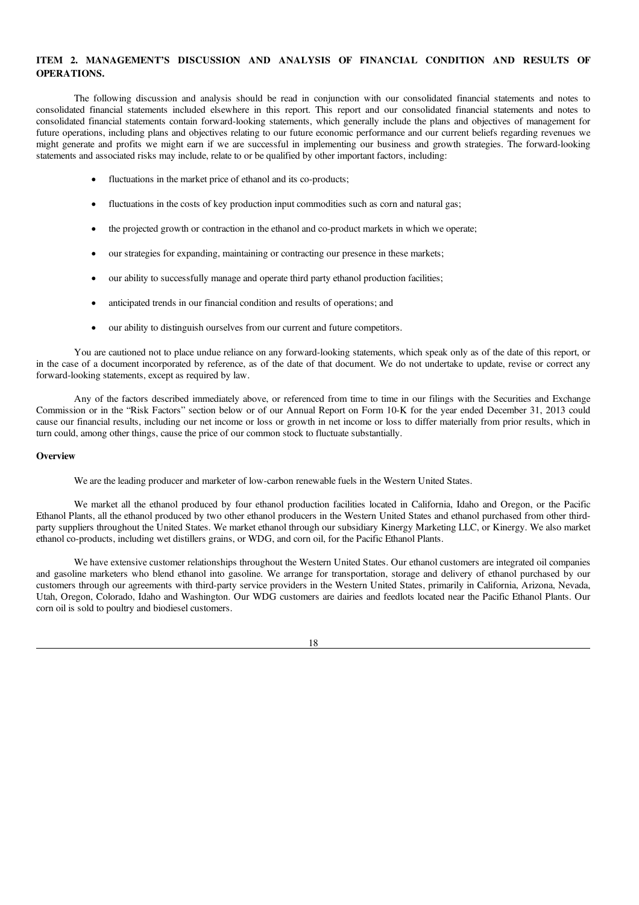## ITEM 2. MANAGEMENT'S DISCUSSION AND ANALYSIS OF FINANCIAL CONDITION AND RESULTS OF OPERATIONS.

The following discussion and analysis should be read in conjunction with our consolidated financial statements and notes to consolidated financial statements included elsewhere in this report. This report and our consolidated financial statements and notes to consolidated financial statements contain forward-looking statements, which generally include the plans and objectives of management for future operations, including plans and objectives relating to our future economic performance and our current beliefs regarding revenues we might generate and profits we might earn if we are successful in implementing our business and growth strategies. The forward-looking statements and associated risks may include, relate to or be qualified by other important factors, including:

- fluctuations in the market price of ethanol and its co-products;
- fluctuations in the costs of key production input commodities such as corn and natural gas;
- the projected growth or contraction in the ethanol and co-product markets in which we operate;
- our strategies for expanding, maintaining or contracting our presence in these markets;
- our ability to successfully manage and operate third party ethanol production facilities;
- anticipated trends in our financial condition and results of operations; and
- our ability to distinguish ourselves from our current and future competitors.

You are cautioned not to place undue reliance on any forward-looking statements, which speak only as of the date of this report, or in the case of a document incorporated by reference, as of the date of that document. We do not undertake to update, revise or correct any forward-looking statements, except as required by law.

Any of the factors described immediately above, or referenced from time to time in our filings with the Securities and Exchange Commission or in the "Risk Factors" section below or of our Annual Report on Form 10-K for the year ended December 31, 2013 could cause our financial results, including our net income or loss or growth in net income or loss to differ materially from prior results, which in turn could, among other things, cause the price of our common stock to fluctuate substantially.

#### **Overview**

We are the leading producer and marketer of low-carbon renewable fuels in the Western United States.

We market all the ethanol produced by four ethanol production facilities located in California, Idaho and Oregon, or the Pacific Ethanol Plants, all the ethanol produced by two other ethanol producers in the Western United States and ethanol purchased from other thirdparty suppliers throughout the United States. We market ethanol through our subsidiary Kinergy Marketing LLC, or Kinergy. We also market ethanol co-products, including wet distillers grains, or WDG, and corn oil, for the Pacific Ethanol Plants.

We have extensive customer relationships throughout the Western United States. Our ethanol customers are integrated oil companies and gasoline marketers who blend ethanol into gasoline. We arrange for transportation, storage and delivery of ethanol purchased by our customers through our agreements with third-party service providers in the Western United States, primarily in California, Arizona, Nevada, Utah, Oregon, Colorado, Idaho and Washington. Our WDG customers are dairies and feedlots located near the Pacific Ethanol Plants. Our corn oil is sold to poultry and biodiesel customers.

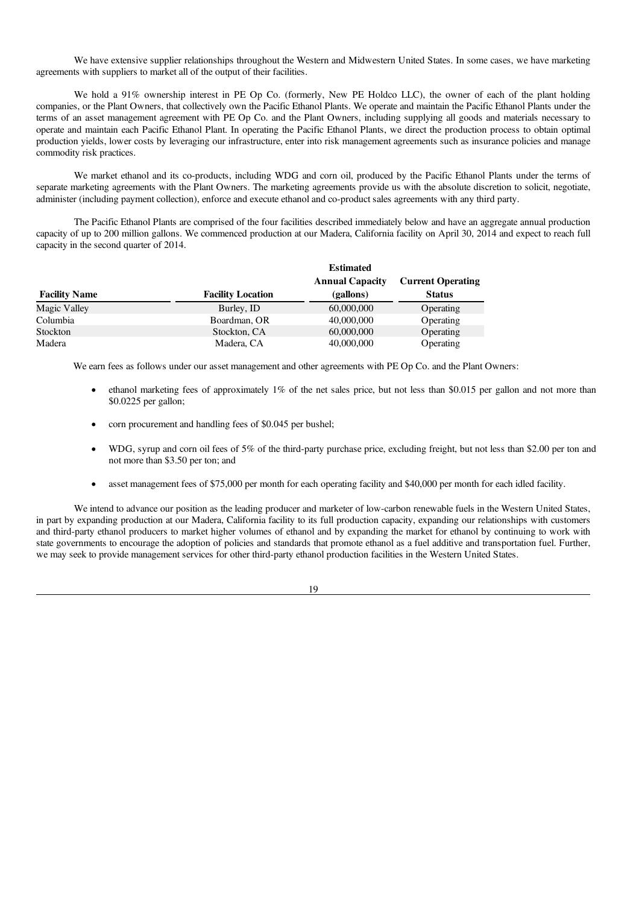We have extensive supplier relationships throughout the Western and Midwestern United States. In some cases, we have marketing agreements with suppliers to market all of the output of their facilities.

We hold a 91% ownership interest in PE Op Co. (formerly, New PE Holdco LLC), the owner of each of the plant holding companies, or the Plant Owners, that collectively own the Pacific Ethanol Plants. We operate and maintain the Pacific Ethanol Plants under the terms of an asset management agreement with PE Op Co. and the Plant Owners, including supplying all goods and materials necessary to operate and maintain each Pacific Ethanol Plant. In operating the Pacific Ethanol Plants, we direct the production process to obtain optimal production yields, lower costs by leveraging our infrastructure, enter into risk management agreements such as insurance policies and manage commodity risk practices.

We market ethanol and its co-products, including WDG and corn oil, produced by the Pacific Ethanol Plants under the terms of separate marketing agreements with the Plant Owners. The marketing agreements provide us with the absolute discretion to solicit, negotiate, administer (including payment collection), enforce and execute ethanol and co-product sales agreements with any third party.

The Pacific Ethanol Plants are comprised of the four facilities described immediately below and have an aggregate annual production capacity of up to 200 million gallons. We commenced production at our Madera, California facility on April 30, 2014 and expect to reach full capacity in the second quarter of 2014.

|                      |                          | <b>Estimated</b>       |                          |
|----------------------|--------------------------|------------------------|--------------------------|
|                      |                          | <b>Annual Capacity</b> | <b>Current Operating</b> |
| <b>Facility Name</b> | <b>Facility Location</b> | (gallons)              | <b>Status</b>            |
| Magic Valley         | Burley, ID               | 60,000,000             | Operating                |
| Columbia             | Boardman, OR             | 40,000,000             | Operating                |
| Stockton             | Stockton, CA             | 60,000,000             | Operating                |
| Madera               | Madera, CA               | 40,000,000             | Operating                |

We earn fees as follows under our asset management and other agreements with PE Op Co. and the Plant Owners:

- · ethanol marketing fees of approximately 1% of the net sales price, but not less than \$0.015 per gallon and not more than \$0.0225 per gallon;
- corn procurement and handling fees of \$0.045 per bushel;
- WDG, syrup and corn oil fees of 5% of the third-party purchase price, excluding freight, but not less than \$2.00 per ton and not more than \$3.50 per ton; and
- asset management fees of \$75,000 per month for each operating facility and \$40,000 per month for each idled facility.

We intend to advance our position as the leading producer and marketer of low-carbon renewable fuels in the Western United States, in part by expanding production at our Madera, California facility to its full production capacity, expanding our relationships with customers and third-party ethanol producers to market higher volumes of ethanol and by expanding the market for ethanol by continuing to work with state governments to encourage the adoption of policies and standards that promote ethanol as a fuel additive and transportation fuel. Further, we may seek to provide management services for other third-party ethanol production facilities in the Western United States.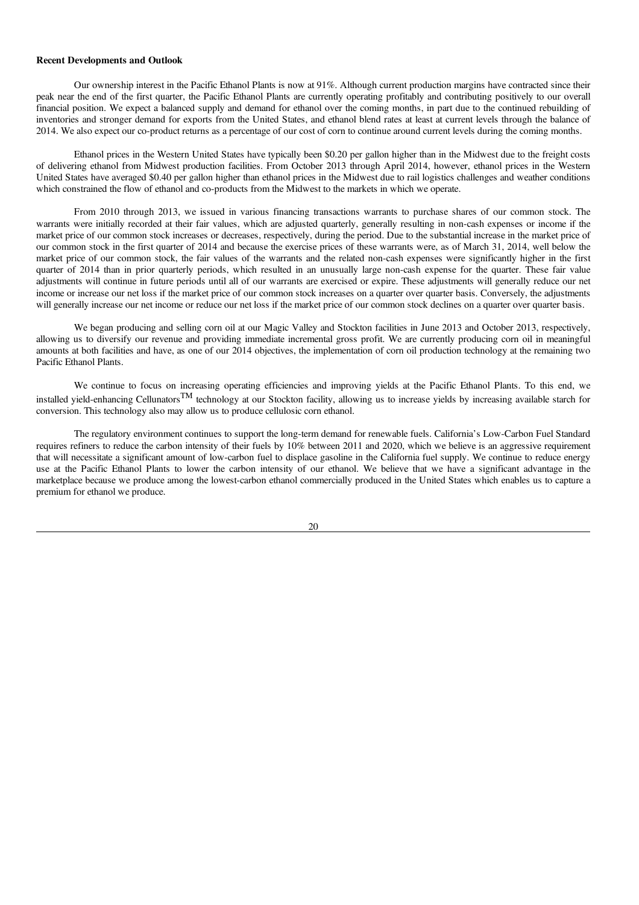#### Recent Developments and Outlook

Our ownership interest in the Pacific Ethanol Plants is now at 91%. Although current production margins have contracted since their peak near the end of the first quarter, the Pacific Ethanol Plants are currently operating profitably and contributing positively to our overall financial position. We expect a balanced supply and demand for ethanol over the coming months, in part due to the continued rebuilding of inventories and stronger demand for exports from the United States, and ethanol blend rates at least at current levels through the balance of 2014. We also expect our co-product returns as a percentage of our cost of corn to continue around current levels during the coming months.

Ethanol prices in the Western United States have typically been \$0.20 per gallon higher than in the Midwest due to the freight costs of delivering ethanol from Midwest production facilities. From October 2013 through April 2014, however, ethanol prices in the Western United States have averaged \$0.40 per gallon higher than ethanol prices in the Midwest due to rail logistics challenges and weather conditions which constrained the flow of ethanol and co-products from the Midwest to the markets in which we operate.

From 2010 through 2013, we issued in various financing transactions warrants to purchase shares of our common stock. The warrants were initially recorded at their fair values, which are adjusted quarterly, generally resulting in non-cash expenses or income if the market price of our common stock increases or decreases, respectively, during the period. Due to the substantial increase in the market price of our common stock in the first quarter of 2014 and because the exercise prices of these warrants were, as of March 31, 2014, well below the market price of our common stock, the fair values of the warrants and the related non-cash expenses were significantly higher in the first quarter of 2014 than in prior quarterly periods, which resulted in an unusually large non-cash expense for the quarter. These fair value adjustments will continue in future periods until all of our warrants are exercised or expire. These adjustments will generally reduce our net income or increase our net loss if the market price of our common stock increases on a quarter over quarter basis. Conversely, the adjustments will generally increase our net income or reduce our net loss if the market price of our common stock declines on a quarter over quarter basis.

We began producing and selling corn oil at our Magic Valley and Stockton facilities in June 2013 and October 2013, respectively, allowing us to diversify our revenue and providing immediate incremental gross profit. We are currently producing corn oil in meaningful amounts at both facilities and have, as one of our 2014 objectives, the implementation of corn oil production technology at the remaining two Pacific Ethanol Plants.

We continue to focus on increasing operating efficiencies and improving yields at the Pacific Ethanol Plants. To this end, we installed yield-enhancing Cellunators<sup>TM</sup> technology at our Stockton facility, allowing us to increase yields by increasing available starch for conversion. This technology also may allow us to produce cellulosic corn ethanol.

The regulatory environment continues to support the long-term demand for renewable fuels. California's Low-Carbon Fuel Standard requires refiners to reduce the carbon intensity of their fuels by 10% between 2011 and 2020, which we believe is an aggressive requirement that will necessitate a significant amount of low-carbon fuel to displace gasoline in the California fuel supply. We continue to reduce energy use at the Pacific Ethanol Plants to lower the carbon intensity of our ethanol. We believe that we have a significant advantage in the marketplace because we produce among the lowest-carbon ethanol commercially produced in the United States which enables us to capture a premium for ethanol we produce.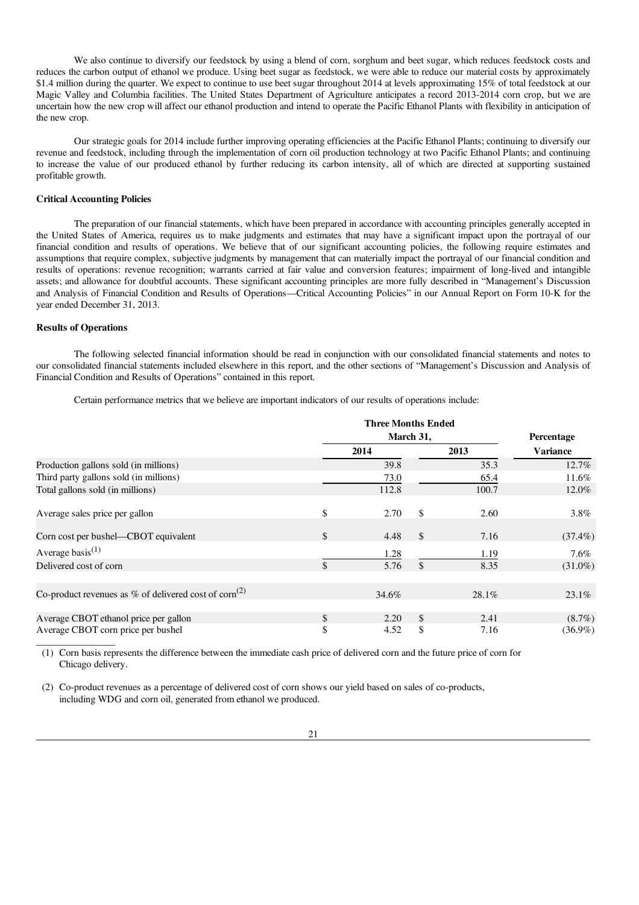We also continue to diversify our feedstock by using a blend of corn, sorghum and beet sugar, which reduces feedstock costs and reduces the carbon output of ethanol we produce. Using beet sugar as feedstock, we were able to reduce our material costs by approximately \$1.4 million during the quarter. We expect to continue to use beet sugar throughout 2014 at levels approximating 15% of total feedstock at our Magic Valley and Columbia facilities. The United States Department of Agriculture anticipates a record 2013-2014 corn crop, but we are uncertain how the new crop will affect our ethanol production and intend to operate the Pacific Ethanol Plants with flexibility in anticipation of the new crop.

Our strategic goals for 2014 include further improving operating efficiencies at the Pacific Ethanol Plants; continuing to diversify our revenue and feedstock, including through the implementation of corn oil production technology at two Pacific Ethanol Plants; and continuing to increase the value of our produced ethanol by further reducing its carbon intensity, all of which are directed at supporting sustained profitable growth.

### Critical Accounting Policies

The preparation of our financial statements, which have been prepared in accordance with accounting principles generally accepted in the United States of America, requires us to make judgments and estimates that may have a significant impact upon the portrayal of our financial condition and results of operations. We believe that of our significant accounting policies, the following require estimates and assumptions that require complex, subjective judgments by management that can materially impact the portrayal of our financial condition and results of operations: revenue recognition; warrants carried at fair value and conversion features; impairment of long-lived and intangible assets; and allowance for doubtful accounts. These significant accounting principles are more fully described in "Management's Discussion and Analysis of Financial Condition and Results of Operations—Critical Accounting Policies" in our Annual Report on Form 10-K for the year ended December 31, 2013.

### Results of Operations

The following selected financial information should be read in conjunction with our consolidated financial statements and notes to our consolidated financial statements included elsewhere in this report, and the other sections of "Management's Discussion and Analysis of Financial Condition and Results of Operations" contained in this report.

Certain performance metrics that we believe are important indicators of our results of operations include:

|                                                                   |    |       | March 31,     |       | Percentage      |  |
|-------------------------------------------------------------------|----|-------|---------------|-------|-----------------|--|
|                                                                   |    | 2014  |               | 2013  | <b>Variance</b> |  |
| Production gallons sold (in millions)                             |    | 39.8  |               | 35.3  | $12.7\%$        |  |
| Third party gallons sold (in millions)                            |    | 73.0  |               | 65.4  | 11.6%           |  |
| Total gallons sold (in millions)                                  |    | 112.8 |               | 100.7 | 12.0%           |  |
| Average sales price per gallon                                    | \$ | 2.70  | \$            | 2.60  | 3.8%            |  |
| Corn cost per bushel—CBOT equivalent                              | \$ | 4.48  | \$            | 7.16  | $(37.4\%)$      |  |
| Average basis $^{(1)}$                                            |    | 1.28  |               | 1.19  | 7.6%            |  |
| Delivered cost of corn                                            | \$ | 5.76  | $\mathcal{S}$ | 8.35  | $(31.0\%)$      |  |
| Co-product revenues as % of delivered cost of $\text{corn}^{(2)}$ |    | 34.6% |               | 28.1% | $23.1\%$        |  |
| Average CBOT ethanol price per gallon                             | \$ | 2.20  | $\mathcal{S}$ | 2.41  | $(8.7\%)$       |  |
| Average CBOT corn price per bushel                                | \$ | 4.52  | \$            | 7.16  | $(36.9\%)$      |  |
|                                                                   |    |       |               |       |                 |  |

(1) Corn basis represents the difference between the immediate cash price of delivered corn and the future price of corn for Chicago delivery.

(2) Co-product revenues as a percentage of delivered cost of corn shows our yield based on sales of co-products, including WDG and corn oil, generated from ethanol we produced.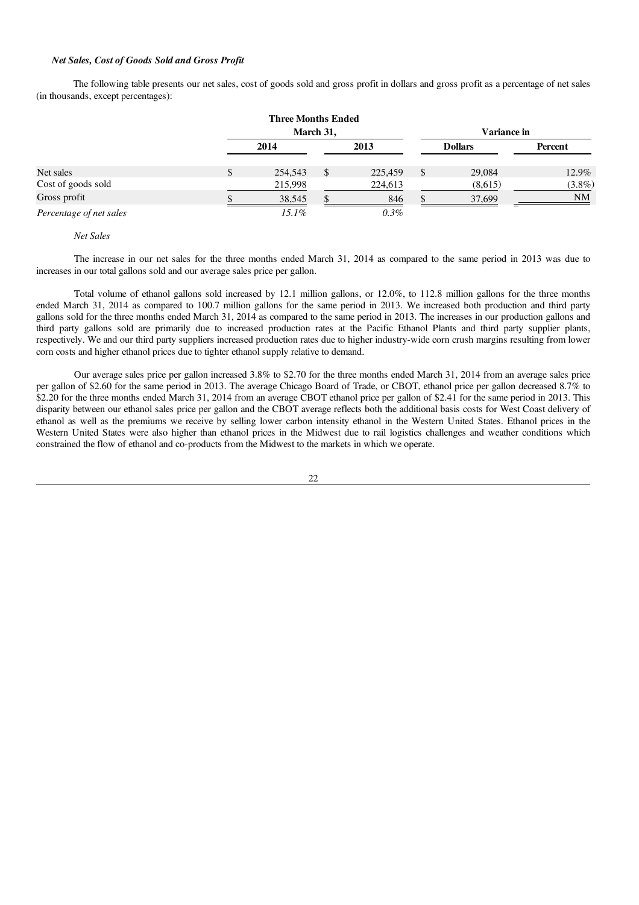## *Net Sales, Cost of Goods Sold and Gross Profit*

The following table presents our net sales, cost of goods sold and gross profit in dollars and gross profit as a percentage of net sales (in thousands, except percentages):

|                         | <b>Three Months Ended</b> |  |         |                |                    |           |  |  |
|-------------------------|---------------------------|--|---------|----------------|--------------------|-----------|--|--|
|                         | March 31,                 |  |         |                | <b>Variance in</b> |           |  |  |
|                         | 2014                      |  | 2013    | <b>Dollars</b> |                    | Percent   |  |  |
| Net sales               | 254,543                   |  | 225,459 | \$             | 29,084             | 12.9%     |  |  |
| Cost of goods sold      | 215,998                   |  | 224,613 |                | (8,615)            | $(3.8\%)$ |  |  |
| Gross profit            | 38,545                    |  | 846     |                | 37,699             | <b>NM</b> |  |  |
| Percentage of net sales | $15.1\%$                  |  | $0.3\%$ |                |                    |           |  |  |

#### *Net Sales*

The increase in our net sales for the three months ended March 31, 2014 as compared to the same period in 2013 was due to increases in our total gallons sold and our average sales price per gallon.

Total volume of ethanol gallons sold increased by 12.1 million gallons, or 12.0%, to 112.8 million gallons for the three months ended March 31, 2014 as compared to 100.7 million gallons for the same period in 2013. We increased both production and third party gallons sold for the three months ended March 31, 2014 as compared to the same period in 2013. The increases in our production gallons and third party gallons sold are primarily due to increased production rates at the Pacific Ethanol Plants and third party supplier plants, respectively. We and our third party suppliers increased production rates due to higher industry-wide corn crush margins resulting from lower corn costs and higher ethanol prices due to tighter ethanol supply relative to demand.

Our average sales price per gallon increased 3.8% to \$2.70 for the three months ended March 31, 2014 from an average sales price per gallon of \$2.60 for the same period in 2013. The average Chicago Board of Trade, or CBOT, ethanol price per gallon decreased 8.7% to \$2.20 for the three months ended March 31, 2014 from an average CBOT ethanol price per gallon of \$2.41 for the same period in 2013. This disparity between our ethanol sales price per gallon and the CBOT average reflects both the additional basis costs for West Coast delivery of ethanol as well as the premiums we receive by selling lower carbon intensity ethanol in the Western United States. Ethanol prices in the Western United States were also higher than ethanol prices in the Midwest due to rail logistics challenges and weather conditions which constrained the flow of ethanol and co-products from the Midwest to the markets in which we operate.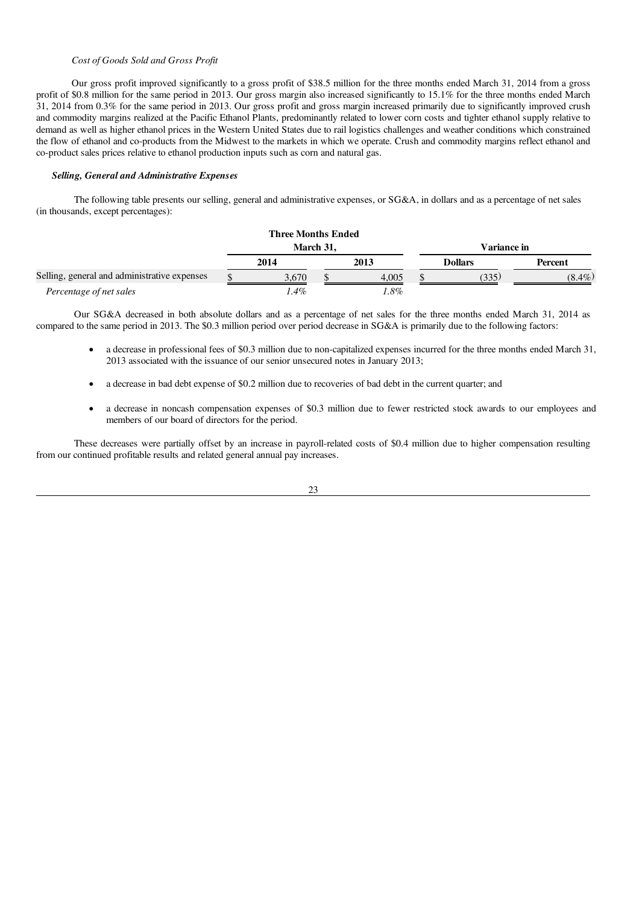### *Cost of Goods Sold and Gross Profit*

Our gross profit improved significantly to a gross profit of \$38.5 million for the three months ended March 31, 2014 from a gross profit of \$0.8 million for the same period in 2013. Our gross margin also increased significantly to 15.1% for the three months ended March 31, 2014 from 0.3% for the same period in 2013. Our gross profit and gross margin increased primarily due to significantly improved crush and commodity margins realized at the Pacific Ethanol Plants, predominantly related to lower corn costs and tighter ethanol supply relative to demand as well as higher ethanol prices in the Western United States due to rail logistics challenges and weather conditions which constrained the flow of ethanol and co-products from the Midwest to the markets in which we operate. Crush and commodity margins reflect ethanol and co-product sales prices relative to ethanol production inputs such as corn and natural gas.

## *Selling, General and Administrative Expenses*

The following table presents our selling, general and administrative expenses, or SG&A, in dollars and as a percentage of net sales (in thousands, except percentages):

|                                              |           | <b>Three Months Ended</b> |  |       |                    |                |
|----------------------------------------------|-----------|---------------------------|--|-------|--------------------|----------------|
|                                              | March 31. |                           |  |       | <b>Variance in</b> |                |
|                                              |           | 2014                      |  | 2013  | <b>Dollars</b>     | <b>Percent</b> |
| Selling, general and administrative expenses |           | 3.670                     |  | 4.005 | (335)              | $(8.4\%)$      |
| Percentage of net sales                      |           | 1.4%                      |  | '.8%  |                    |                |

Our SG&A decreased in both absolute dollars and as a percentage of net sales for the three months ended March 31, 2014 as compared to the same period in 2013. The \$0.3 million period over period decrease in SG&A is primarily due to the following factors:

- · a decrease in professional fees of \$0.3 million due to non-capitalized expenses incurred for the three months ended March 31, 2013 associated with the issuance of our senior unsecured notes in January 2013;
- a decrease in bad debt expense of \$0.2 million due to recoveries of bad debt in the current quarter; and
- · a decrease in noncash compensation expenses of \$0.3 million due to fewer restricted stock awards to our employees and members of our board of directors for the period.

These decreases were partially offset by an increase in payroll-related costs of \$0.4 million due to higher compensation resulting from our continued profitable results and related general annual pay increases.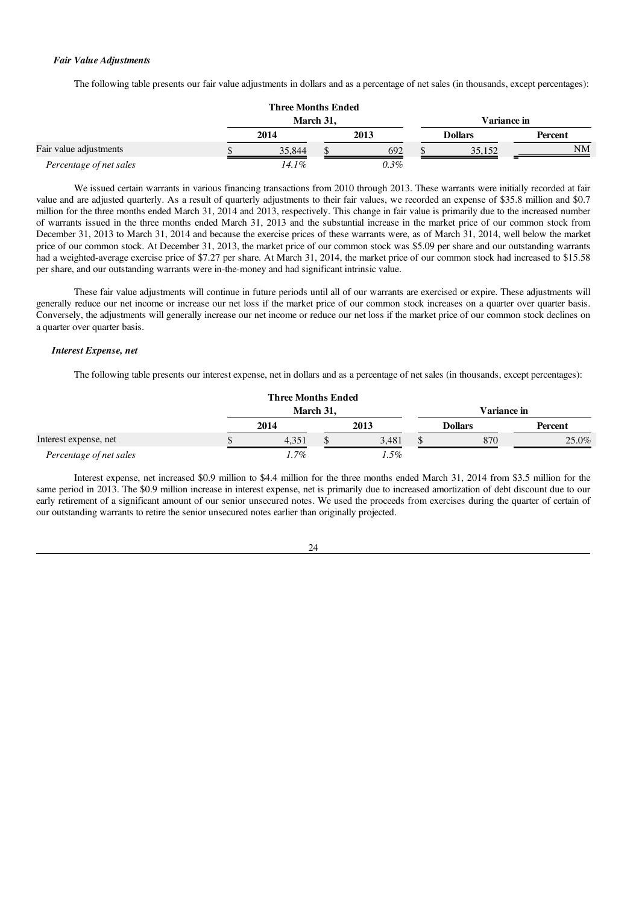### *Fair Value Adjustments*

The following table presents our fair value adjustments in dollars and as a percentage of net sales (in thousands, except percentages):

|                         | <b>Three Months Ended</b> |  |      |                |             |         |  |
|-------------------------|---------------------------|--|------|----------------|-------------|---------|--|
|                         | March 31.                 |  |      |                | Variance in |         |  |
|                         | 2014                      |  | 2013 | <b>Dollars</b> |             | Percent |  |
| Fair value adjustments  | 35.844                    |  | 692  |                | 35.152      | NΜ      |  |
| Percentage of net sales | 14.1%                     |  | 0.3% |                |             |         |  |

We issued certain warrants in various financing transactions from 2010 through 2013. These warrants were initially recorded at fair value and are adjusted quarterly. As a result of quarterly adjustments to their fair values, we recorded an expense of \$35.8 million and \$0.7 million for the three months ended March 31, 2014 and 2013, respectively. This change in fair value is primarily due to the increased number of warrants issued in the three months ended March 31, 2013 and the substantial increase in the market price of our common stock from December 31, 2013 to March 31, 2014 and because the exercise prices of these warrants were, as of March 31, 2014, well below the market price of our common stock. At December 31, 2013, the market price of our common stock was \$5.09 per share and our outstanding warrants had a weighted-average exercise price of \$7.27 per share. At March 31, 2014, the market price of our common stock had increased to \$15.58 per share, and our outstanding warrants were in-the-money and had significant intrinsic value.

These fair value adjustments will continue in future periods until all of our warrants are exercised or expire. These adjustments will generally reduce our net income or increase our net loss if the market price of our common stock increases on a quarter over quarter basis. Conversely, the adjustments will generally increase our net income or reduce our net loss if the market price of our common stock declines on a quarter over quarter basis.

## *Interest Expense, net*

The following table presents our interest expense, net in dollars and as a percentage of net sales (in thousands, except percentages):

|                         | <b>Three Months Ended</b> |  |        |         |             |         |  |
|-------------------------|---------------------------|--|--------|---------|-------------|---------|--|
|                         | March 31,                 |  |        |         | Variance in |         |  |
|                         | 2014                      |  | 2013   | Dollars |             | Percent |  |
| Interest expense, net   | 4.351                     |  | 3,481  |         | 870         | 25.0%   |  |
| Percentage of net sales | 1.7%                      |  | $.5\%$ |         |             |         |  |

Interest expense, net increased \$0.9 million to \$4.4 million for the three months ended March 31, 2014 from \$3.5 million for the same period in 2013. The \$0.9 million increase in interest expense, net is primarily due to increased amortization of debt discount due to our early retirement of a significant amount of our senior unsecured notes. We used the proceeds from exercises during the quarter of certain of our outstanding warrants to retire the senior unsecured notes earlier than originally projected.

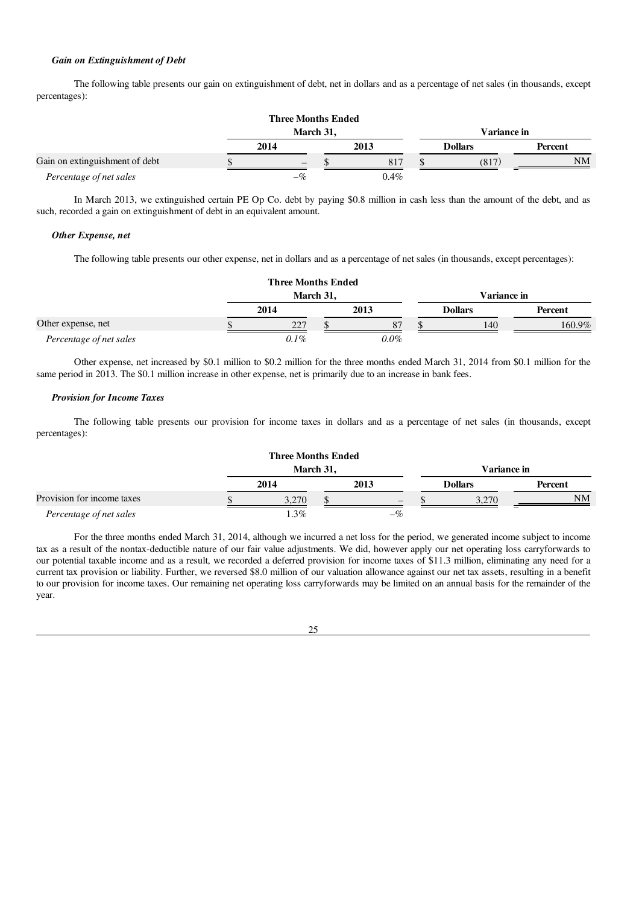### *Gain on Extinguishment of Debt*

The following table presents our gain on extinguishment of debt, net in dollars and as a percentage of net sales (in thousands, except percentages):

|                                | <b>Three Months Ended</b> |                        |  |             |         |  |
|--------------------------------|---------------------------|------------------------|--|-------------|---------|--|
|                                | March 31.                 |                        |  | Variance in |         |  |
|                                | 2014                      | 2013<br><b>Dollars</b> |  |             | Percent |  |
| Gain on extinguishment of debt |                           | 817                    |  | (817        | NΜ      |  |
| Percentage of net sales        | $-\%$                     | $0.4\%$                |  |             |         |  |

In March 2013, we extinguished certain PE Op Co. debt by paying \$0.8 million in cash less than the amount of the debt, and as such, recorded a gain on extinguishment of debt in an equivalent amount.

### *Other Expense, net*

The following table presents our other expense, net in dollars and as a percentage of net sales (in thousands, except percentages):

|                         | <b>Three Months Ended</b> |  |         |                |             |         |  |
|-------------------------|---------------------------|--|---------|----------------|-------------|---------|--|
|                         | March 31,                 |  |         |                | Variance in |         |  |
|                         | 2014                      |  | 2013    | <b>Dollars</b> |             | Percent |  |
| Other expense, net      | 227                       |  | 87      |                | 140         | 160.9%  |  |
| Percentage of net sales | 0.1%                      |  | $0.0\%$ |                |             |         |  |

Other expense, net increased by \$0.1 million to \$0.2 million for the three months ended March 31, 2014 from \$0.1 million for the same period in 2013. The \$0.1 million increase in other expense, net is primarily due to an increase in bank fees.

## *Provision for Income Taxes*

The following table presents our provision for income taxes in dollars and as a percentage of net sales (in thousands, except percentages):

|                            | <b>Three Months Ended</b> |  |                          |                |             |    |
|----------------------------|---------------------------|--|--------------------------|----------------|-------------|----|
|                            | March 31.                 |  |                          |                | Variance in |    |
|                            | 2014                      |  | 2013                     | <b>Dollars</b> | Percent     |    |
| Provision for income taxes | 3.270                     |  | $\overline{\phantom{m}}$ |                | 3.270       | NΜ |
| Percentage of net sales    | $1.3\%$                   |  | $-\%$                    |                |             |    |

For the three months ended March 31, 2014, although we incurred a net loss for the period, we generated income subject to income tax as a result of the nontax-deductible nature of our fair value adjustments. We did, however apply our net operating loss carryforwards to our potential taxable income and as a result, we recorded a deferred provision for income taxes of \$11.3 million, eliminating any need for a current tax provision or liability. Further, we reversed \$8.0 million of our valuation allowance against our net tax assets, resulting in a benefit to our provision for income taxes. Our remaining net operating loss carryforwards may be limited on an annual basis for the remainder of the year.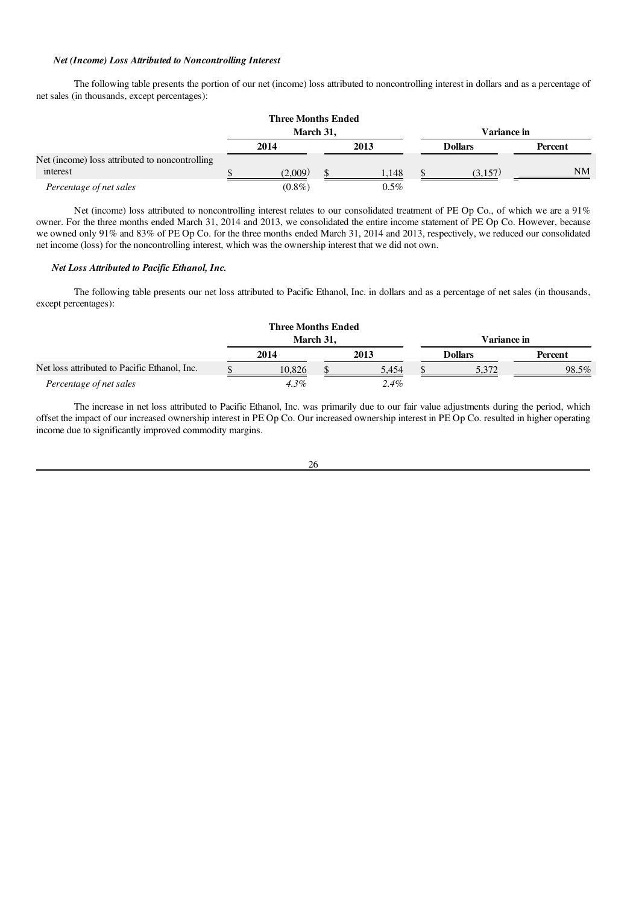## *Net (Income) Loss Attributed to Noncontrolling Interest*

The following table presents the portion of our net (income) loss attributed to noncontrolling interest in dollars and as a percentage of net sales (in thousands, except percentages):

|                                                            | <b>Three Months Ended</b><br>March 31, |         | Variance in    |         |
|------------------------------------------------------------|----------------------------------------|---------|----------------|---------|
|                                                            | 2014                                   | 2013    | <b>Dollars</b> | Percent |
| Net (income) loss attributed to noncontrolling<br>interest | (2.009)                                | 1,148   | (3,157)        | NΜ      |
| Percentage of net sales                                    | $(0.8\%)$                              | $0.5\%$ |                |         |

Net (income) loss attributed to noncontrolling interest relates to our consolidated treatment of PE Op Co., of which we are a 91% owner. For the three months ended March 31, 2014 and 2013, we consolidated the entire income statement of PE Op Co. However, because we owned only 91% and 83% of PE Op Co. for the three months ended March 31, 2014 and 2013, respectively, we reduced our consolidated net income (loss) for the noncontrolling interest, which was the ownership interest that we did not own.

### *Net Loss Attributed to Pacific Ethanol, Inc.*

The following table presents our net loss attributed to Pacific Ethanol, Inc. in dollars and as a percentage of net sales (in thousands, except percentages):

|                                              | <b>Three Months Ended</b> |           |         |             |         |
|----------------------------------------------|---------------------------|-----------|---------|-------------|---------|
|                                              |                           | March 31. |         | Variance in |         |
|                                              | 2014                      |           | 2013    | Dollars     | Percent |
| Net loss attributed to Pacific Ethanol, Inc. | 10.826                    |           | 5.454   | 5,372       | 98.5%   |
| Percentage of net sales                      | $4.3\%$                   |           | $2.4\%$ |             |         |

The increase in net loss attributed to Pacific Ethanol, Inc. was primarily due to our fair value adjustments during the period, which offset the impact of our increased ownership interest in PE Op Co. Our increased ownership interest in PE Op Co. resulted in higher operating income due to significantly improved commodity margins.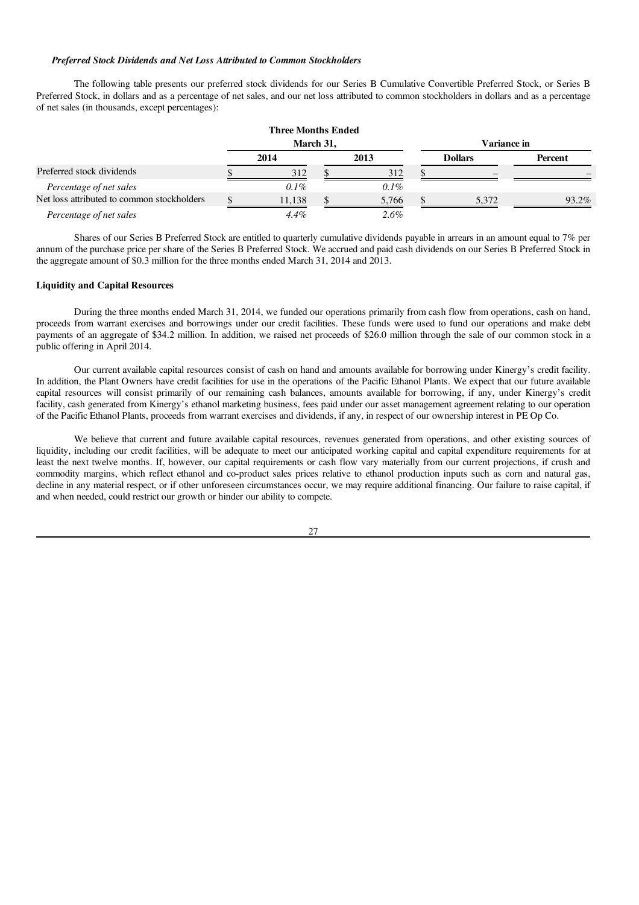### *Preferred Stock Dividends and Net Loss Attributed to Common Stockholders*

The following table presents our preferred stock dividends for our Series B Cumulative Convertible Preferred Stock, or Series B Preferred Stock, in dollars and as a percentage of net sales, and our net loss attributed to common stockholders in dollars and as a percentage of net sales (in thousands, except percentages):

|                                            | <b>Three Months Ended</b> |           |         |                |                |
|--------------------------------------------|---------------------------|-----------|---------|----------------|----------------|
|                                            |                           | March 31, |         | Variance in    |                |
|                                            | 2014                      |           | 2013    | <b>Dollars</b> | <b>Percent</b> |
| Preferred stock dividends                  | 312                       |           | 312     |                |                |
| Percentage of net sales                    | 0.1%                      |           | $0.1\%$ |                |                |
| Net loss attributed to common stockholders | 11,138                    |           | 5,766   | 5.372          | 93.2%          |
| Percentage of net sales                    | 4.4%                      |           | $2.6\%$ |                |                |

Shares of our Series B Preferred Stock are entitled to quarterly cumulative dividends payable in arrears in an amount equal to 7% per annum of the purchase price per share of the Series B Preferred Stock. We accrued and paid cash dividends on our Series B Preferred Stock in the aggregate amount of \$0.3 million for the three months ended March 31, 2014 and 2013.

### Liquidity and Capital Resources

During the three months ended March 31, 2014, we funded our operations primarily from cash flow from operations, cash on hand, proceeds from warrant exercises and borrowings under our credit facilities. These funds were used to fund our operations and make debt payments of an aggregate of \$34.2 million. In addition, we raised net proceeds of \$26.0 million through the sale of our common stock in a public offering in April 2014.

Our current available capital resources consist of cash on hand and amounts available for borrowing under Kinergy's credit facility. In addition, the Plant Owners have credit facilities for use in the operations of the Pacific Ethanol Plants. We expect that our future available capital resources will consist primarily of our remaining cash balances, amounts available for borrowing, if any, under Kinergy's credit facility, cash generated from Kinergy's ethanol marketing business, fees paid under our asset management agreement relating to our operation of the Pacific Ethanol Plants, proceeds from warrant exercises and dividends, if any, in respect of our ownership interest in PE Op Co.

We believe that current and future available capital resources, revenues generated from operations, and other existing sources of liquidity, including our credit facilities, will be adequate to meet our anticipated working capital and capital expenditure requirements for at least the next twelve months. If, however, our capital requirements or cash flow vary materially from our current projections, if crush and commodity margins, which reflect ethanol and co-product sales prices relative to ethanol production inputs such as corn and natural gas, decline in any material respect, or if other unforeseen circumstances occur, we may require additional financing. Our failure to raise capital, if and when needed, could restrict our growth or hinder our ability to compete.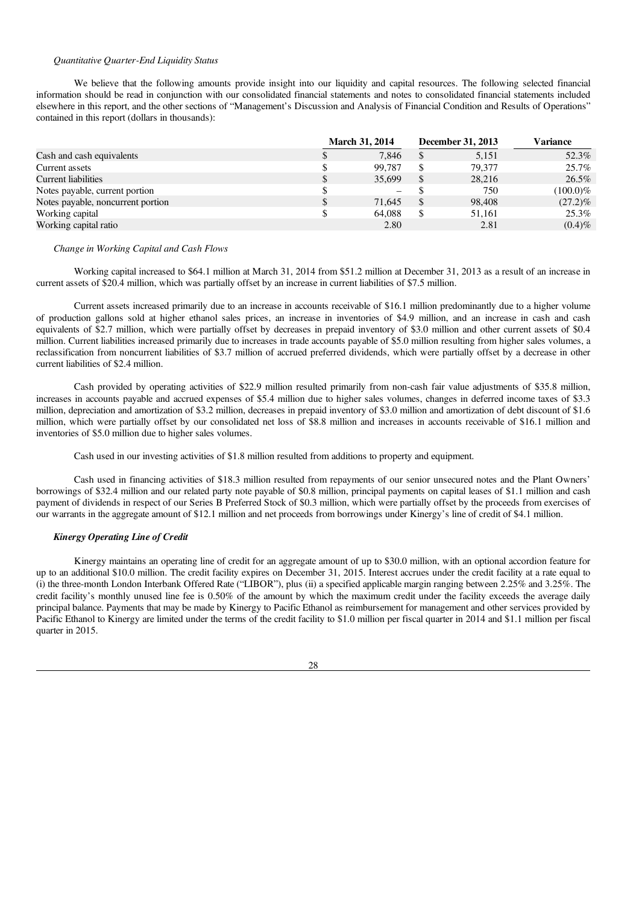#### *Quantitative Quarter-End Liquidity Status*

We believe that the following amounts provide insight into our liquidity and capital resources. The following selected financial information should be read in conjunction with our consolidated financial statements and notes to consolidated financial statements included elsewhere in this report, and the other sections of "Management's Discussion and Analysis of Financial Condition and Results of Operations" contained in this report (dollars in thousands):

|                                   |          | March 31, 2014 | December 31, 2013 | <b>Variance</b> |
|-----------------------------------|----------|----------------|-------------------|-----------------|
| Cash and cash equivalents         |          | 7.846          | \$<br>5.151       | 52.3%           |
| Current assets                    |          | 99.787         | \$<br>79,377      | 25.7%           |
| Current liabilities               | <b>S</b> | 35,699         | \$<br>28.216      | 26.5%           |
| Notes payable, current portion    |          |                | 750               | $(100.0)\%$     |
| Notes payable, noncurrent portion | Ъ        | 71.645         | \$<br>98,408      | $(27.2)\%$      |
| Working capital                   |          | 64.088         | 51.161            | 25.3%           |
| Working capital ratio             |          | 2.80           | 2.81              | $(0.4)\%$       |

#### *Change in Working Capital and Cash Flows*

Working capital increased to \$64.1 million at March 31, 2014 from \$51.2 million at December 31, 2013 as a result of an increase in current assets of \$20.4 million, which was partially offset by an increase in current liabilities of \$7.5 million.

Current assets increased primarily due to an increase in accounts receivable of \$16.1 million predominantly due to a higher volume of production gallons sold at higher ethanol sales prices, an increase in inventories of \$4.9 million, and an increase in cash and cash equivalents of \$2.7 million, which were partially offset by decreases in prepaid inventory of \$3.0 million and other current assets of \$0.4 million. Current liabilities increased primarily due to increases in trade accounts payable of \$5.0 million resulting from higher sales volumes, a reclassification from noncurrent liabilities of \$3.7 million of accrued preferred dividends, which were partially offset by a decrease in other current liabilities of \$2.4 million.

Cash provided by operating activities of \$22.9 million resulted primarily from non-cash fair value adjustments of \$35.8 million, increases in accounts payable and accrued expenses of \$5.4 million due to higher sales volumes, changes in deferred income taxes of \$3.3 million, depreciation and amortization of \$3.2 million, decreases in prepaid inventory of \$3.0 million and amortization of debt discount of \$1.6 million, which were partially offset by our consolidated net loss of \$8.8 million and increases in accounts receivable of \$16.1 million and inventories of \$5.0 million due to higher sales volumes.

Cash used in our investing activities of \$1.8 million resulted from additions to property and equipment.

Cash used in financing activities of \$18.3 million resulted from repayments of our senior unsecured notes and the Plant Owners' borrowings of \$32.4 million and our related party note payable of \$0.8 million, principal payments on capital leases of \$1.1 million and cash payment of dividends in respect of our Series B Preferred Stock of \$0.3 million, which were partially offset by the proceeds from exercises of our warrants in the aggregate amount of \$12.1 million and net proceeds from borrowings under Kinergy's line of credit of \$4.1 million.

## *Kinergy Operating Line of Credit*

Kinergy maintains an operating line of credit for an aggregate amount of up to \$30.0 million, with an optional accordion feature for up to an additional \$10.0 million. The credit facility expires on December 31, 2015. Interest accrues under the credit facility at a rate equal to (i) the three-month London Interbank Offered Rate ("LIBOR"), plus (ii) a specified applicable margin ranging between 2.25% and 3.25%. The credit facility's monthly unused line fee is 0.50% of the amount by which the maximum credit under the facility exceeds the average daily principal balance. Payments that may be made by Kinergy to Pacific Ethanol as reimbursement for management and other services provided by Pacific Ethanol to Kinergy are limited under the terms of the credit facility to \$1.0 million per fiscal quarter in 2014 and \$1.1 million per fiscal quarter in 2015.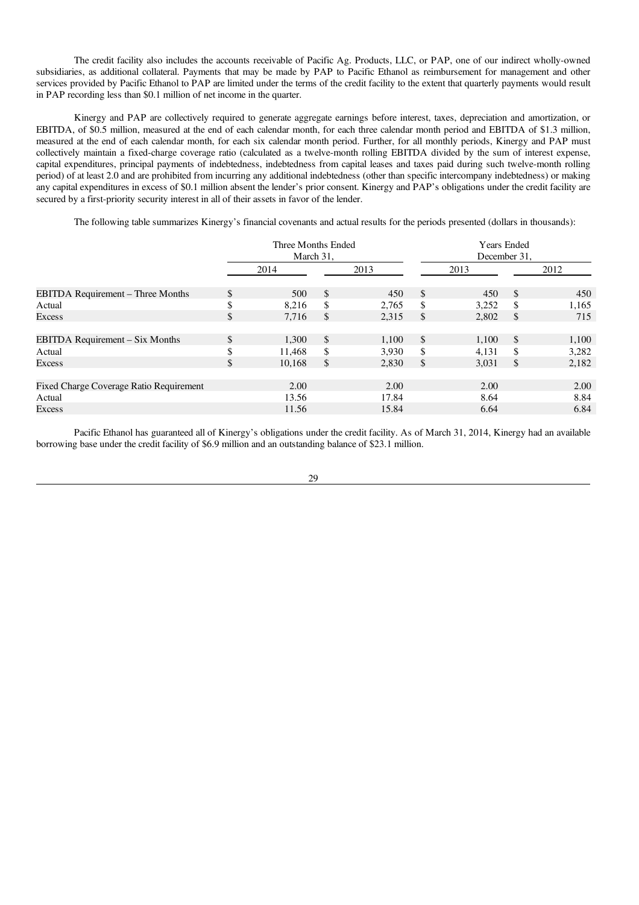The credit facility also includes the accounts receivable of Pacific Ag. Products, LLC, or PAP, one of our indirect wholly-owned subsidiaries, as additional collateral. Payments that may be made by PAP to Pacific Ethanol as reimbursement for management and other services provided by Pacific Ethanol to PAP are limited under the terms of the credit facility to the extent that quarterly payments would result in PAP recording less than \$0.1 million of net income in the quarter.

Kinergy and PAP are collectively required to generate aggregate earnings before interest, taxes, depreciation and amortization, or EBITDA, of \$0.5 million, measured at the end of each calendar month, for each three calendar month period and EBITDA of \$1.3 million, measured at the end of each calendar month, for each six calendar month period. Further, for all monthly periods, Kinergy and PAP must collectively maintain a fixed-charge coverage ratio (calculated as a twelve-month rolling EBITDA divided by the sum of interest expense, capital expenditures, principal payments of indebtedness, indebtedness from capital leases and taxes paid during such twelve-month rolling period) of at least 2.0 and are prohibited from incurring any additional indebtedness (other than specific intercompany indebtedness) or making any capital expenditures in excess of \$0.1 million absent the lender's prior consent. Kinergy and PAP's obligations under the credit facility are secured by a first-priority security interest in all of their assets in favor of the lender.

The following table summarizes Kinergy's financial covenants and actual results for the periods presented (dollars in thousands):

|                                          | Three Months Ended<br>March 31. |        |    |       |              | <b>Years Ended</b><br>December 31. |               |       |  |
|------------------------------------------|---------------------------------|--------|----|-------|--------------|------------------------------------|---------------|-------|--|
|                                          |                                 | 2014   |    | 2013  |              | 2013                               |               | 2012  |  |
| <b>EBITDA Requirement - Three Months</b> | \$                              | 500    | \$ | 450   | $\mathbb{S}$ | 450                                | $\mathcal{S}$ | 450   |  |
| Actual                                   | <b>Φ</b>                        | 8.216  | S. | 2,765 | \$           | 3,252                              | \$            | 1,165 |  |
| Excess                                   | \$                              | 7,716  | \$ | 2,315 | $\mathbb{S}$ | 2,802                              | \$            | 715   |  |
| EBITDA Requirement – Six Months          | \$                              | 1.300  | \$ | 1,100 | $\mathbb{S}$ | 1.100                              | <sup>\$</sup> | 1,100 |  |
| Actual                                   | \$                              | 11.468 | S  | 3,930 | \$           | 4,131                              | S.            | 3,282 |  |
| Excess                                   | \$                              | 10,168 | \$ | 2,830 | $\mathbb{S}$ | 3,031                              | \$            | 2,182 |  |
| Fixed Charge Coverage Ratio Requirement  |                                 | 2.00   |    | 2.00  |              | 2.00                               |               | 2.00  |  |
| Actual                                   |                                 | 13.56  |    | 17.84 |              | 8.64                               |               | 8.84  |  |
| Excess                                   |                                 | 11.56  |    | 15.84 |              | 6.64                               |               | 6.84  |  |

Pacific Ethanol has guaranteed all of Kinergy's obligations under the credit facility. As of March 31, 2014, Kinergy had an available borrowing base under the credit facility of \$6.9 million and an outstanding balance of \$23.1 million.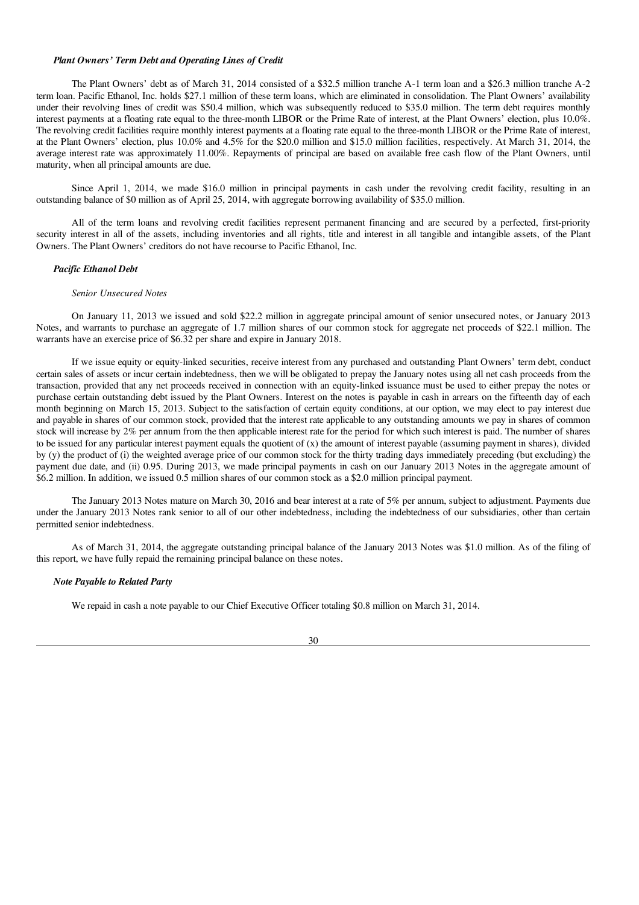#### *Plant Owners' Term Debt and Operating Lines of Credit*

The Plant Owners' debt as of March 31, 2014 consisted of a \$32.5 million tranche A-1 term loan and a \$26.3 million tranche A-2 term loan. Pacific Ethanol, Inc. holds \$27.1 million of these term loans, which are eliminated in consolidation. The Plant Owners' availability under their revolving lines of credit was \$50.4 million, which was subsequently reduced to \$35.0 million. The term debt requires monthly interest payments at a floating rate equal to the three-month LIBOR or the Prime Rate of interest, at the Plant Owners' election, plus 10.0%. The revolving credit facilities require monthly interest payments at a floating rate equal to the three-month LIBOR or the Prime Rate of interest, at the Plant Owners' election, plus 10.0% and 4.5% for the \$20.0 million and \$15.0 million facilities, respectively. At March 31, 2014, the average interest rate was approximately 11.00%. Repayments of principal are based on available free cash flow of the Plant Owners, until maturity, when all principal amounts are due.

Since April 1, 2014, we made \$16.0 million in principal payments in cash under the revolving credit facility, resulting in an outstanding balance of \$0 million as of April 25, 2014, with aggregate borrowing availability of \$35.0 million.

All of the term loans and revolving credit facilities represent permanent financing and are secured by a perfected, first-priority security interest in all of the assets, including inventories and all rights, title and interest in all tangible and intangible assets, of the Plant Owners. The Plant Owners' creditors do not have recourse to Pacific Ethanol, Inc.

#### *Pacific Ethanol Debt*

#### *Senior Unsecured Notes*

On January 11, 2013 we issued and sold \$22.2 million in aggregate principal amount of senior unsecured notes, or January 2013 Notes, and warrants to purchase an aggregate of 1.7 million shares of our common stock for aggregate net proceeds of \$22.1 million. The warrants have an exercise price of \$6.32 per share and expire in January 2018.

If we issue equity or equity-linked securities, receive interest from any purchased and outstanding Plant Owners' term debt, conduct certain sales of assets or incur certain indebtedness, then we will be obligated to prepay the January notes using all net cash proceeds from the transaction, provided that any net proceeds received in connection with an equity-linked issuance must be used to either prepay the notes or purchase certain outstanding debt issued by the Plant Owners. Interest on the notes is payable in cash in arrears on the fifteenth day of each month beginning on March 15, 2013. Subject to the satisfaction of certain equity conditions, at our option, we may elect to pay interest due and payable in shares of our common stock, provided that the interest rate applicable to any outstanding amounts we pay in shares of common stock will increase by 2% per annum from the then applicable interest rate for the period for which such interest is paid. The number of shares to be issued for any particular interest payment equals the quotient of  $(x)$  the amount of interest payable (assuming payment in shares), divided by (y) the product of (i) the weighted average price of our common stock for the thirty trading days immediately preceding (but excluding) the payment due date, and (ii) 0.95. During 2013, we made principal payments in cash on our January 2013 Notes in the aggregate amount of \$6.2 million. In addition, we issued 0.5 million shares of our common stock as a \$2.0 million principal payment.

The January 2013 Notes mature on March 30, 2016 and bear interest at a rate of 5% per annum, subject to adjustment. Payments due under the January 2013 Notes rank senior to all of our other indebtedness, including the indebtedness of our subsidiaries, other than certain permitted senior indebtedness.

As of March 31, 2014, the aggregate outstanding principal balance of the January 2013 Notes was \$1.0 million. As of the filing of this report, we have fully repaid the remaining principal balance on these notes.

## *Note Payable to Related Party*

We repaid in cash a note payable to our Chief Executive Officer totaling \$0.8 million on March 31, 2014.

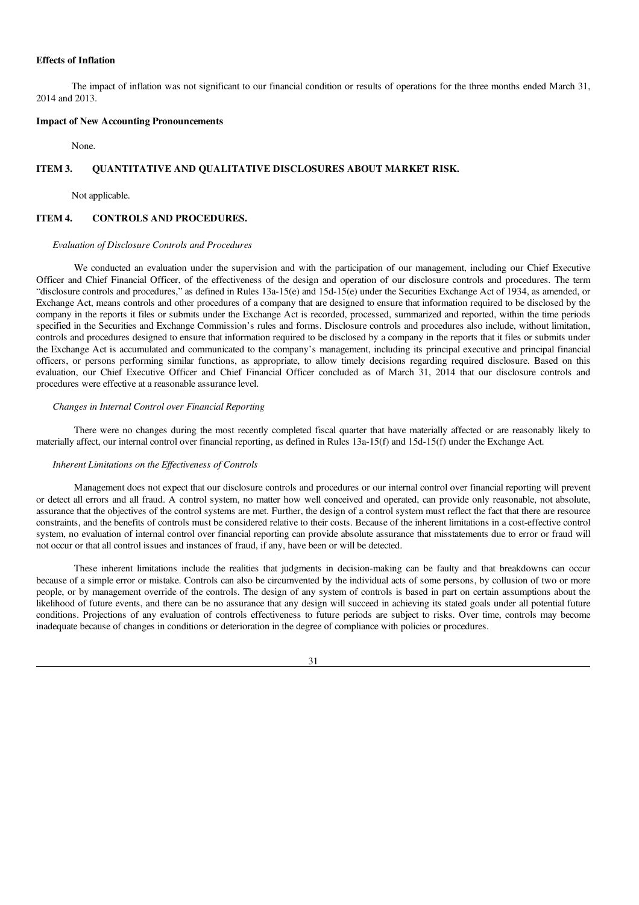### Effects of Inflation

The impact of inflation was not significant to our financial condition or results of operations for the three months ended March 31, 2014 and 2013.

### Impact of New Accounting Pronouncements

None.

## ITEM 3. QUANTITATIVE AND QUALITATIVE DISCLOSURES ABOUT MARKET RISK.

Not applicable.

## ITEM 4. CONTROLS AND PROCEDURES.

### *Evaluation of Disclosure Controls and Procedures*

We conducted an evaluation under the supervision and with the participation of our management, including our Chief Executive Officer and Chief Financial Officer, of the effectiveness of the design and operation of our disclosure controls and procedures. The term "disclosure controls and procedures," as defined in Rules 13a-15(e) and 15d-15(e) under the Securities Exchange Act of 1934, as amended, or Exchange Act, means controls and other procedures of a company that are designed to ensure that information required to be disclosed by the company in the reports it files or submits under the Exchange Act is recorded, processed, summarized and reported, within the time periods specified in the Securities and Exchange Commission's rules and forms. Disclosure controls and procedures also include, without limitation, controls and procedures designed to ensure that information required to be disclosed by a company in the reports that it files or submits under the Exchange Act is accumulated and communicated to the company's management, including its principal executive and principal financial officers, or persons performing similar functions, as appropriate, to allow timely decisions regarding required disclosure. Based on this evaluation, our Chief Executive Officer and Chief Financial Officer concluded as of March 31, 2014 that our disclosure controls and procedures were effective at a reasonable assurance level.

### *Changes in Internal Control over Financial Reporting*

There were no changes during the most recently completed fiscal quarter that have materially affected or are reasonably likely to materially affect, our internal control over financial reporting, as defined in Rules 13a-15(f) and 15d-15(f) under the Exchange Act.

# *Inherent Limitations on the Ef ectiveness of Controls*

Management does not expect that our disclosure controls and procedures or our internal control over financial reporting will prevent or detect all errors and all fraud. A control system, no matter how well conceived and operated, can provide only reasonable, not absolute, assurance that the objectives of the control systems are met. Further, the design of a control system must reflect the fact that there are resource constraints, and the benefits of controls must be considered relative to their costs. Because of the inherent limitations in a cost-effective control system, no evaluation of internal control over financial reporting can provide absolute assurance that misstatements due to error or fraud will not occur or that all control issues and instances of fraud, if any, have been or will be detected.

These inherent limitations include the realities that judgments in decision-making can be faulty and that breakdowns can occur because of a simple error or mistake. Controls can also be circumvented by the individual acts of some persons, by collusion of two or more people, or by management override of the controls. The design of any system of controls is based in part on certain assumptions about the likelihood of future events, and there can be no assurance that any design will succeed in achieving its stated goals under all potential future conditions. Projections of any evaluation of controls effectiveness to future periods are subject to risks. Over time, controls may become inadequate because of changes in conditions or deterioration in the degree of compliance with policies or procedures.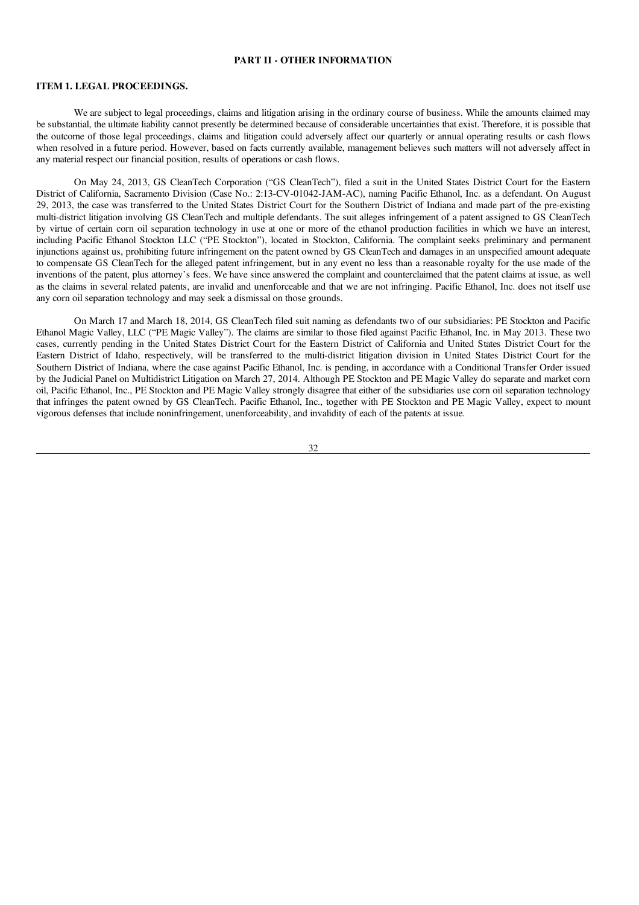## PART II - OTHER INFORMATION

#### ITEM 1. LEGAL PROCEEDINGS.

We are subject to legal proceedings, claims and litigation arising in the ordinary course of business. While the amounts claimed may be substantial, the ultimate liability cannot presently be determined because of considerable uncertainties that exist. Therefore, it is possible that the outcome of those legal proceedings, claims and litigation could adversely affect our quarterly or annual operating results or cash flows when resolved in a future period. However, based on facts currently available, management believes such matters will not adversely affect in any material respect our financial position, results of operations or cash flows.

On May 24, 2013, GS CleanTech Corporation ("GS CleanTech"), filed a suit in the United States District Court for the Eastern District of California, Sacramento Division (Case No.: 2:13-CV-01042-JAM-AC), naming Pacific Ethanol, Inc. as a defendant. On August 29, 2013, the case was transferred to the United States District Court for the Southern District of Indiana and made part of the pre-existing multi-district litigation involving GS CleanTech and multiple defendants. The suit alleges infringement of a patent assigned to GS CleanTech by virtue of certain corn oil separation technology in use at one or more of the ethanol production facilities in which we have an interest, including Pacific Ethanol Stockton LLC ("PE Stockton"), located in Stockton, California. The complaint seeks preliminary and permanent injunctions against us, prohibiting future infringement on the patent owned by GS CleanTech and damages in an unspecified amount adequate to compensate GS CleanTech for the alleged patent infringement, but in any event no less than a reasonable royalty for the use made of the inventions of the patent, plus attorney's fees. We have since answered the complaint and counterclaimed that the patent claims at issue, as well as the claims in several related patents, are invalid and unenforceable and that we are not infringing. Pacific Ethanol, Inc. does not itself use any corn oil separation technology and may seek a dismissal on those grounds.

On March 17 and March 18, 2014, GS CleanTech filed suit naming as defendants two of our subsidiaries: PE Stockton and Pacific Ethanol Magic Valley, LLC ("PE Magic Valley"). The claims are similar to those filed against Pacific Ethanol, Inc. in May 2013. These two cases, currently pending in the United States District Court for the Eastern District of California and United States District Court for the Eastern District of Idaho, respectively, will be transferred to the multi-district litigation division in United States District Court for the Southern District of Indiana, where the case against Pacific Ethanol, Inc. is pending, in accordance with a Conditional Transfer Order issued by the Judicial Panel on Multidistrict Litigation on March 27, 2014. Although PE Stockton and PE Magic Valley do separate and market corn oil, Pacific Ethanol, Inc., PE Stockton and PE Magic Valley strongly disagree that either of the subsidiaries use corn oil separation technology that infringes the patent owned by GS CleanTech. Pacific Ethanol, Inc., together with PE Stockton and PE Magic Valley, expect to mount vigorous defenses that include noninfringement, unenforceability, and invalidity of each of the patents at issue.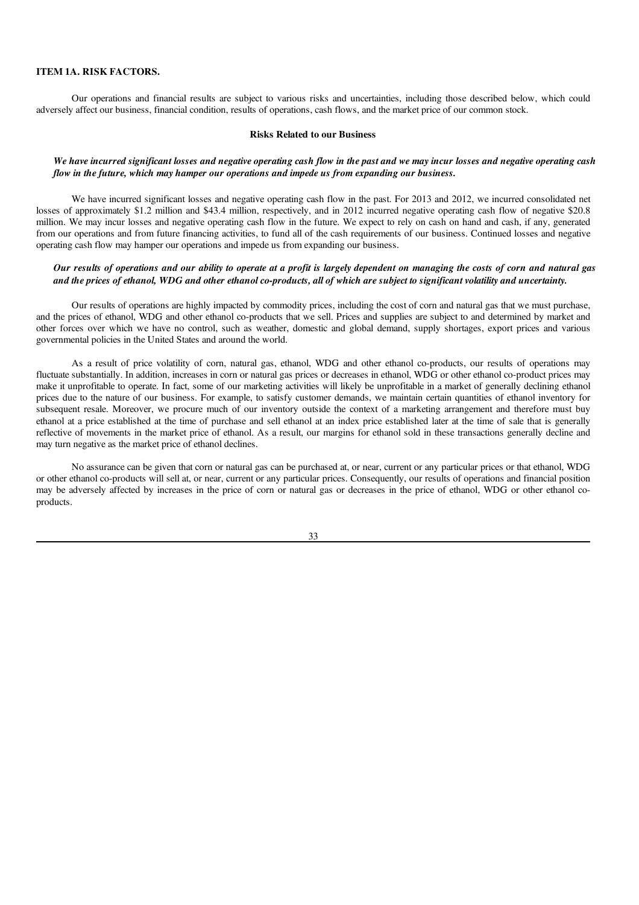### ITEM 1A. RISK FACTORS.

Our operations and financial results are subject to various risks and uncertainties, including those described below, which could adversely affect our business, financial condition, results of operations, cash flows, and the market price of our common stock.

## Risks Related to our Business

## We have incurred significant losses and negative operating cash flow in the past and we may incur losses and negative operating cash *flow in the future, which may hamper our operations and impede us from expanding our business.*

We have incurred significant losses and negative operating cash flow in the past. For 2013 and 2012, we incurred consolidated net losses of approximately \$1.2 million and \$43.4 million, respectively, and in 2012 incurred negative operating cash flow of negative \$20.8 million. We may incur losses and negative operating cash flow in the future. We expect to rely on cash on hand and cash, if any, generated from our operations and from future financing activities, to fund all of the cash requirements of our business. Continued losses and negative operating cash flow may hamper our operations and impede us from expanding our business.

## Our results of operations and our ability to operate at a profit is largely dependent on managing the costs of corn and natural gas and the prices of ethanol, WDG and other ethanol co-products, all of which are subject to significant volatility and uncertainty.

Our results of operations are highly impacted by commodity prices, including the cost of corn and natural gas that we must purchase, and the prices of ethanol, WDG and other ethanol co-products that we sell. Prices and supplies are subject to and determined by market and other forces over which we have no control, such as weather, domestic and global demand, supply shortages, export prices and various governmental policies in the United States and around the world.

As a result of price volatility of corn, natural gas, ethanol, WDG and other ethanol co-products, our results of operations may fluctuate substantially. In addition, increases in corn or natural gas prices or decreases in ethanol, WDG or other ethanol co-product prices may make it unprofitable to operate. In fact, some of our marketing activities will likely be unprofitable in a market of generally declining ethanol prices due to the nature of our business. For example, to satisfy customer demands, we maintain certain quantities of ethanol inventory for subsequent resale. Moreover, we procure much of our inventory outside the context of a marketing arrangement and therefore must buy ethanol at a price established at the time of purchase and sell ethanol at an index price established later at the time of sale that is generally reflective of movements in the market price of ethanol. As a result, our margins for ethanol sold in these transactions generally decline and may turn negative as the market price of ethanol declines.

No assurance can be given that corn or natural gas can be purchased at, or near, current or any particular prices or that ethanol, WDG or other ethanol co-products will sell at, or near, current or any particular prices. Consequently, our results of operations and financial position may be adversely affected by increases in the price of corn or natural gas or decreases in the price of ethanol, WDG or other ethanol coproducts.

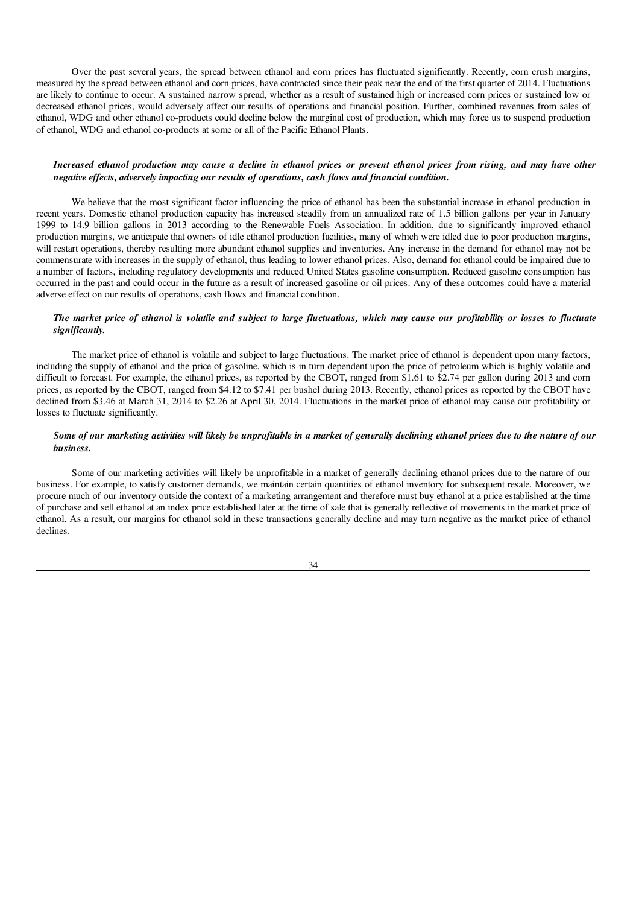Over the past several years, the spread between ethanol and corn prices has fluctuated significantly. Recently, corn crush margins, measured by the spread between ethanol and corn prices, have contracted since their peak near the end of the first quarter of 2014. Fluctuations are likely to continue to occur. A sustained narrow spread, whether as a result of sustained high or increased corn prices or sustained low or decreased ethanol prices, would adversely affect our results of operations and financial position. Further, combined revenues from sales of ethanol, WDG and other ethanol co-products could decline below the marginal cost of production, which may force us to suspend production of ethanol, WDG and ethanol co-products at some or all of the Pacific Ethanol Plants.

### Increased ethanol production may cause a decline in ethanol prices or prevent ethanol prices from rising, and may have other *negative effects, adversely impacting our results of operations, cash flows and financial condition.*

We believe that the most significant factor influencing the price of ethanol has been the substantial increase in ethanol production in recent years. Domestic ethanol production capacity has increased steadily from an annualized rate of 1.5 billion gallons per year in January 1999 to 14.9 billion gallons in 2013 according to the Renewable Fuels Association. In addition, due to significantly improved ethanol production margins, we anticipate that owners of idle ethanol production facilities, many of which were idled due to poor production margins, will restart operations, thereby resulting more abundant ethanol supplies and inventories. Any increase in the demand for ethanol may not be commensurate with increases in the supply of ethanol, thus leading to lower ethanol prices. Also, demand for ethanol could be impaired due to a number of factors, including regulatory developments and reduced United States gasoline consumption. Reduced gasoline consumption has occurred in the past and could occur in the future as a result of increased gasoline or oil prices. Any of these outcomes could have a material adverse effect on our results of operations, cash flows and financial condition.

## The market price of ethanol is volatile and subject to large fluctuations, which may cause our profitability or losses to fluctuate *significantly.*

The market price of ethanol is volatile and subject to large fluctuations. The market price of ethanol is dependent upon many factors, including the supply of ethanol and the price of gasoline, which is in turn dependent upon the price of petroleum which is highly volatile and difficult to forecast. For example, the ethanol prices, as reported by the CBOT, ranged from \$1.61 to \$2.74 per gallon during 2013 and corn prices, as reported by the CBOT, ranged from \$4.12 to \$7.41 per bushel during 2013. Recently, ethanol prices as reported by the CBOT have declined from \$3.46 at March 31, 2014 to \$2.26 at April 30, 2014. Fluctuations in the market price of ethanol may cause our profitability or losses to fluctuate significantly.

### Some of our marketing activities will likely be unprofitable in a market of generally declining ethanol prices due to the nature of our *business.*

Some of our marketing activities will likely be unprofitable in a market of generally declining ethanol prices due to the nature of our business. For example, to satisfy customer demands, we maintain certain quantities of ethanol inventory for subsequent resale. Moreover, we procure much of our inventory outside the context of a marketing arrangement and therefore must buy ethanol at a price established at the time of purchase and sell ethanol at an index price established later at the time of sale that is generally reflective of movements in the market price of ethanol. As a result, our margins for ethanol sold in these transactions generally decline and may turn negative as the market price of ethanol declines.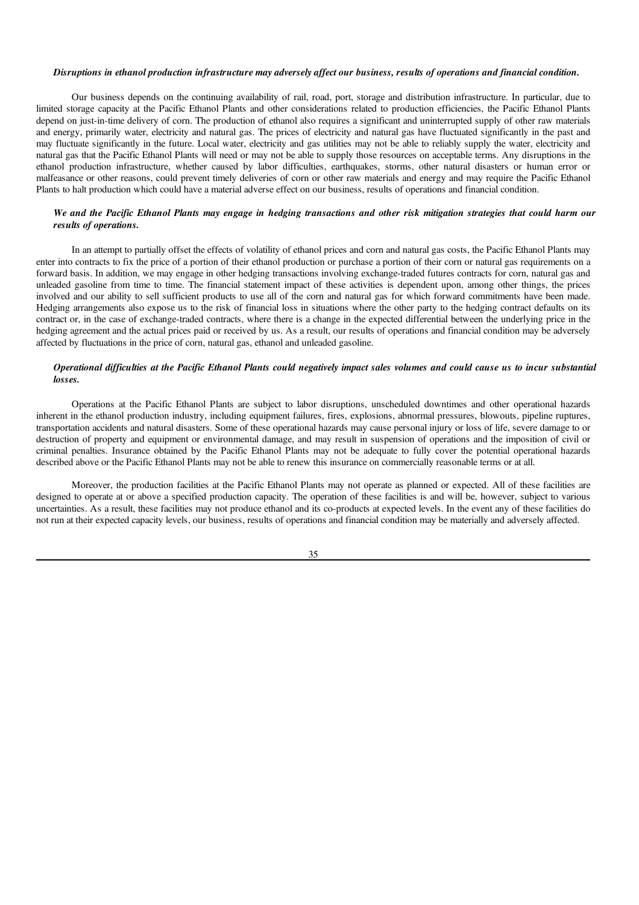#### Disruptions in ethanol production infrastructure may adversely affect our business, results of operations and financial condition.

Our business depends on the continuing availability of rail, road, port, storage and distribution infrastructure. In particular, due to limited storage capacity at the Pacific Ethanol Plants and other considerations related to production efficiencies, the Pacific Ethanol Plants depend on just-in-time delivery of corn. The production of ethanol also requires a significant and uninterrupted supply of other raw materials and energy, primarily water, electricity and natural gas. The prices of electricity and natural gas have fluctuated significantly in the past and may fluctuate significantly in the future. Local water, electricity and gas utilities may not be able to reliably supply the water, electricity and natural gas that the Pacific Ethanol Plants will need or may not be able to supply those resources on acceptable terms. Any disruptions in the ethanol production infrastructure, whether caused by labor difficulties, earthquakes, storms, other natural disasters or human error or malfeasance or other reasons, could prevent timely deliveries of corn or other raw materials and energy and may require the Pacific Ethanol Plants to halt production which could have a material adverse effect on our business, results of operations and financial condition.

## We and the Pacific Ethanol Plants may engage in hedging transactions and other risk mitigation strategies that could harm our *results of operations.*

In an attempt to partially offset the effects of volatility of ethanol prices and corn and natural gas costs, the Pacific Ethanol Plants may enter into contracts to fix the price of a portion of their ethanol production or purchase a portion of their corn or natural gas requirements on a forward basis. In addition, we may engage in other hedging transactions involving exchange-traded futures contracts for corn, natural gas and unleaded gasoline from time to time. The financial statement impact of these activities is dependent upon, among other things, the prices involved and our ability to sell sufficient products to use all of the corn and natural gas for which forward commitments have been made. Hedging arrangements also expose us to the risk of financial loss in situations where the other party to the hedging contract defaults on its contract or, in the case of exchange-traded contracts, where there is a change in the expected differential between the underlying price in the hedging agreement and the actual prices paid or received by us. As a result, our results of operations and financial condition may be adversely affected by fluctuations in the price of corn, natural gas, ethanol and unleaded gasoline.

## Operational difficulties at the Pacific Ethanol Plants could negatively impact sales volumes and could cause us to incur substantial *losses.*

Operations at the Pacific Ethanol Plants are subject to labor disruptions, unscheduled downtimes and other operational hazards inherent in the ethanol production industry, including equipment failures, fires, explosions, abnormal pressures, blowouts, pipeline ruptures, transportation accidents and natural disasters. Some of these operational hazards may cause personal injury or loss of life, severe damage to or destruction of property and equipment or environmental damage, and may result in suspension of operations and the imposition of civil or criminal penalties. Insurance obtained by the Pacific Ethanol Plants may not be adequate to fully cover the potential operational hazards described above or the Pacific Ethanol Plants may not be able to renew this insurance on commercially reasonable terms or at all.

Moreover, the production facilities at the Pacific Ethanol Plants may not operate as planned or expected. All of these facilities are designed to operate at or above a specified production capacity. The operation of these facilities is and will be, however, subject to various uncertainties. As a result, these facilities may not produce ethanol and its co-products at expected levels. In the event any of these facilities do not run at their expected capacity levels, our business, results of operations and financial condition may be materially and adversely affected.

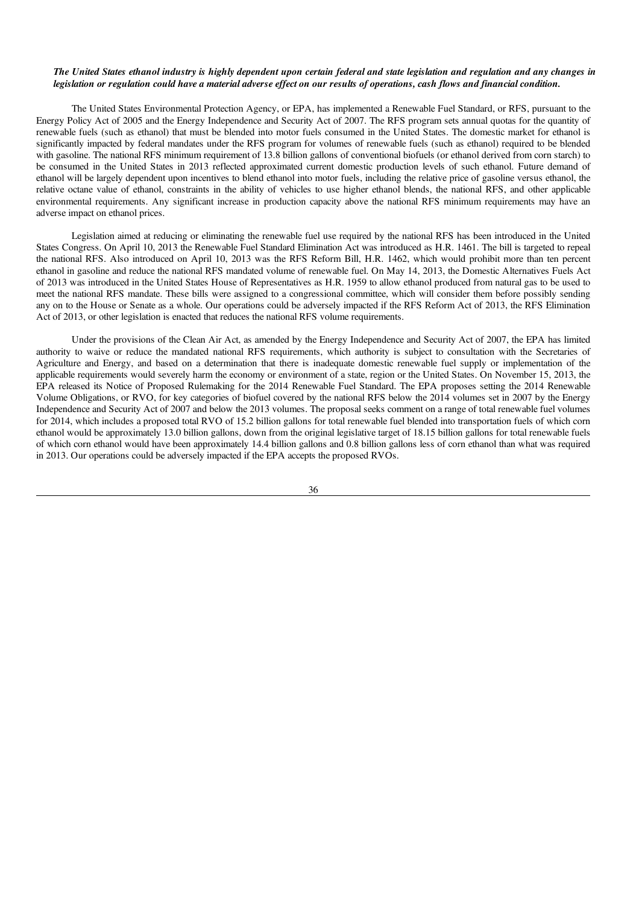### The United States ethanol industry is highly dependent upon certain federal and state legislation and regulation and any changes in legislation or regulation could have a material adverse effect on our results of operations, cash flows and financial condition.

The United States Environmental Protection Agency, or EPA, has implemented a Renewable Fuel Standard, or RFS, pursuant to the Energy Policy Act of 2005 and the Energy Independence and Security Act of 2007. The RFS program sets annual quotas for the quantity of renewable fuels (such as ethanol) that must be blended into motor fuels consumed in the United States. The domestic market for ethanol is significantly impacted by federal mandates under the RFS program for volumes of renewable fuels (such as ethanol) required to be blended with gasoline. The national RFS minimum requirement of 13.8 billion gallons of conventional biofuels (or ethanol derived from corn starch) to be consumed in the United States in 2013 reflected approximated current domestic production levels of such ethanol. Future demand of ethanol will be largely dependent upon incentives to blend ethanol into motor fuels, including the relative price of gasoline versus ethanol, the relative octane value of ethanol, constraints in the ability of vehicles to use higher ethanol blends, the national RFS, and other applicable environmental requirements. Any significant increase in production capacity above the national RFS minimum requirements may have an adverse impact on ethanol prices.

Legislation aimed at reducing or eliminating the renewable fuel use required by the national RFS has been introduced in the United States Congress. On April 10, 2013 the Renewable Fuel Standard Elimination Act was introduced as H.R. 1461. The bill is targeted to repeal the national RFS. Also introduced on April 10, 2013 was the RFS Reform Bill, H.R. 1462, which would prohibit more than ten percent ethanol in gasoline and reduce the national RFS mandated volume of renewable fuel. On May 14, 2013, the Domestic Alternatives Fuels Act of 2013 was introduced in the United States House of Representatives as H.R. 1959 to allow ethanol produced from natural gas to be used to meet the national RFS mandate. These bills were assigned to a congressional committee, which will consider them before possibly sending any on to the House or Senate as a whole. Our operations could be adversely impacted if the RFS Reform Act of 2013, the RFS Elimination Act of 2013, or other legislation is enacted that reduces the national RFS volume requirements.

Under the provisions of the Clean Air Act, as amended by the Energy Independence and Security Act of 2007, the EPA has limited authority to waive or reduce the mandated national RFS requirements, which authority is subject to consultation with the Secretaries of Agriculture and Energy, and based on a determination that there is inadequate domestic renewable fuel supply or implementation of the applicable requirements would severely harm the economy or environment of a state, region or the United States. On November 15, 2013, the EPA released its Notice of Proposed Rulemaking for the 2014 Renewable Fuel Standard. The EPA proposes setting the 2014 Renewable Volume Obligations, or RVO, for key categories of biofuel covered by the national RFS below the 2014 volumes set in 2007 by the Energy Independence and Security Act of 2007 and below the 2013 volumes. The proposal seeks comment on a range of total renewable fuel volumes for 2014, which includes a proposed total RVO of 15.2 billion gallons for total renewable fuel blended into transportation fuels of which corn ethanol would be approximately 13.0 billion gallons, down from the original legislative target of 18.15 billion gallons for total renewable fuels of which corn ethanol would have been approximately 14.4 billion gallons and 0.8 billion gallons less of corn ethanol than what was required in 2013. Our operations could be adversely impacted if the EPA accepts the proposed RVOs.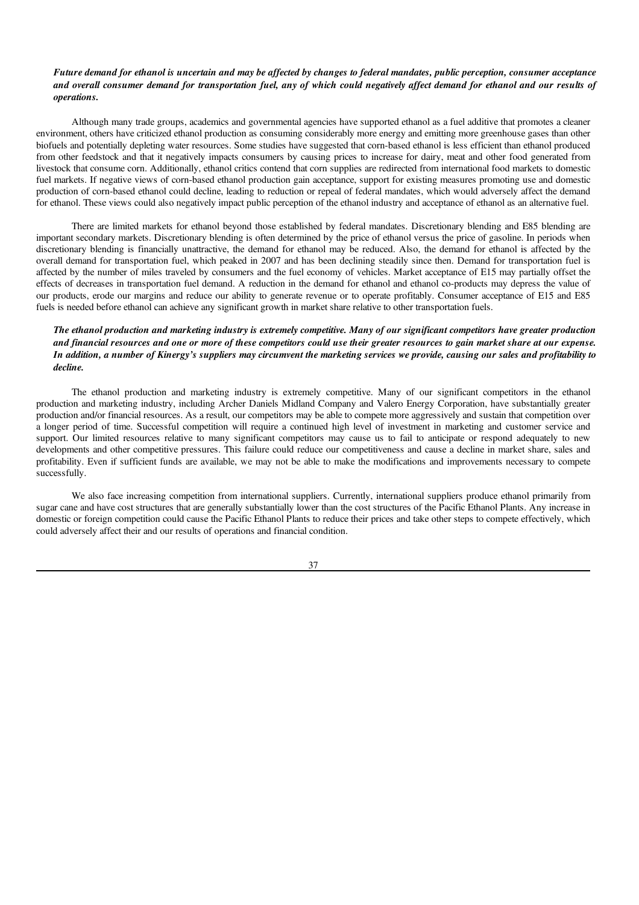## Future demand for ethanol is uncertain and may be affected by changes to federal mandates, public perception, consumer acceptance and overall consumer demand for transportation fuel, any of which could negatively affect demand for ethanol and our results of *operations.*

Although many trade groups, academics and governmental agencies have supported ethanol as a fuel additive that promotes a cleaner environment, others have criticized ethanol production as consuming considerably more energy and emitting more greenhouse gases than other biofuels and potentially depleting water resources. Some studies have suggested that corn-based ethanol is less efficient than ethanol produced from other feedstock and that it negatively impacts consumers by causing prices to increase for dairy, meat and other food generated from livestock that consume corn. Additionally, ethanol critics contend that corn supplies are redirected from international food markets to domestic fuel markets. If negative views of corn-based ethanol production gain acceptance, support for existing measures promoting use and domestic production of corn-based ethanol could decline, leading to reduction or repeal of federal mandates, which would adversely affect the demand for ethanol. These views could also negatively impact public perception of the ethanol industry and acceptance of ethanol as an alternative fuel.

There are limited markets for ethanol beyond those established by federal mandates. Discretionary blending and E85 blending are important secondary markets. Discretionary blending is often determined by the price of ethanol versus the price of gasoline. In periods when discretionary blending is financially unattractive, the demand for ethanol may be reduced. Also, the demand for ethanol is affected by the overall demand for transportation fuel, which peaked in 2007 and has been declining steadily since then. Demand for transportation fuel is affected by the number of miles traveled by consumers and the fuel economy of vehicles. Market acceptance of E15 may partially offset the effects of decreases in transportation fuel demand. A reduction in the demand for ethanol and ethanol co-products may depress the value of our products, erode our margins and reduce our ability to generate revenue or to operate profitably. Consumer acceptance of E15 and E85 fuels is needed before ethanol can achieve any significant growth in market share relative to other transportation fuels.

## The ethanol production and marketing industry is extremely competitive. Many of our significant competitors have greater production and financial resources and one or more of these competitors could use their greater resources to gain market share at our expense. In addition, a number of Kinergy's suppliers may circumvent the marketing services we provide, causing our sales and profitability to *decline.*

The ethanol production and marketing industry is extremely competitive. Many of our significant competitors in the ethanol production and marketing industry, including Archer Daniels Midland Company and Valero Energy Corporation, have substantially greater production and/or financial resources. As a result, our competitors may be able to compete more aggressively and sustain that competition over a longer period of time. Successful competition will require a continued high level of investment in marketing and customer service and support. Our limited resources relative to many significant competitors may cause us to fail to anticipate or respond adequately to new developments and other competitive pressures. This failure could reduce our competitiveness and cause a decline in market share, sales and profitability. Even if sufficient funds are available, we may not be able to make the modifications and improvements necessary to compete successfully.

We also face increasing competition from international suppliers. Currently, international suppliers produce ethanol primarily from sugar cane and have cost structures that are generally substantially lower than the cost structures of the Pacific Ethanol Plants. Any increase in domestic or foreign competition could cause the Pacific Ethanol Plants to reduce their prices and take other steps to compete effectively, which could adversely affect their and our results of operations and financial condition.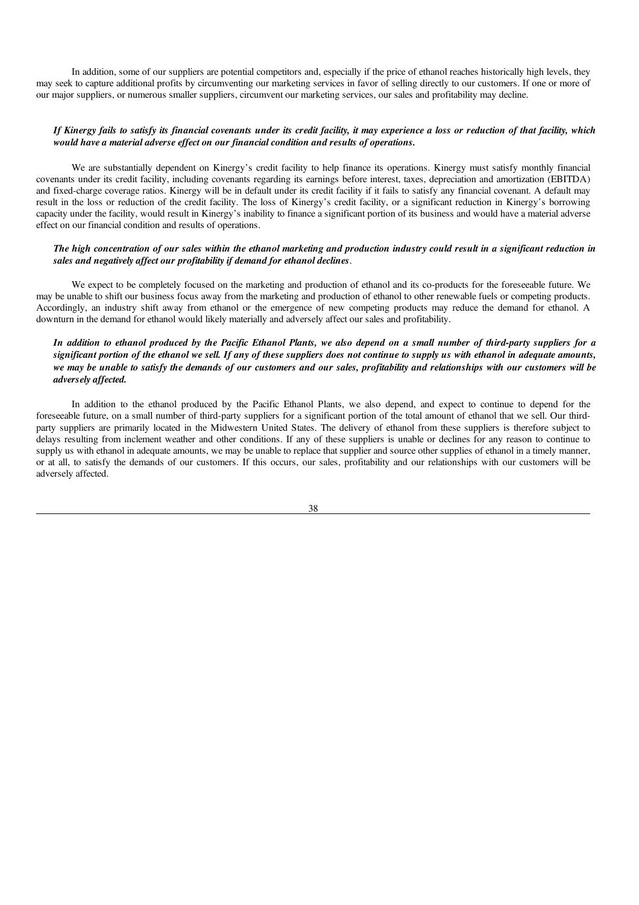In addition, some of our suppliers are potential competitors and, especially if the price of ethanol reaches historically high levels, they may seek to capture additional profits by circumventing our marketing services in favor of selling directly to our customers. If one or more of our major suppliers, or numerous smaller suppliers, circumvent our marketing services, our sales and profitability may decline.

## If Kinergy fails to satisfy its financial covenants under its credit facility, it may experience a loss or reduction of that facility, which *would have a material adverse effect on our financial condition and results of operations.*

We are substantially dependent on Kinergy's credit facility to help finance its operations. Kinergy must satisfy monthly financial covenants under its credit facility, including covenants regarding its earnings before interest, taxes, depreciation and amortization (EBITDA) and fixed-charge coverage ratios. Kinergy will be in default under its credit facility if it fails to satisfy any financial covenant. A default may result in the loss or reduction of the credit facility. The loss of Kinergy's credit facility, or a significant reduction in Kinergy's borrowing capacity under the facility, would result in Kinergy's inability to finance a significant portion of its business and would have a material adverse effect on our financial condition and results of operations.

## The high concentration of our sales within the ethanol marketing and production industry could result in a significant reduction in *sales and negatively affect our profitability if demand for ethanol declines*.

We expect to be completely focused on the marketing and production of ethanol and its co-products for the foreseeable future. We may be unable to shift our business focus away from the marketing and production of ethanol to other renewable fuels or competing products. Accordingly, an industry shift away from ethanol or the emergence of new competing products may reduce the demand for ethanol. A downturn in the demand for ethanol would likely materially and adversely affect our sales and profitability.

## In addition to ethanol produced by the Pacific Ethanol Plants, we also depend on a small number of third-party suppliers for a significant portion of the ethanol we sell. If any of these suppliers does not continue to supply us with ethanol in adequate amounts, we may be unable to satisfy the demands of our customers and our sales, profitability and relationships with our customers will be *adversely affected.*

In addition to the ethanol produced by the Pacific Ethanol Plants, we also depend, and expect to continue to depend for the foreseeable future, on a small number of third-party suppliers for a significant portion of the total amount of ethanol that we sell. Our thirdparty suppliers are primarily located in the Midwestern United States. The delivery of ethanol from these suppliers is therefore subject to delays resulting from inclement weather and other conditions. If any of these suppliers is unable or declines for any reason to continue to supply us with ethanol in adequate amounts, we may be unable to replace that supplier and source other supplies of ethanol in a timely manner, or at all, to satisfy the demands of our customers. If this occurs, our sales, profitability and our relationships with our customers will be adversely affected.

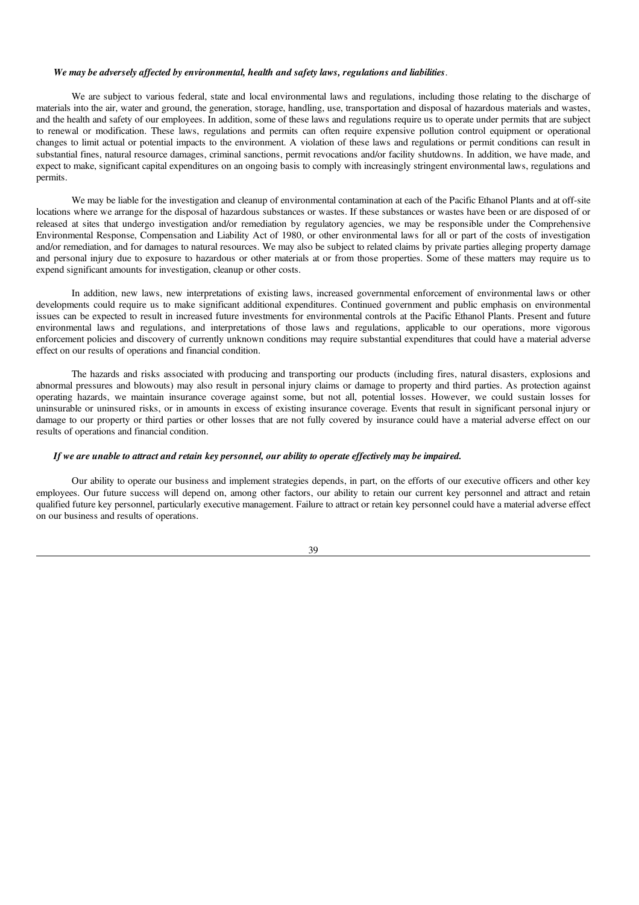#### *We may be adversely affected by environmental, health and safety laws, regulations and liabilities*.

We are subject to various federal, state and local environmental laws and regulations, including those relating to the discharge of materials into the air, water and ground, the generation, storage, handling, use, transportation and disposal of hazardous materials and wastes, and the health and safety of our employees. In addition, some of these laws and regulations require us to operate under permits that are subject to renewal or modification. These laws, regulations and permits can often require expensive pollution control equipment or operational changes to limit actual or potential impacts to the environment. A violation of these laws and regulations or permit conditions can result in substantial fines, natural resource damages, criminal sanctions, permit revocations and/or facility shutdowns. In addition, we have made, and expect to make, significant capital expenditures on an ongoing basis to comply with increasingly stringent environmental laws, regulations and permits.

We may be liable for the investigation and cleanup of environmental contamination at each of the Pacific Ethanol Plants and at off-site locations where we arrange for the disposal of hazardous substances or wastes. If these substances or wastes have been or are disposed of or released at sites that undergo investigation and/or remediation by regulatory agencies, we may be responsible under the Comprehensive Environmental Response, Compensation and Liability Act of 1980, or other environmental laws for all or part of the costs of investigation and/or remediation, and for damages to natural resources. We may also be subject to related claims by private parties alleging property damage and personal injury due to exposure to hazardous or other materials at or from those properties. Some of these matters may require us to expend significant amounts for investigation, cleanup or other costs.

In addition, new laws, new interpretations of existing laws, increased governmental enforcement of environmental laws or other developments could require us to make significant additional expenditures. Continued government and public emphasis on environmental issues can be expected to result in increased future investments for environmental controls at the Pacific Ethanol Plants. Present and future environmental laws and regulations, and interpretations of those laws and regulations, applicable to our operations, more vigorous enforcement policies and discovery of currently unknown conditions may require substantial expenditures that could have a material adverse effect on our results of operations and financial condition.

The hazards and risks associated with producing and transporting our products (including fires, natural disasters, explosions and abnormal pressures and blowouts) may also result in personal injury claims or damage to property and third parties. As protection against operating hazards, we maintain insurance coverage against some, but not all, potential losses. However, we could sustain losses for uninsurable or uninsured risks, or in amounts in excess of existing insurance coverage. Events that result in significant personal injury or damage to our property or third parties or other losses that are not fully covered by insurance could have a material adverse effect on our results of operations and financial condition.

## If we are unable to attract and retain key personnel, our ability to operate effectively may be impaired,

Our ability to operate our business and implement strategies depends, in part, on the efforts of our executive officers and other key employees. Our future success will depend on, among other factors, our ability to retain our current key personnel and attract and retain qualified future key personnel, particularly executive management. Failure to attract or retain key personnel could have a material adverse effect on our business and results of operations.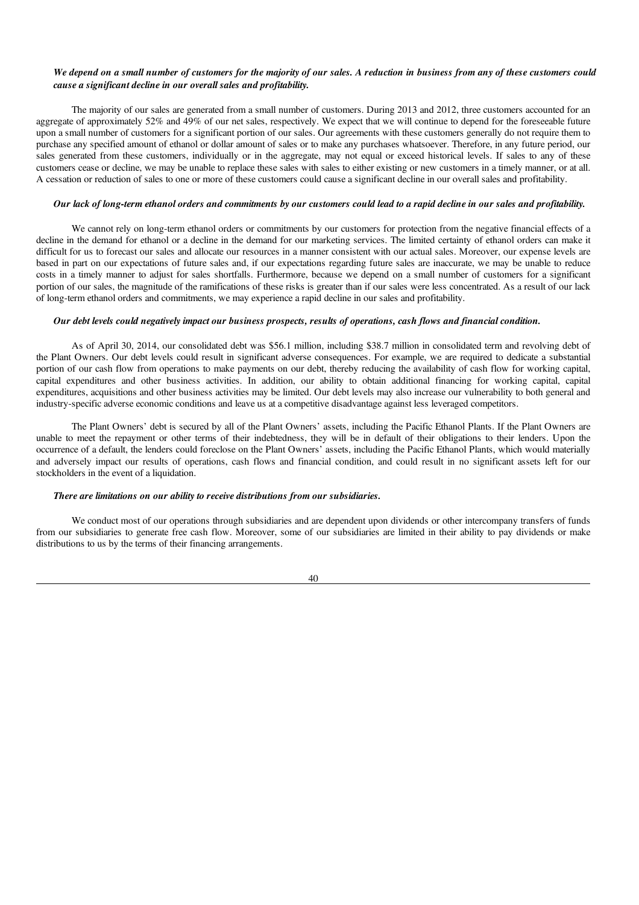## We depend on a small number of customers for the majority of our sales. A reduction in business from any of these customers could *cause a significant decline in our overall sales and profitability.*

The majority of our sales are generated from a small number of customers. During 2013 and 2012, three customers accounted for an aggregate of approximately 52% and 49% of our net sales, respectively. We expect that we will continue to depend for the foreseeable future upon a small number of customers for a significant portion of our sales. Our agreements with these customers generally do not require them to purchase any specified amount of ethanol or dollar amount of sales or to make any purchases whatsoever. Therefore, in any future period, our sales generated from these customers, individually or in the aggregate, may not equal or exceed historical levels. If sales to any of these customers cease or decline, we may be unable to replace these sales with sales to either existing or new customers in a timely manner, or at all. A cessation or reduction of sales to one or more of these customers could cause a significant decline in our overall sales and profitability.

### Our lack of long-term ethanol orders and commitments by our customers could lead to a rapid decline in our sales and profitability.

We cannot rely on long-term ethanol orders or commitments by our customers for protection from the negative financial effects of a decline in the demand for ethanol or a decline in the demand for our marketing services. The limited certainty of ethanol orders can make it difficult for us to forecast our sales and allocate our resources in a manner consistent with our actual sales. Moreover, our expense levels are based in part on our expectations of future sales and, if our expectations regarding future sales are inaccurate, we may be unable to reduce costs in a timely manner to adjust for sales shortfalls. Furthermore, because we depend on a small number of customers for a significant portion of our sales, the magnitude of the ramifications of these risks is greater than if our sales were less concentrated. As a result of our lack of long-term ethanol orders and commitments, we may experience a rapid decline in our sales and profitability.

### Our debt levels could negatively impact our business prospects, results of operations, cash flows and financial condition.

As of April 30, 2014, our consolidated debt was \$56.1 million, including \$38.7 million in consolidated term and revolving debt of the Plant Owners. Our debt levels could result in significant adverse consequences. For example, we are required to dedicate a substantial portion of our cash flow from operations to make payments on our debt, thereby reducing the availability of cash flow for working capital, capital expenditures and other business activities. In addition, our ability to obtain additional financing for working capital, capital expenditures, acquisitions and other business activities may be limited. Our debt levels may also increase our vulnerability to both general and industry-specific adverse economic conditions and leave us at a competitive disadvantage against less leveraged competitors.

The Plant Owners' debt is secured by all of the Plant Owners' assets, including the Pacific Ethanol Plants. If the Plant Owners are unable to meet the repayment or other terms of their indebtedness, they will be in default of their obligations to their lenders. Upon the occurrence of a default, the lenders could foreclose on the Plant Owners' assets, including the Pacific Ethanol Plants, which would materially and adversely impact our results of operations, cash flows and financial condition, and could result in no significant assets left for our stockholders in the event of a liquidation.

#### *There are limitations on our ability to receive distributions from our subsidiaries.*

We conduct most of our operations through subsidiaries and are dependent upon dividends or other intercompany transfers of funds from our subsidiaries to generate free cash flow. Moreover, some of our subsidiaries are limited in their ability to pay dividends or make distributions to us by the terms of their financing arrangements.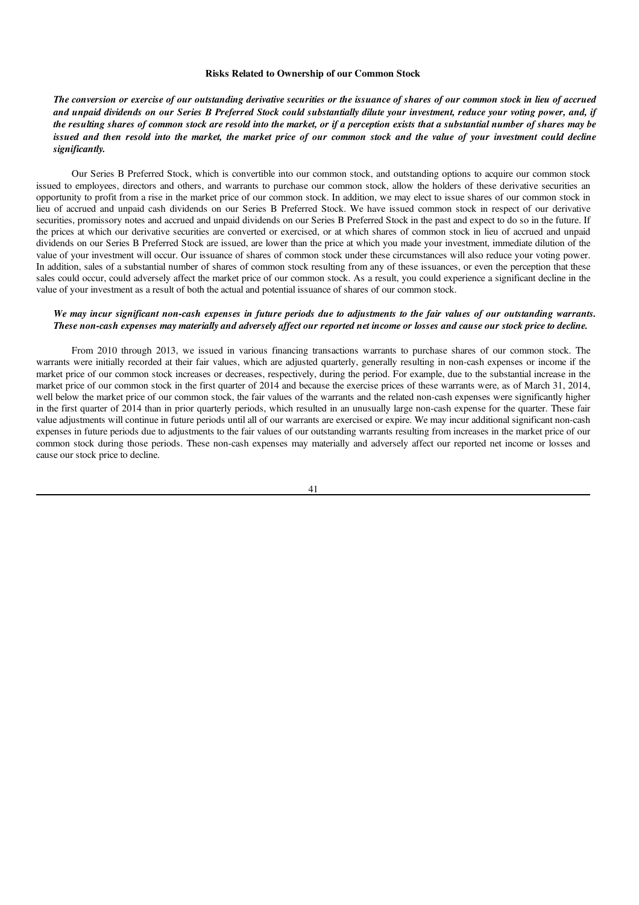#### Risks Related to Ownership of our Common Stock

The conversion or exercise of our outstanding derivative securities or the issuance of shares of our common stock in lieu of accrued and unpaid dividends on our Series B Preferred Stock could substantially dilute your investment, reduce your voting power, and, if the resulting shares of common stock are resold into the market, or if a perception exists that a substantial number of shares may be issued and then resold into the market, the market price of our common stock and the value of your investment could decline *significantly.*

Our Series B Preferred Stock, which is convertible into our common stock, and outstanding options to acquire our common stock issued to employees, directors and others, and warrants to purchase our common stock, allow the holders of these derivative securities an opportunity to profit from a rise in the market price of our common stock. In addition, we may elect to issue shares of our common stock in lieu of accrued and unpaid cash dividends on our Series B Preferred Stock. We have issued common stock in respect of our derivative securities, promissory notes and accrued and unpaid dividends on our Series B Preferred Stock in the past and expect to do so in the future. If the prices at which our derivative securities are converted or exercised, or at which shares of common stock in lieu of accrued and unpaid dividends on our Series B Preferred Stock are issued, are lower than the price at which you made your investment, immediate dilution of the value of your investment will occur. Our issuance of shares of common stock under these circumstances will also reduce your voting power. In addition, sales of a substantial number of shares of common stock resulting from any of these issuances, or even the perception that these sales could occur, could adversely affect the market price of our common stock. As a result, you could experience a significant decline in the value of your investment as a result of both the actual and potential issuance of shares of our common stock.

## We may incur significant non-cash expenses in future periods due to adjustments to the fair values of our outstanding warrants. These non-cash expenses may materially and adversely affect our reported net income or losses and cause our stock price to decline.

From 2010 through 2013, we issued in various financing transactions warrants to purchase shares of our common stock. The warrants were initially recorded at their fair values, which are adjusted quarterly, generally resulting in non-cash expenses or income if the market price of our common stock increases or decreases, respectively, during the period. For example, due to the substantial increase in the market price of our common stock in the first quarter of 2014 and because the exercise prices of these warrants were, as of March 31, 2014, well below the market price of our common stock, the fair values of the warrants and the related non-cash expenses were significantly higher in the first quarter of 2014 than in prior quarterly periods, which resulted in an unusually large non-cash expense for the quarter. These fair value adjustments will continue in future periods until all of our warrants are exercised or expire. We may incur additional significant non-cash expenses in future periods due to adjustments to the fair values of our outstanding warrants resulting from increases in the market price of our common stock during those periods. These non-cash expenses may materially and adversely affect our reported net income or losses and cause our stock price to decline.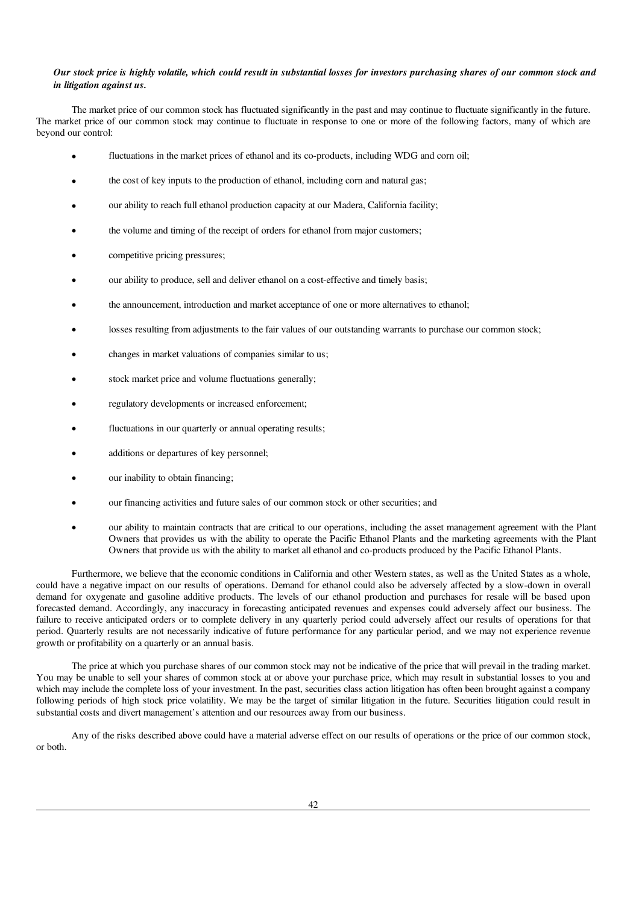## Our stock price is highly volatile, which could result in substantial losses for investors purchasing shares of our common stock and *in litigation against us.*

The market price of our common stock has fluctuated significantly in the past and may continue to fluctuate significantly in the future. The market price of our common stock may continue to fluctuate in response to one or more of the following factors, many of which are beyond our control:

- fluctuations in the market prices of ethanol and its co-products, including WDG and corn oil;
- the cost of key inputs to the production of ethanol, including corn and natural gas;
- our ability to reach full ethanol production capacity at our Madera, California facility;
- the volume and timing of the receipt of orders for ethanol from major customers;
- competitive pricing pressures;
- our ability to produce, sell and deliver ethanol on a cost-effective and timely basis;
- the announcement, introduction and market acceptance of one or more alternatives to ethanol;
- losses resulting from adjustments to the fair values of our outstanding warrants to purchase our common stock;
- changes in market valuations of companies similar to us;
- stock market price and volume fluctuations generally;
- regulatory developments or increased enforcement;
- fluctuations in our quarterly or annual operating results;
- additions or departures of key personnel;
- our inability to obtain financing;
- · our financing activities and future sales of our common stock or other securities; and
- · our ability to maintain contracts that are critical to our operations, including the asset management agreement with the Plant Owners that provides us with the ability to operate the Pacific Ethanol Plants and the marketing agreements with the Plant Owners that provide us with the ability to market all ethanol and co-products produced by the Pacific Ethanol Plants.

Furthermore, we believe that the economic conditions in California and other Western states, as well as the United States as a whole. could have a negative impact on our results of operations. Demand for ethanol could also be adversely affected by a slow-down in overall demand for oxygenate and gasoline additive products. The levels of our ethanol production and purchases for resale will be based upon forecasted demand. Accordingly, any inaccuracy in forecasting anticipated revenues and expenses could adversely affect our business. The failure to receive anticipated orders or to complete delivery in any quarterly period could adversely affect our results of operations for that period. Quarterly results are not necessarily indicative of future performance for any particular period, and we may not experience revenue growth or profitability on a quarterly or an annual basis.

The price at which you purchase shares of our common stock may not be indicative of the price that will prevail in the trading market. You may be unable to sell your shares of common stock at or above your purchase price, which may result in substantial losses to you and which may include the complete loss of your investment. In the past, securities class action litigation has often been brought against a company following periods of high stock price volatility. We may be the target of similar litigation in the future. Securities litigation could result in substantial costs and divert management's attention and our resources away from our business.

Any of the risks described above could have a material adverse effect on our results of operations or the price of our common stock, or both.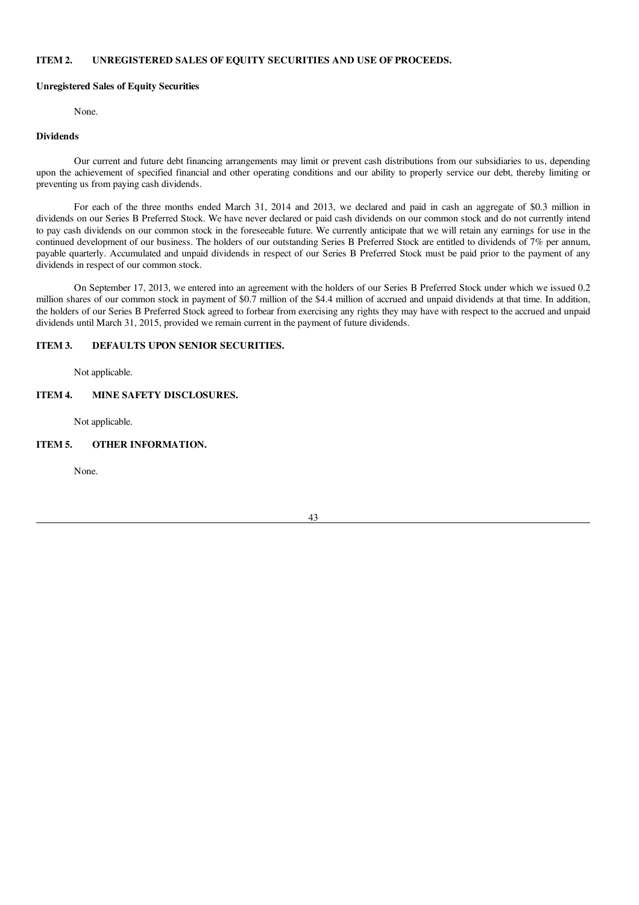## ITEM 2. UNREGISTERED SALES OF EQUITY SECURITIES AND USE OF PROCEEDS.

#### Unregistered Sales of Equity Securities

#### None.

## Dividends

Our current and future debt financing arrangements may limit or prevent cash distributions from our subsidiaries to us, depending upon the achievement of specified financial and other operating conditions and our ability to properly service our debt, thereby limiting or preventing us from paying cash dividends.

For each of the three months ended March 31, 2014 and 2013, we declared and paid in cash an aggregate of \$0.3 million in dividends on our Series B Preferred Stock. We have never declared or paid cash dividends on our common stock and do not currently intend to pay cash dividends on our common stock in the foreseeable future. We currently anticipate that we will retain any earnings for use in the continued development of our business. The holders of our outstanding Series B Preferred Stock are entitled to dividends of 7% per annum, payable quarterly. Accumulated and unpaid dividends in respect of our Series B Preferred Stock must be paid prior to the payment of any dividends in respect of our common stock.

On September 17, 2013, we entered into an agreement with the holders of our Series B Preferred Stock under which we issued 0.2 million shares of our common stock in payment of \$0.7 million of the \$4.4 million of accrued and unpaid dividends at that time. In addition, the holders of our Series B Preferred Stock agreed to forbear from exercising any rights they may have with respect to the accrued and unpaid dividends until March 31, 2015, provided we remain current in the payment of future dividends.

## ITEM 3. DEFAULTS UPON SENIOR SECURITIES.

Not applicable.

## ITEM 4. MINE SAFETY DISCLOSURES.

Not applicable.

# ITEM 5. OTHER INFORMATION.

None.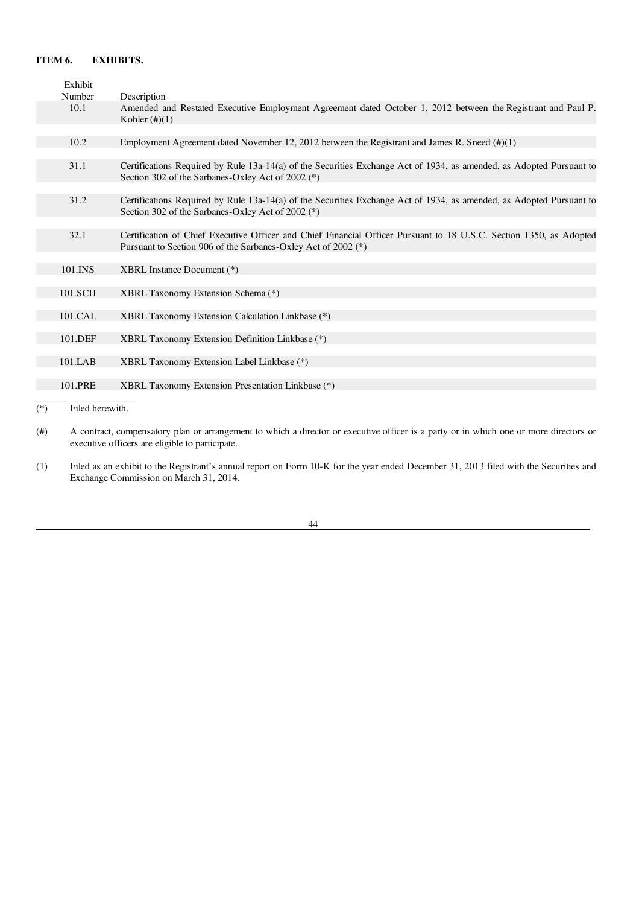## ITEM 6. EXHIBITS.

| Number<br>Description<br>Amended and Restated Executive Employment Agreement dated October 1, 2012 between the Registrant and Paul P.<br>10.1                                                |  |
|----------------------------------------------------------------------------------------------------------------------------------------------------------------------------------------------|--|
|                                                                                                                                                                                              |  |
| Kohler $(\#)(1)$                                                                                                                                                                             |  |
|                                                                                                                                                                                              |  |
| 10.2<br>Employment Agreement dated November 12, 2012 between the Registrant and James R. Sneed $(\#)(1)$                                                                                     |  |
| Certifications Required by Rule 13a-14(a) of the Securities Exchange Act of 1934, as amended, as Adopted Pursuant to<br>31.1<br>Section 302 of the Sarbanes-Oxley Act of 2002 (*)            |  |
|                                                                                                                                                                                              |  |
| 31.2<br>Certifications Required by Rule 13a-14(a) of the Securities Exchange Act of 1934, as amended, as Adopted Pursuant to<br>Section 302 of the Sarbanes-Oxley Act of 2002 (*)            |  |
|                                                                                                                                                                                              |  |
| 32.1<br>Certification of Chief Executive Officer and Chief Financial Officer Pursuant to 18 U.S.C. Section 1350, as Adopted<br>Pursuant to Section 906 of the Sarbanes-Oxley Act of 2002 (*) |  |
|                                                                                                                                                                                              |  |
| 101.INS<br>XBRL Instance Document (*)                                                                                                                                                        |  |
| 101.SCH<br>XBRL Taxonomy Extension Schema (*)                                                                                                                                                |  |
|                                                                                                                                                                                              |  |
| 101.CAL                                                                                                                                                                                      |  |
| XBRL Taxonomy Extension Calculation Linkbase (*)                                                                                                                                             |  |
| 101.DEF<br>XBRL Taxonomy Extension Definition Linkbase (*)                                                                                                                                   |  |
|                                                                                                                                                                                              |  |
| 101.LAB<br>XBRL Taxonomy Extension Label Linkbase (*)                                                                                                                                        |  |
|                                                                                                                                                                                              |  |
| XBRL Taxonomy Extension Presentation Linkbase (*)<br>101.PRE                                                                                                                                 |  |

 $(*)$  Filed herewith.

(#) A contract, compensatory plan or arrangement to which a director or executive officer is a party or in which one or more directors or executive officers are eligible to participate.

(1) Filed as an exhibit to the Registrant's annual report on Form 10-K for the year ended December 31, 2013 filed with the Securities and Exchange Commission on March 31, 2014.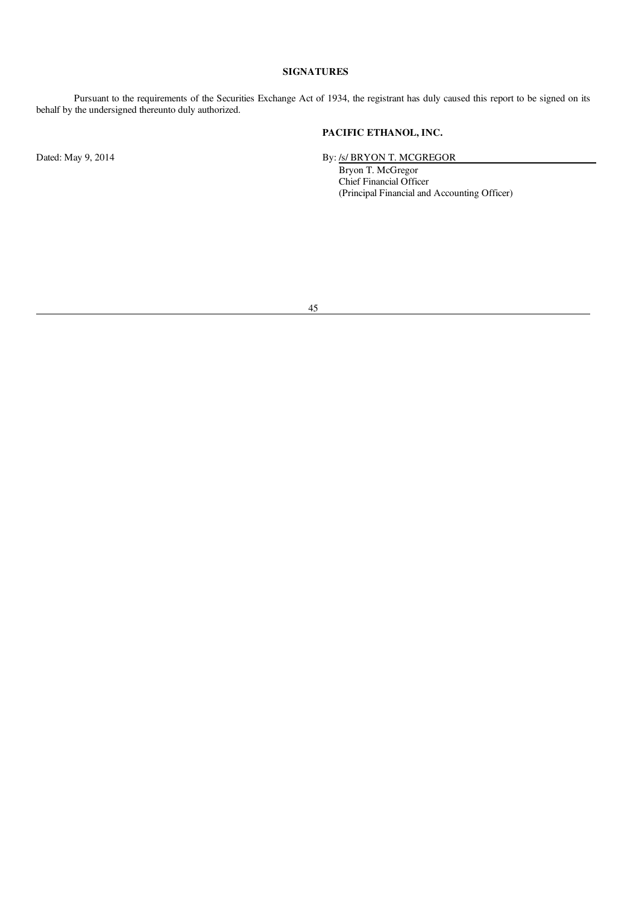## SIGNATURES

Pursuant to the requirements of the Securities Exchange Act of 1934, the registrant has duly caused this report to be signed on its behalf by the undersigned thereunto duly authorized.

# PACIFIC ETHANOL, INC.

Dated: May 9, 2014 By: /s/ BRYON T. MCGREGOR

Bryon T. McGregor Chief Financial Officer (Principal Financial and Accounting Officer)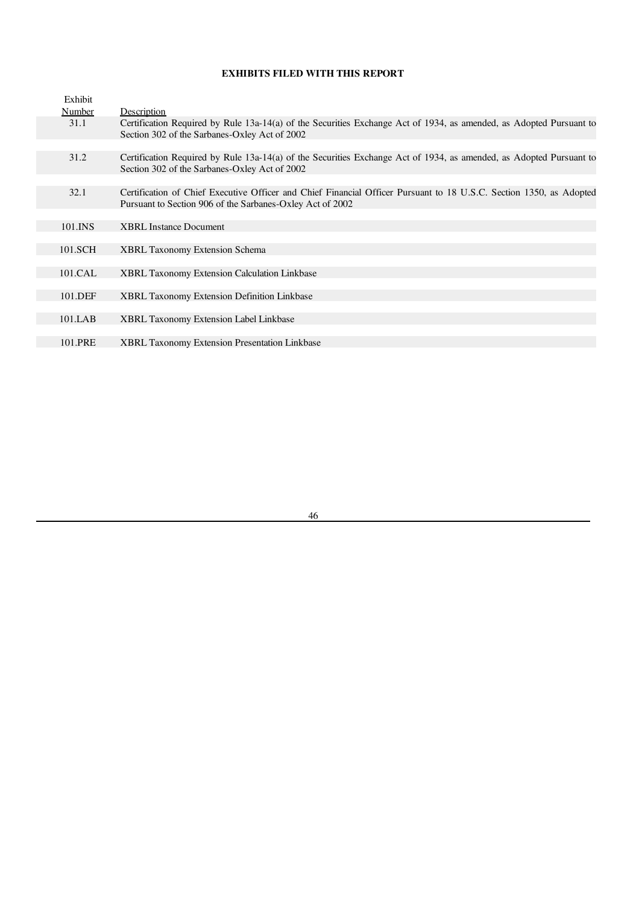# EXHIBITS FILED WITH THIS REPORT

| Exhibit |                                                                                                                                                                                  |
|---------|----------------------------------------------------------------------------------------------------------------------------------------------------------------------------------|
| Number  | Description                                                                                                                                                                      |
| 31.1    | Certification Required by Rule 13a-14(a) of the Securities Exchange Act of 1934, as amended, as Adopted Pursuant to<br>Section 302 of the Sarbanes-Oxley Act of 2002             |
| 31.2    | Certification Required by Rule 13a-14(a) of the Securities Exchange Act of 1934, as amended, as Adopted Pursuant to<br>Section 302 of the Sarbanes-Oxley Act of 2002             |
| 32.1    | Certification of Chief Executive Officer and Chief Financial Officer Pursuant to 18 U.S.C. Section 1350, as Adopted<br>Pursuant to Section 906 of the Sarbanes-Oxley Act of 2002 |
| 101.INS | <b>XBRL</b> Instance Document                                                                                                                                                    |
| 101.SCH | <b>XBRL Taxonomy Extension Schema</b>                                                                                                                                            |
| 101.CAL | <b>XBRL Taxonomy Extension Calculation Linkbase</b>                                                                                                                              |
| 101.DEF | <b>XBRL Taxonomy Extension Definition Linkbase</b>                                                                                                                               |
| 101.LAB | <b>XBRL Taxonomy Extension Label Linkbase</b>                                                                                                                                    |
| 101.PRE | <b>XBRL Taxonomy Extension Presentation Linkbase</b>                                                                                                                             |
|         |                                                                                                                                                                                  |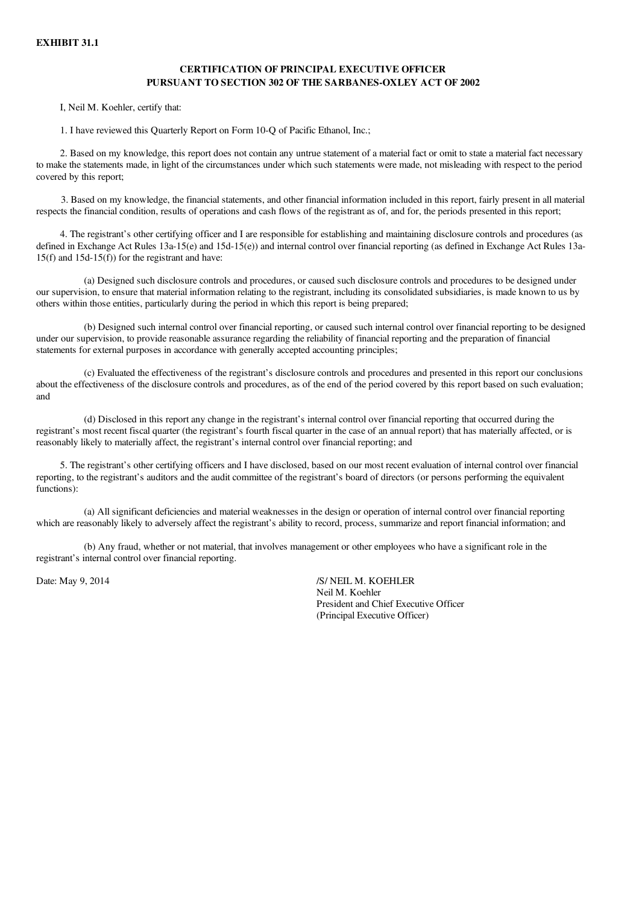## CERTIFICATION OF PRINCIPAL EXECUTIVE OFFICER PURSUANT TO SECTION 302 OF THE SARBANES-OXLEY ACT OF 2002

I, Neil M. Koehler, certify that:

1. I have reviewed this Quarterly Report on Form 10-Q of Pacific Ethanol, Inc.;

2. Based on my knowledge, this report does not contain any untrue statement of a material fact or omit to state a material fact necessary to make the statements made, in light of the circumstances under which such statements were made, not misleading with respect to the period covered by this report;

3. Based on my knowledge, the financial statements, and other financial information included in this report, fairly present in all material respects the financial condition, results of operations and cash flows of the registrant as of, and for, the periods presented in this report;

4. The registrant's other certifying officer and I are responsible for establishing and maintaining disclosure controls and procedures (as defined in Exchange Act Rules 13a-15(e) and 15d-15(e)) and internal control over financial reporting (as defined in Exchange Act Rules 13a-15(f) and 15d-15(f)) for the registrant and have:

(a) Designed such disclosure controls and procedures, or caused such disclosure controls and procedures to be designed under our supervision, to ensure that material information relating to the registrant, including its consolidated subsidiaries, is made known to us by others within those entities, particularly during the period in which this report is being prepared;

(b) Designed such internal control over financial reporting, or caused such internal control over financial reporting to be designed under our supervision, to provide reasonable assurance regarding the reliability of financial reporting and the preparation of financial statements for external purposes in accordance with generally accepted accounting principles;

(c) Evaluated the effectiveness of the registrant's disclosure controls and procedures and presented in this report our conclusions about the effectiveness of the disclosure controls and procedures, as of the end of the period covered by this report based on such evaluation; and

(d) Disclosed in this report any change in the registrant's internal control over financial reporting that occurred during the registrant's most recent fiscal quarter (the registrant's fourth fiscal quarter in the case of an annual report) that has materially affected, or is reasonably likely to materially affect, the registrant's internal control over financial reporting; and

5. The registrant's other certifying officers and I have disclosed, based on our most recent evaluation of internal control over financial reporting, to the registrant's auditors and the audit committee of the registrant's board of directors (or persons performing the equivalent functions):

(a) All significant deficiencies and material weaknesses in the design or operation of internal control over financial reporting which are reasonably likely to adversely affect the registrant's ability to record, process, summarize and report financial information; and

(b) Any fraud, whether or not material, that involves management or other employees who have a significant role in the registrant's internal control over financial reporting.

Date: May 9, 2014 /S/ NEIL M. KOEHLER Neil M. Koehler President and Chief Executive Officer (Principal Executive Officer)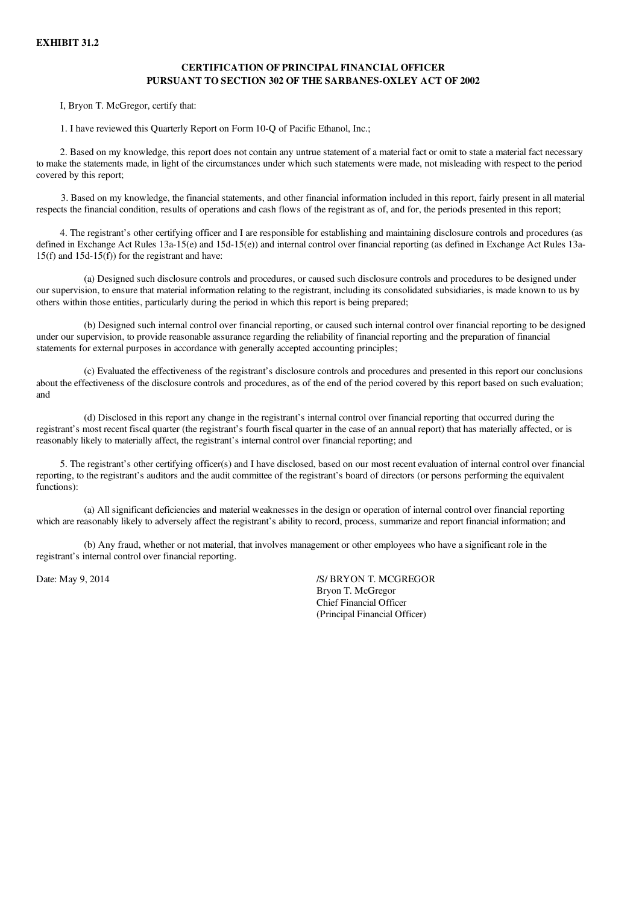## CERTIFICATION OF PRINCIPAL FINANCIAL OFFICER PURSUANT TO SECTION 302 OF THE SARBANES-OXLEY ACT OF 2002

I, Bryon T. McGregor, certify that:

1. I have reviewed this Quarterly Report on Form 10-Q of Pacific Ethanol, Inc.;

2. Based on my knowledge, this report does not contain any untrue statement of a material fact or omit to state a material fact necessary to make the statements made, in light of the circumstances under which such statements were made, not misleading with respect to the period covered by this report;

3. Based on my knowledge, the financial statements, and other financial information included in this report, fairly present in all material respects the financial condition, results of operations and cash flows of the registrant as of, and for, the periods presented in this report;

4. The registrant's other certifying officer and I are responsible for establishing and maintaining disclosure controls and procedures (as defined in Exchange Act Rules 13a-15(e) and 15d-15(e)) and internal control over financial reporting (as defined in Exchange Act Rules 13a-15(f) and 15d-15(f)) for the registrant and have:

(a) Designed such disclosure controls and procedures, or caused such disclosure controls and procedures to be designed under our supervision, to ensure that material information relating to the registrant, including its consolidated subsidiaries, is made known to us by others within those entities, particularly during the period in which this report is being prepared;

(b) Designed such internal control over financial reporting, or caused such internal control over financial reporting to be designed under our supervision, to provide reasonable assurance regarding the reliability of financial reporting and the preparation of financial statements for external purposes in accordance with generally accepted accounting principles;

(c) Evaluated the effectiveness of the registrant's disclosure controls and procedures and presented in this report our conclusions about the effectiveness of the disclosure controls and procedures, as of the end of the period covered by this report based on such evaluation; and

(d) Disclosed in this report any change in the registrant's internal control over financial reporting that occurred during the registrant's most recent fiscal quarter (the registrant's fourth fiscal quarter in the case of an annual report) that has materially affected, or is reasonably likely to materially affect, the registrant's internal control over financial reporting; and

5. The registrant's other certifying officer(s) and I have disclosed, based on our most recent evaluation of internal control over financial reporting, to the registrant's auditors and the audit committee of the registrant's board of directors (or persons performing the equivalent functions):

(a) All significant deficiencies and material weaknesses in the design or operation of internal control over financial reporting which are reasonably likely to adversely affect the registrant's ability to record, process, summarize and report financial information; and

(b) Any fraud, whether or not material, that involves management or other employees who have a significant role in the registrant's internal control over financial reporting.

Date: May 9, 2014 */S/ BRYON T. MCGREGOR* Bryon T. McGregor Chief Financial Officer (Principal Financial Officer)